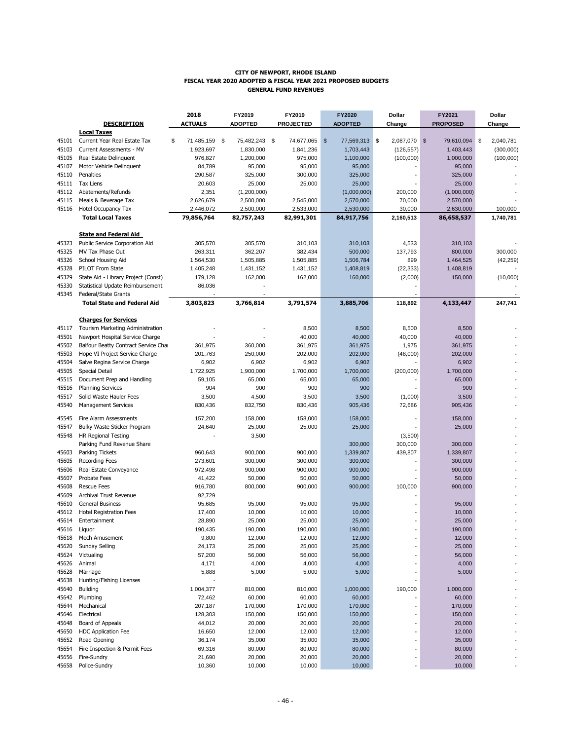#### **CITY OF NEWPORT, RHODE ISLAND FISCAL YEAR 2020 ADOPTED & FISCAL YEAR 2021 PROPOSED BUDGETS GENERAL FUND REVENUES**

|                | <b>DESCRIPTION</b>                                            | 2018<br><b>ACTUALS</b> | FY2019<br><b>ADOPTED</b> | FY2019<br><b>PROJECTED</b> | FY2020<br><b>ADOPTED</b> | Dollar<br>Change         | FY2021<br><b>PROPOSED</b> | Dollar<br>Change |
|----------------|---------------------------------------------------------------|------------------------|--------------------------|----------------------------|--------------------------|--------------------------|---------------------------|------------------|
|                | <b>Local Taxes</b>                                            |                        |                          |                            |                          |                          |                           |                  |
| 45101          | Current Year Real Estate Tax                                  | \$<br>71,485,159       | \$<br>75,482,243 \$      | 74,677,065                 | \$<br>77,569,313         | 2,087,070 \$<br>\$       | 79,610,094                | \$<br>2,040,781  |
| 45103          | Current Assessments - MV                                      | 1,923,697              | 1,830,000                | 1,841,236                  | 1,703,443                | (126, 557)               | 1,403,443                 | (300,000)        |
| 45105          | Real Estate Delinquent                                        | 976,827                | 1,200,000                | 975,000                    | 1,100,000                | (100,000)                | 1,000,000                 | (100,000)        |
| 45107          | Motor Vehicle Delinquent                                      | 84,789                 | 95,000                   | 95,000                     | 95,000                   |                          | 95,000                    |                  |
| 45110          | Penalties                                                     | 290,587                | 325,000                  | 300,000                    | 325,000                  |                          | 325,000                   |                  |
| 45111          | <b>Tax Liens</b>                                              | 20,603                 | 25,000                   | 25,000                     | 25,000                   |                          | 25,000                    |                  |
| 45112          | Abatements/Refunds                                            | 2,351                  | (1,200,000)              |                            | (1,000,000)              | 200,000                  | (1,000,000)               |                  |
| 45115          | Meals & Beverage Tax                                          | 2,626,679              | 2,500,000                | 2,545,000                  | 2,570,000                | 70,000                   | 2,570,000                 |                  |
| 45116          | Hotel Occupancy Tax                                           | 2,446,072              | 2,500,000                | 2,533,000                  | 2,530,000                | 30,000                   | 2,630,000                 | 100,000          |
|                | <b>Total Local Taxes</b>                                      | 79,856,764             | 82,757,243               | 82,991,301                 | 84,917,756               | 2,160,513                | 86,658,537                | 1,740,781        |
|                | State and Federal Aid                                         |                        |                          |                            |                          |                          |                           |                  |
| 45323          | Public Service Corporation Aid                                | 305,570                | 305,570                  | 310,103                    | 310,103                  | 4,533                    | 310,103                   |                  |
| 45325          | MV Tax Phase Out                                              | 263,311                | 362,207                  | 382,434                    | 500,000                  | 137,793                  | 800,000                   | 300,000          |
| 45326          | School Housing Aid                                            | 1,564,530              | 1,505,885                | 1,505,885                  | 1,506,784                | 899                      | 1,464,525                 | (42, 259)        |
| 45328          | PILOT From State                                              | 1,405,248              | 1,431,152                | 1,431,152                  | 1,408,819                | (22, 333)                | 1,408,819                 |                  |
| 45329          | State Aid - Library Project (Const)                           | 179,128                | 162,000                  | 162,000                    | 160,000                  | (2,000)                  | 150,000                   | (10,000)         |
| 45330          | Statistical Update Reimbursement                              | 86,036                 |                          |                            |                          |                          |                           |                  |
| 45345          | Federal/State Grants<br><b>Total State and Federal Aid</b>    | 3,803,823              | 3,766,814                | 3,791,574                  | 3,885,706                | 118,892                  | 4,133,447                 | 247,741          |
|                |                                                               |                        |                          |                            |                          |                          |                           |                  |
|                | <b>Charges for Services</b>                                   |                        |                          |                            |                          |                          |                           |                  |
| 45117          | Tourism Marketing Administration                              |                        |                          | 8,500                      | 8,500                    | 8,500                    | 8,500                     |                  |
| 45501          | Newport Hospital Service Charge                               |                        |                          | 40,000                     | 40,000                   | 40,000                   | 40,000                    |                  |
| 45502          | Balfour Beatty Contract Service Char                          | 361,975                | 360,000                  | 361,975                    | 361,975                  | 1,975                    | 361,975                   |                  |
| 45503<br>45504 | Hope VI Project Service Charge<br>Salve Regina Service Charge | 201,763<br>6,902       | 250,000<br>6,902         | 202,000<br>6,902           | 202,000<br>6,902         | (48,000)                 | 202,000<br>6,902          |                  |
| 45505          | Special Detail                                                | 1,722,925              | 1,900,000                | 1,700,000                  | 1,700,000                |                          | 1,700,000                 |                  |
| 45515          | Document Prep and Handling                                    | 59,105                 | 65,000                   | 65,000                     | 65,000                   | (200,000)                | 65,000                    |                  |
| 45516          | <b>Planning Services</b>                                      | 904                    | 900                      | 900                        | 900                      |                          | 900                       |                  |
| 45517          | Solid Waste Hauler Fees                                       | 3,500                  | 4,500                    | 3,500                      | 3,500                    | (1,000)                  | 3,500                     |                  |
| 45540          | <b>Management Services</b>                                    | 830,436                | 832,750                  | 830,436                    | 905,436                  | 72,686                   | 905,436                   |                  |
| 45545          | Fire Alarm Assessments                                        | 157,200                | 158,000                  | 158,000                    | 158,000                  |                          | 158,000                   |                  |
| 45547          | Bulky Waste Sticker Program                                   | 24,640                 | 25,000                   | 25,000                     | 25,000                   |                          | 25,000                    |                  |
| 45548          | <b>HR Regional Testing</b>                                    |                        | 3,500                    |                            |                          | (3,500)                  |                           |                  |
|                | Parking Fund Revenue Share                                    |                        |                          |                            | 300,000                  | 300,000                  | 300,000                   |                  |
| 45603          | Parking Tickets                                               | 960,643                | 900,000                  | 900,000                    | 1,339,807                | 439,807                  | 1,339,807                 |                  |
| 45605          | <b>Recording Fees</b>                                         | 273,601                | 300,000                  | 300,000                    | 300,000                  |                          | 300,000                   |                  |
| 45606          | Real Estate Conveyance                                        | 972,498                | 900,000                  | 900,000                    | 900,000                  |                          | 900,000                   |                  |
| 45607          | <b>Probate Fees</b>                                           | 41,422                 | 50,000                   | 50,000                     | 50,000                   |                          | 50,000                    |                  |
| 45608          | <b>Rescue Fees</b>                                            | 916,780                | 800,000                  | 900,000                    | 900,000                  | 100,000                  | 900,000                   |                  |
| 45609          | Archival Trust Revenue                                        | 92,729                 |                          |                            |                          |                          |                           |                  |
| 45610          | <b>General Business</b>                                       | 95,685                 | 95,000                   | 95,000                     | 95,000                   |                          | 95,000                    |                  |
| 45612          | <b>Hotel Registration Fees</b>                                | 17,400                 | 10,000                   | 10,000                     | 10,000                   |                          | 10,000                    |                  |
| 45614          | Entertainment                                                 | 28,890                 | 25,000                   | 25,000                     | 25,000                   |                          | 25,000                    |                  |
| 45616          | Liquor                                                        | 190,435                | 190,000                  | 190,000                    | 190,000                  |                          | 190,000                   |                  |
| 45618          | Mech Amusement                                                | 9,800                  | 12,000                   | 12,000                     | 12,000                   | $\blacksquare$           | 12,000                    |                  |
| 45620          | Sunday Selling                                                | 24,173                 | 25,000                   | 25,000                     | 25,000                   | ÷,                       | 25,000                    |                  |
| 45624          | Victualing                                                    | 57,200                 | 56,000                   | 56,000                     | 56,000                   |                          | 56,000                    |                  |
| 45626          | Animal                                                        | 4,171                  | 4,000                    | 4,000                      | 4,000                    |                          | 4,000                     |                  |
| 45628          | Marriage                                                      | 5,888                  | 5,000                    | 5,000                      | 5,000                    | $\overline{\phantom{a}}$ | 5,000                     |                  |
| 45638          | Hunting/Fishing Licenses                                      |                        |                          |                            |                          |                          |                           |                  |
| 45640          | Building                                                      | 1,004,377              | 810,000                  | 810,000                    | 1,000,000                | 190,000                  | 1,000,000                 |                  |
| 45642          | Plumbing                                                      | 72,462                 | 60,000                   | 60,000                     | 60,000                   |                          | 60,000                    |                  |
| 45644          | Mechanical                                                    | 207,187                | 170,000                  | 170,000                    | 170,000                  | $\overline{\phantom{a}}$ | 170,000                   |                  |
| 45646          | Electrical                                                    | 128,303                | 150,000                  | 150,000                    | 150,000                  | $\overline{\phantom{a}}$ | 150,000                   |                  |
| 45648          | Board of Appeals                                              | 44,012                 | 20,000                   | 20,000                     | 20,000                   | $\overline{\phantom{a}}$ | 20,000                    |                  |
| 45650          | <b>HDC Application Fee</b>                                    | 16,650                 | 12,000                   | 12,000                     | 12,000                   | $\overline{\phantom{a}}$ | 12,000                    |                  |
| 45652          | Road Opening                                                  | 36,174                 | 35,000                   | 35,000                     | 35,000                   | $\overline{\phantom{a}}$ | 35,000                    |                  |
| 45654          | Fire Inspection & Permit Fees                                 | 69,316                 | 80,000                   | 80,000                     | 80,000                   | $\overline{\phantom{a}}$ | 80,000                    |                  |
| 45656          | Fire-Sundry                                                   | 21,690                 | 20,000                   | 20,000                     | 20,000                   | $\overline{\phantom{a}}$ | 20,000                    |                  |
| 45658          | Police-Sundry                                                 | 10,360                 | 10,000                   | 10,000                     | 10,000                   | $\overline{\phantom{a}}$ | 10,000                    |                  |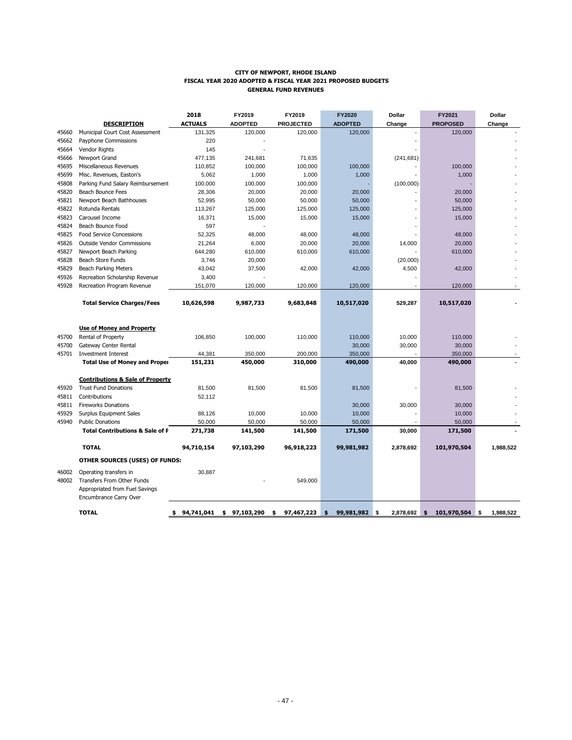#### **CITY OF NEWPORT, RHODE ISLAND FISCAL YEAR 2020 ADOPTED & FISCAL YEAR 2021 PROPOSED BUDGETS GENERAL FUND REVENUES**

|       |                                             | 2018           | FY2019           | FY2019           | FY2020           | <b>Dollar</b> | FY2021            | <b>Dollar</b>   |
|-------|---------------------------------------------|----------------|------------------|------------------|------------------|---------------|-------------------|-----------------|
|       | <b>DESCRIPTION</b>                          | <b>ACTUALS</b> | <b>ADOPTED</b>   | <b>PROJECTED</b> | <b>ADOPTED</b>   | Change        | <b>PROPOSED</b>   | Change          |
| 45660 | Municipal Court Cost Assessment             | 131,325        | 120,000          | 120,000          | 120,000          |               | 120,000           |                 |
| 45662 | Payphone Commissions                        | 220            |                  |                  |                  |               |                   |                 |
| 45664 | Vendor Rights                               | 145            |                  |                  |                  |               |                   |                 |
| 45666 | Newport Grand                               | 477,135        | 241,681          | 71,635           |                  | (241, 681)    |                   |                 |
| 45695 | Miscellaneous Revenues                      | 110,852        | 100,000          | 100,000          | 100,000          |               | 100,000           |                 |
| 45699 | Misc. Revenues, Easton's                    | 5,062          | 1,000            | 1,000            | 1,000            |               | 1,000             |                 |
| 45808 | Parking Fund Salary Reimbursement           | 100,000        | 100,000          | 100,000          |                  | (100,000)     |                   |                 |
| 45820 | Beach Bounce Fees                           | 28,306         | 20,000           | 20,000           | 20,000           |               | 20,000            |                 |
| 45821 | Newport Beach Bathhouses                    | 52,995         | 50,000           | 50,000           | 50,000           | ٠             | 50,000            |                 |
| 45822 | Rotunda Rentals                             | 113,267        | 125,000          | 125,000          | 125,000          | Ξ             | 125,000           |                 |
| 45823 | Carousel Income                             | 16,371         | 15,000           | 15,000           | 15,000           |               | 15,000            |                 |
| 45824 | Beach Bounce Food                           | 597            |                  |                  |                  |               |                   |                 |
| 45825 | <b>Food Service Concessions</b>             | 52,325         | 48,000           | 48,000           | 48,000           |               | 48,000            |                 |
| 45826 | <b>Outside Vendor Commissions</b>           | 21,264         | 6,000            | 20,000           | 20,000           | 14,000        | 20,000            |                 |
| 45827 | Newport Beach Parking                       | 644,280        | 610,000          | 610,000          | 610,000          |               | 610,000           |                 |
| 45828 | <b>Beach Store Funds</b>                    | 3,746          | 20,000           |                  |                  | (20,000)      |                   |                 |
| 45829 | Beach Parking Meters                        | 43,042         | 37,500           | 42,000           | 42,000           | 4,500         | 42,000            |                 |
| 45926 | Recreation Scholarship Revenue              | 3,400          |                  |                  |                  |               |                   |                 |
| 45928 | Recreation Program Revenue                  | 151,070        | 120,000          | 120,000          | 120,000          |               | 120,000           |                 |
|       | <b>Total Service Charges/Fees</b>           | 10,626,598     | 9,987,733        | 9,683,848        | 10,517,020       | 529,287       | 10,517,020        |                 |
|       |                                             |                |                  |                  |                  |               |                   |                 |
|       | <b>Use of Money and Property</b>            |                |                  |                  |                  |               |                   |                 |
| 45700 | Rental of Property                          | 106,850        | 100,000          | 110,000          | 110,000          | 10,000        | 110,000           |                 |
| 45700 | Gateway Center Rental                       |                |                  |                  | 30,000           | 30,000        | 30,000            |                 |
| 45701 | <b>Investment Interest</b>                  | 44,381         | 350,000          | 200,000          | 350,000          |               | 350,000           |                 |
|       | <b>Total Use of Money and Proper</b>        | 151,231        | 450,000          | 310,000          | 490,000          | 40,000        | 490,000           |                 |
|       |                                             |                |                  |                  |                  |               |                   |                 |
|       | <b>Contributions &amp; Sale of Property</b> |                |                  |                  |                  |               |                   |                 |
| 45920 | <b>Trust Fund Donations</b>                 | 81,500         | 81,500           | 81,500           | 81,500           |               | 81,500            |                 |
| 45811 | Contributions                               | 52,112         |                  |                  |                  |               |                   |                 |
| 45811 | <b>Fireworks Donations</b>                  |                |                  |                  | 30,000           | 30,000        | 30,000            |                 |
| 45929 | Surplus Equipment Sales                     | 88,126         | 10,000           | 10,000           | 10,000           |               | 10,000            |                 |
| 45940 | <b>Public Donations</b>                     | 50,000         | 50,000           | 50,000           | 50,000           |               | 50,000            |                 |
|       | <b>Total Contributions &amp; Sale of F</b>  | 271,738        | 141,500          | 141,500          | 171,500          | 30,000        | 171,500           |                 |
|       | <b>TOTAL</b>                                | 94,710,154     | 97,103,290       | 96,918,223       | 99,981,982       | 2,878,692     | 101,970,504       | 1,988,522       |
|       | OTHER SOURCES (USES) OF FUNDS:              |                |                  |                  |                  |               |                   |                 |
| 46002 | Operating transfers in                      | 30,887         |                  |                  |                  |               |                   |                 |
| 48002 | Transfers From Other Funds                  |                |                  | 549,000          |                  |               |                   |                 |
|       | Appropriated from Fuel Savings              |                |                  |                  |                  |               |                   |                 |
|       | Encumbrance Carry Over                      |                |                  |                  |                  |               |                   |                 |
|       |                                             |                |                  |                  |                  |               |                   |                 |
|       | <b>TOTAL</b>                                | 94,741,041     | 97,103,290<br>\$ | 97,467,223<br>\$ | 99,981,982<br>\$ | 2,878,692     | 101,970,504<br>\$ | 1,988,522<br>\$ |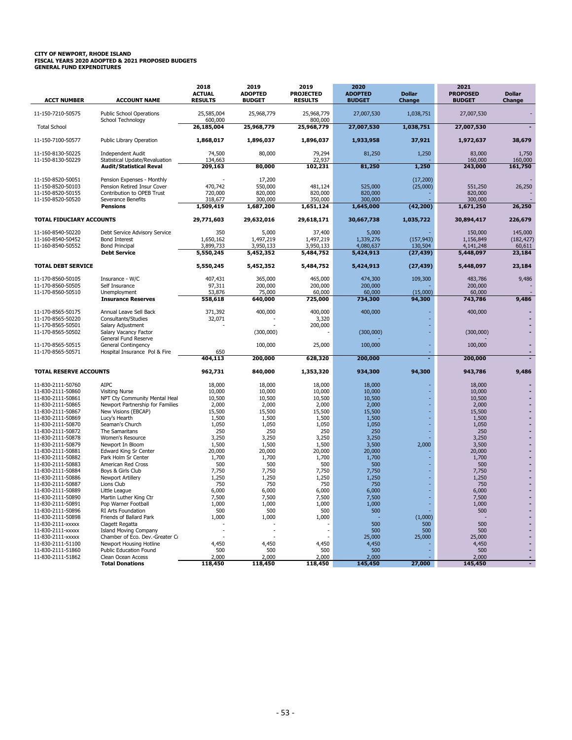| <b>ACCT NUMBER</b>                     | <b>ACCOUNT NAME</b>                                        | 2018<br><b>ACTUAL</b><br><b>RESULTS</b> | 2019<br><b>ADOPTED</b><br><b>BUDGET</b> | 2019<br><b>PROJECTED</b><br><b>RESULTS</b> | 2020<br><b>ADOPTED</b><br><b>BUDGET</b> | <b>Dollar</b><br><b>Change</b> | 2021<br><b>PROPOSED</b><br><b>BUDGET</b> | <b>Dollar</b><br>Change |
|----------------------------------------|------------------------------------------------------------|-----------------------------------------|-----------------------------------------|--------------------------------------------|-----------------------------------------|--------------------------------|------------------------------------------|-------------------------|
| 11-150-7210-50575                      | <b>Public School Operations</b><br>School Technology       | 25,585,004<br>600.000                   | 25,968,779                              | 25,968,779<br>800,000                      | 27,007,530                              | 1,038,751                      | 27,007,530                               |                         |
| <b>Total School</b>                    |                                                            | 26,185,004                              | 25,968,779                              | 25,968,779                                 | 27,007,530                              | 1,038,751                      | 27,007,530                               |                         |
| 11-150-7100-50577                      | Public Library Operation                                   | 1,868,017                               | 1,896,037                               | 1,896,037                                  | 1,933,958                               | 37,921                         | 1,972,637                                | 38,679                  |
| 11-150-8130-50225<br>11-150-8130-50229 | <b>Independent Audit</b><br>Statistical Update/Revaluation | 74,500<br>134,663                       | 80,000                                  | 79,294<br>22,937                           | 81,250                                  | 1,250                          | 83,000<br>160,000                        | 1,750<br>160,000        |
|                                        | <b>Audit/Statistical Reval</b>                             | 209,163                                 | 80,000                                  | 102,231                                    | 81,250                                  | 1,250                          | 243,000                                  | 161,750                 |
| 11-150-8520-50051                      | Pension Expenses - Monthly                                 |                                         | 17,200                                  |                                            |                                         | (17, 200)                      |                                          |                         |
| 11-150-8520-50103                      | Pension Retired Insur Cover                                | 470,742                                 | 550,000                                 | 481,124                                    | 525,000                                 | (25,000)                       | 551,250                                  | 26,250                  |
| 11-150-8520-50155<br>11-150-8520-50520 | Contribution to OPEB Trust<br><b>Severance Benefits</b>    | 720,000<br>318,677                      | 820,000<br>300,000                      | 820,000<br>350,000                         | 820,000<br>300,000                      |                                | 820,000<br>300,000                       |                         |
|                                        | <b>Pensions</b>                                            | 1,509,419                               | 1,687,200                               | 1,651,124                                  | 1,645,000                               | (42, 200)                      | 1,671,250                                | 26,250                  |
| <b>TOTAL FIDUCIARY ACCOUNTS</b>        |                                                            | 29,771,603                              | 29,632,016                              | 29,618,171                                 | 30,667,738                              | 1,035,722                      | 30,894,417                               | 226,679                 |
| 11-160-8540-50220                      | Debt Service Advisory Service                              | 350                                     | 5,000                                   | 37,400                                     | 5,000                                   |                                | 150,000                                  | 145,000                 |
| 11-160-8540-50452                      | <b>Bond Interest</b>                                       | 1,650,162                               | 1,497,219                               | 1,497,219                                  | 1,339,276                               | (157, 943)                     | 1,156,849                                | (182, 427)              |
| 11-160-8540-50552                      | <b>Bond Principal</b><br><b>Debt Service</b>               | 3,899,733                               | 3,950,133                               | 3,950,133                                  | 4,080,637                               | 130,504                        | 4,141,248                                | 60,611                  |
|                                        |                                                            | 5,550,245                               | 5,452,352                               | 5,484,752                                  | 5,424,913                               | (27, 439)                      | 5,448,097                                | 23,184                  |
| <b>TOTAL DEBT SERVICE</b>              |                                                            | 5,550,245                               | 5,452,352                               | 5,484,752                                  | 5,424,913                               | (27, 439)                      | 5,448,097                                | 23,184                  |
| 11-170-8560-50105                      | Insurance - W/C                                            | 407,431                                 | 365,000                                 | 465,000                                    | 474,300                                 | 109,300                        | 483,786                                  | 9,486                   |
| 11-170-8560-50505                      | Self Insurance                                             | 97,311                                  | 200,000                                 | 200,000<br>60,000                          | 200,000                                 |                                | 200,000                                  |                         |
| 11-170-8560-50510                      | Unemployment<br><b>Insurance Reserves</b>                  | 53,876<br>558,618                       | 75,000<br>640,000                       | 725,000                                    | 60,000<br>734,300                       | (15,000)<br>94,300             | 60,000<br>743,786                        | 9,486                   |
| 11-170-8565-50175                      | Annual Leave Sell Back                                     | 371,392                                 | 400,000                                 | 400,000                                    | 400,000                                 |                                | 400,000                                  |                         |
| 11-170-8565-50220                      | Consultants/Studies                                        | 32,071                                  |                                         | 3,320                                      |                                         |                                |                                          |                         |
| 11-170-8565-50501                      | Salary Adjustment                                          |                                         |                                         | 200,000                                    |                                         |                                |                                          |                         |
| 11-170-8565-50502                      | Salary Vacancy Factor<br>General Fund Reserve              |                                         | (300,000)                               |                                            | (300,000)                               |                                | (300,000)                                |                         |
| 11-170-8565-50515                      | <b>General Contingency</b>                                 |                                         | 100,000                                 | 25,000                                     | 100,000                                 |                                | 100,000                                  |                         |
| 11-170-8565-50571                      | Hospital Insurance Pol & Fire                              | 650<br>404,113                          | 200,000                                 | 628,320                                    | 200,000                                 |                                | 200,000                                  |                         |
| <b>TOTAL RESERVE ACCOUNTS</b>          |                                                            | 962,731                                 | 840,000                                 | 1,353,320                                  | 934,300                                 | 94,300                         | 943,786                                  | 9,486                   |
| 11-830-2111-50760                      | <b>AIPC</b>                                                | 18,000                                  | 18,000                                  | 18,000                                     | 18,000                                  |                                | 18,000                                   |                         |
| 11-830-2111-50860                      | <b>Visiting Nurse</b>                                      | 10,000                                  | 10,000                                  | 10,000                                     | 10,000                                  |                                | 10,000                                   |                         |
| 11-830-2111-50861<br>11-830-2111-50865 | NPT Cty Community Mental Heal                              | 10,500<br>2,000                         | 10,500<br>2,000                         | 10,500<br>2,000                            | 10,500<br>2,000                         |                                | 10,500<br>2,000                          |                         |
| 11-830-2111-50867                      | Newport Partnership for Families<br>New Visions (EBCAP)    | 15,500                                  | 15,500                                  | 15,500                                     | 15,500                                  |                                | 15,500                                   |                         |
| 11-830-2111-50869                      | Lucy's Hearth                                              | 1,500                                   | 1,500                                   | 1,500                                      | 1,500                                   |                                | 1,500                                    |                         |
| 11-830-2111-50870                      | Seaman's Church                                            | 1,050                                   | 1,050                                   | 1,050                                      | 1,050                                   |                                | 1,050                                    |                         |
| 11-830-2111-50872<br>11-830-2111-50878 | The Samaritans<br>Women's Resource                         | 250<br>3,250                            | 250<br>3,250                            | 250<br>3,250                               | 250<br>3,250                            |                                | 250<br>3,250                             |                         |
| 11-830-2111-50879                      | Newport In Bloom                                           | 1,500                                   | 1,500                                   | 1,500                                      | 3,500                                   | 2,000                          | 3,500                                    |                         |
| 11-830-2111-50881                      | Edward King Sr Center                                      | 20,000                                  | 20,000                                  | 20,000                                     | 20,000                                  |                                | 20,000                                   |                         |
| 11-830-2111-50882                      | Park Holm Sr Center                                        | 1,700                                   | 1,700                                   | 1,700                                      | 1,700                                   |                                | 1,700                                    |                         |
| 11-830-2111-50883<br>11-830-2111-50884 | American Red Cross<br>Boys & Girls Club                    | 500<br>7,750                            | 500<br>7,750                            | 500<br>7,750                               | 500<br>7,750                            |                                | 500<br>7,750                             |                         |
| 11-830-2111-50886                      | Newport Artillery                                          | 1,250                                   | 1,250                                   | 1,250                                      | 1,250                                   |                                | 1,250                                    |                         |
| 11-830-2111-50887                      | Lions Club                                                 | 750                                     | 750                                     | 750                                        | 750                                     |                                | 750                                      |                         |
| 11-830-2111-50889<br>11-830-2111-50890 | Little League<br>Martin Luther King Ctr                    | 6,000<br>7,500                          | 6,000<br>7,500                          | 6,000<br>7,500                             | 6,000<br>7,500                          |                                | 6,000<br>7,500                           |                         |
| 11-830-2111-50891                      | Pop Warner Football                                        | 1,000                                   | 1,000                                   | 1,000                                      | 1.000                                   |                                | 1,000                                    |                         |
| 11-830-2111-50896                      | <b>RI Arts Foundation</b>                                  | 500                                     | 500                                     | 500                                        | 500                                     |                                | 500                                      |                         |
| 11-830-2111-50898                      | Friends of Ballard Park                                    | 1,000                                   | 1,000                                   | 1,000                                      |                                         | (1,000)                        |                                          |                         |
| 11-830-2111-xxxxx<br>11-830-2111-xxxxx | Clagett Regatta<br><b>Island Moving Company</b>            |                                         |                                         | ä,                                         | 500<br>500                              | 500<br>500                     | 500<br>500                               |                         |
| 11-830-2111-xxxxx                      | Chamber of Eco. Dev.-Greater Co                            |                                         |                                         |                                            | 25,000                                  | 25,000                         | 25,000                                   |                         |
| 11-830-2111-51100                      | Newport Housing Hotline                                    | 4,450                                   | 4,450                                   | 4,450                                      | 4,450                                   |                                | 4,450                                    |                         |
| 11-830-2111-51860<br>11-830-2111-51862 | <b>Public Education Found</b><br>Clean Ocean Access        | 500<br>2,000                            | 500<br>2,000                            | 500<br>2,000                               | 500<br>2,000                            |                                | 500<br>2,000                             |                         |
|                                        | <b>Total Donations</b>                                     | 118,450                                 | 118,450                                 | 118,450                                    | 145,450                                 | 27,000                         | 145,450                                  | $\sim$                  |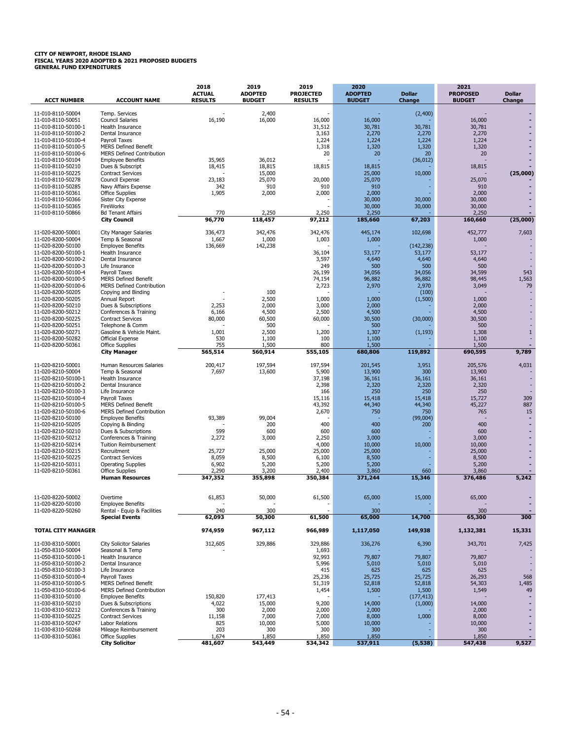| <b>ACCT NUMBER</b>                         | <b>ACCOUNT NAME</b>                                             | 2018<br><b>ACTUAL</b><br><b>RESULTS</b> | 2019<br><b>ADOPTED</b><br><b>BUDGET</b> | 2019<br><b>PROJECTED</b><br><b>RESULTS</b> | 2020<br><b>ADOPTED</b><br><b>BUDGET</b> | <b>Dollar</b><br>Change | 2021<br><b>PROPOSED</b><br><b>BUDGET</b> | <b>Dollar</b><br>Change  |
|--------------------------------------------|-----------------------------------------------------------------|-----------------------------------------|-----------------------------------------|--------------------------------------------|-----------------------------------------|-------------------------|------------------------------------------|--------------------------|
| 11-010-8110-50004                          | Temp. Services                                                  |                                         | 2,400                                   |                                            |                                         | (2,400)                 |                                          |                          |
| 11-010-8110-50051                          | <b>Council Salaries</b>                                         | 16,190                                  | 16,000                                  | 16,000                                     | 16,000                                  |                         | 16,000                                   |                          |
| 11-010-8110-50100-1                        | Health Insurance                                                |                                         |                                         | 31,512                                     | 30,781                                  | 30,781                  | 30,781                                   |                          |
| 11-010-8110-50100-2                        | Dental Insurance                                                |                                         |                                         | 3,163                                      | 2,270                                   | 2,270                   | 2,270                                    |                          |
| 11-010-8110-50100-4<br>11-010-8110-50100-5 | Payroll Taxes<br><b>MERS Defined Benefit</b>                    |                                         |                                         | 1,224<br>1,318                             | 1,224<br>1,320                          | 1,224<br>1,320          | 1,224<br>1,320                           |                          |
| 11-010-8110-50100-6                        | <b>MERS Defined Contribution</b>                                |                                         |                                         | 20                                         | 20                                      | 20                      | 20                                       |                          |
| 11-010-8110-50104                          | <b>Employee Benefits</b>                                        | 35,965                                  | 36,012                                  |                                            |                                         | (36, 012)               |                                          |                          |
| 11-010-8110-50210<br>11-010-8110-50225     | Dues & Subscript<br><b>Contract Services</b>                    | 18,415                                  | 18,815<br>15,000                        | 18,815                                     | 18,815<br>25,000                        | 10,000                  | 18,815                                   | (25,000)                 |
| 11-010-8110-50278                          | Council Expense                                                 | 23,183                                  | 25,070                                  | 20,000                                     | 25,070                                  |                         | 25,070                                   |                          |
| 11-010-8110-50285                          | Navy Affairs Expense                                            | 342                                     | 910                                     | 910                                        | 910                                     |                         | 910                                      |                          |
| 11-010-8110-50361                          | <b>Office Supplies</b>                                          | 1,905                                   | 2,000                                   | 2,000                                      | 2,000                                   |                         | 2,000                                    |                          |
| 11-010-8110-50366<br>11-010-8110-50365     | Sister City Expense<br>FireWorks                                |                                         |                                         |                                            | 30,000<br>30,000                        | 30,000<br>30,000        | 30,000<br>30,000                         |                          |
| 11-010-8110-50866                          | <b>Bd Tenant Affairs</b>                                        | 770                                     | 2,250                                   | 2,250                                      | 2,250                                   |                         | 2,250                                    |                          |
|                                            | <b>City Council</b>                                             | 96,770                                  | 118,457                                 | 97,212                                     | 185,660                                 | 67,203                  | 160,660                                  | (25,000)                 |
| 11-020-8200-50001                          | <b>City Manager Salaries</b>                                    | 336,473                                 | 342,476                                 | 342,476                                    | 445,174                                 | 102,698                 | 452,777                                  | 7,603                    |
| 11-020-8200-50004                          | Temp & Seasonal                                                 | 1,667                                   | 1,000                                   | 1,003                                      | 1,000                                   |                         | 1,000                                    |                          |
| 11-020-8200-50100                          | <b>Employee Benefits</b>                                        | 136,669                                 | 142,238                                 |                                            |                                         | (142, 238)              |                                          |                          |
| 11-020-8200-50100-1<br>11-020-8200-50100-2 | Health Insurance<br>Dental Insurance                            |                                         |                                         | 36,104<br>3,597                            | 53,177<br>4,640                         | 53,177<br>4,640         | 53,177<br>4,640                          |                          |
| 11-020-8200-50100-3                        | Life Insurance                                                  |                                         |                                         | 249                                        | 500                                     | 500                     | 500                                      |                          |
| 11-020-8200-50100-4                        | Payroll Taxes                                                   |                                         |                                         | 26,199                                     | 34,056                                  | 34,056                  | 34,599                                   | 543                      |
| 11-020-8200-50100-5                        | <b>MERS Defined Benefit</b><br><b>MERS Defined Contribution</b> |                                         |                                         | 74,154<br>2,723                            | 96,882<br>2,970                         | 96,882<br>2,970         | 98,445<br>3,049                          | 1,563<br>79              |
| 11-020-8200-50100-6<br>11-020-8200-50205   | Copying and Binding                                             |                                         | 100                                     |                                            |                                         | (100)                   |                                          |                          |
| 11-020-8200-50205                          | Annual Report                                                   |                                         | 2,500                                   | 1,000                                      | 1,000                                   | (1,500)                 | 1,000                                    |                          |
| 11-020-8200-50210                          | Dues & Subscriptions                                            | 2,253                                   | 2,000                                   | 3,000                                      | 2,000                                   |                         | 2,000                                    | $\overline{\phantom{a}}$ |
| 11-020-8200-50212<br>11-020-8200-50225     | Conferences & Training<br><b>Contract Services</b>              | 6,166<br>80,000                         | 4,500<br>60,500                         | 2,500<br>60,000                            | 4,500<br>30,500                         | (30,000)                | 4,500<br>30,500                          | ÷                        |
| 11-020-8200-50251                          | Telephone & Comm                                                |                                         | 500                                     |                                            | 500                                     |                         | 500                                      |                          |
| 11-020-8200-50271                          | Gasoline & Vehicle Maint.                                       | 1,001                                   | 2,500                                   | 1,200                                      | 1,307                                   | (1, 193)                | 1,308                                    | $1\,$                    |
| 11-020-8200-50282                          | Official Expense                                                | 530                                     | 1,100                                   | 100                                        | 1,100                                   |                         | 1,100                                    |                          |
| 11-020-8200-50361                          | <b>Office Supplies</b><br><b>City Manager</b>                   | 755<br>565,514                          | 1,500<br>560,914                        | 800<br>555,105                             | 1,500<br>680,806                        | 119,892                 | 1,500<br>690,595                         | 9,789                    |
|                                            |                                                                 |                                         |                                         |                                            |                                         |                         |                                          |                          |
| 11-020-8210-50001<br>11-020-8210-50004     | Human Resources Salaries<br>Temp & Seasonal                     | 200,417<br>7,697                        | 197,594<br>13,600                       | 197,594<br>5,900                           | 201,545<br>13,900                       | 3,951<br>300            | 205,576<br>13,900                        | 4,031                    |
| 11-020-8210-50100-1                        | Health Insurance                                                |                                         |                                         | 37,198                                     | 36,161                                  | 36,161                  | 36,161                                   |                          |
| 11-020-8210-50100-2                        | Dental Insurance                                                |                                         |                                         | 2,398                                      | 2,320                                   | 2,320                   | 2,320                                    |                          |
| 11-020-8210-50100-3                        | Life Insurance                                                  |                                         |                                         | 166                                        | 250                                     | 250                     | 250                                      |                          |
| 11-020-8210-50100-4<br>11-020-8210-50100-5 | Payroll Taxes<br><b>MERS Defined Benefit</b>                    |                                         |                                         | 15,116<br>43,392                           | 15,418<br>44,340                        | 15,418<br>44,340        | 15,727<br>45,227                         | 309<br>887               |
| 11-020-8210-50100-6                        | <b>MERS Defined Contribution</b>                                |                                         |                                         | 2,670                                      | 750                                     | 750                     | 765                                      | 15                       |
| 11-020-8210-50100                          | <b>Employee Benefits</b>                                        | 93,389                                  | 99,004                                  |                                            |                                         | (99,004)                |                                          |                          |
| 11-020-8210-50205<br>11-020-8210-50210     | Copying & Binding<br>Dues & Subscriptions                       | 599                                     | 200<br>600                              | 400<br>600                                 | 400<br>600                              | 200                     | 400<br>600                               | ٠                        |
| 11-020-8210-50212                          | Conferences & Training                                          | 2,272                                   | 3,000                                   | 2,250                                      | 3,000                                   |                         | 3,000                                    |                          |
| 11-020-8210-50214                          | <b>Tuition Reimbursement</b>                                    |                                         |                                         | 4,000                                      | 10,000                                  | 10,000                  | 10,000                                   | $\blacksquare$           |
| 11-020-8210-50215                          | Recruitment                                                     | 25,727                                  | 25,000                                  | 25,000                                     | 25,000                                  |                         | 25,000                                   | $\blacksquare$           |
| 11-020-8210-50225<br>11-020-8210-50311     | <b>Contract Services</b><br><b>Operating Supplies</b>           | 8,059<br>6,902                          | 8,500<br>5,200                          | 6,100<br>5,200                             | 8,500<br>5,200                          |                         | 8,500<br>5,200                           |                          |
| 11-020-8210-50361                          | <b>Office Supplies</b>                                          | 2,290                                   | 3,200                                   | 2,400                                      | 3,860                                   | 660                     | 3,860                                    |                          |
|                                            | <b>Human Resources</b>                                          | 347,352                                 | 355,898                                 | 350,384                                    | 371,244                                 | 15,346                  | 376,486                                  | 5,242                    |
|                                            |                                                                 |                                         |                                         |                                            |                                         |                         |                                          |                          |
| 11-020-8220-50002<br>11-020-8220-50100     | Overtime<br><b>Employee Benefits</b>                            | 61,853                                  | 50,000                                  | 61,500<br>÷,                               | 65,000                                  | 15,000                  | 65,000                                   |                          |
| 11-020-8220-50260                          | Rental - Equip & Facilities                                     | 240                                     | 300                                     |                                            | 300                                     |                         | 300                                      |                          |
|                                            | <b>Special Events</b>                                           | 62,093                                  | 50,300                                  | 61,500                                     | 65,000                                  | 14,700                  | 65,300                                   | 300                      |
| <b>TOTAL CITY MANAGER</b>                  |                                                                 | 974,959                                 | 967,112                                 | 966,989                                    | 1,117,050                               | 149,938                 | 1,132,381                                | 15,331                   |
| 11-030-8310-50001                          | <b>City Solicitor Salaries</b>                                  | 312,605                                 | 329,886                                 | 329,886                                    | 336,276                                 | 6,390                   | 343,701                                  | 7,425                    |
| 11-050-8310-50004                          | Seasonal & Temp                                                 |                                         |                                         | 1,693                                      |                                         |                         |                                          |                          |
| 11-050-8310-50100-1<br>11-050-8310-50100-2 | Health Insurance<br>Dental Insurance                            |                                         |                                         | 92,993<br>5,996                            | 79,807<br>5,010                         | 79,807<br>5,010         | 79,807<br>5,010                          | ×,                       |
| 11-050-8310-50100-3                        | Life Insurance                                                  |                                         |                                         | 415                                        | 625                                     | 625                     | 625                                      |                          |
| 11-050-8310-50100-4                        | Payroll Taxes                                                   |                                         |                                         | 25,236                                     | 25,725                                  | 25,725                  | 26,293                                   | 568                      |
| 11-050-8310-50100-5                        | <b>MERS Defined Benefit</b>                                     |                                         |                                         | 51,319                                     | 52,818                                  | 52,818                  | 54,303                                   | 1,485                    |
| 11-050-8310-50100-6<br>11-030-8310-50100   | <b>MERS Defined Contribution</b><br><b>Employee Benefits</b>    | 150,820                                 | 177,413                                 | 1,454                                      | 1,500                                   | 1,500<br>(177, 413)     | 1,549                                    | 49                       |
| 11-030-8310-50210                          | Dues & Subscriptions                                            | 4,022                                   | 15,000                                  | 9,200                                      | 14,000                                  | (1,000)                 | 14,000                                   |                          |
| 11-030-8310-50212                          | Conferences & Training                                          | 300                                     | 2,000                                   | 2,000                                      | 2,000                                   |                         | 2,000                                    |                          |
| 11-030-8310-50225                          | <b>Contract Services</b>                                        | 11,158                                  | 7,000                                   | 7,000                                      | 8,000                                   | 1,000                   | 8,000                                    |                          |
| 11-030-8310-50247<br>11-030-8310-50268     | Labor Relations<br>Mileage Reimbursement                        | 825<br>203                              | 10,000<br>300                           | 5,000<br>300                               | 10,000<br>300                           |                         | 10,000<br>300                            |                          |
| 11-030-8310-50361                          | <b>Office Supplies</b>                                          | 1,674                                   | 1,850                                   | 1,850                                      | 1,850                                   |                         | 1,850                                    |                          |
|                                            | <b>City Solicitor</b>                                           | 481,607                                 | 543,449                                 | 534,342                                    | 537,911                                 | (5, 538)                | 547,438                                  | 9,527                    |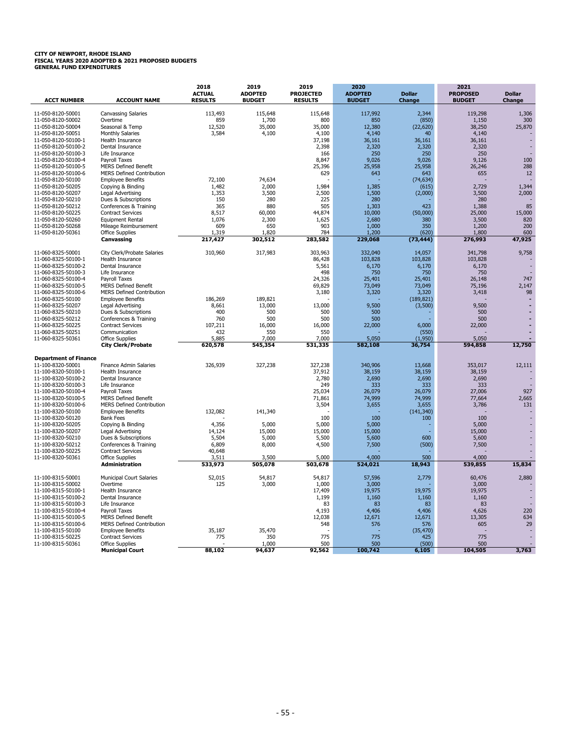| <b>ACCT NUMBER</b>                         | <b>ACCOUNT NAME</b>                                          | 2018<br><b>ACTUAL</b><br><b>RESULTS</b> | 2019<br><b>ADOPTED</b><br><b>BUDGET</b> | 2019<br><b>PROJECTED</b><br><b>RESULTS</b> | 2020<br><b>ADOPTED</b><br><b>BUDGET</b> | <b>Dollar</b><br><b>Change</b> | 2021<br><b>PROPOSED</b><br><b>BUDGET</b> | <b>Dollar</b><br>Change |
|--------------------------------------------|--------------------------------------------------------------|-----------------------------------------|-----------------------------------------|--------------------------------------------|-----------------------------------------|--------------------------------|------------------------------------------|-------------------------|
| 11-050-8120-50001                          | <b>Canvassing Salaries</b>                                   | 113,493                                 | 115,648                                 | 115,648                                    | 117,992                                 | 2,344                          | 119,298                                  | 1,306                   |
| 11-050-8120-50002                          | Overtime                                                     | 859                                     | 1,700                                   | 800                                        | 850                                     | (850)                          | 1,150                                    | 300                     |
| 11-050-8120-50004                          | Seasonal & Temp                                              | 12,520                                  | 35,000                                  | 35,000                                     | 12,380                                  | (22, 620)                      | 38,250                                   | 25,870                  |
| 11-050-8120-50051                          | <b>Monthly Salaries</b>                                      | 3,584                                   | 4,100                                   | 4,100                                      | 4,140                                   | 40                             | 4,140                                    |                         |
| 11-050-8120-50100-1                        | Health Insurance                                             |                                         |                                         | 37,198                                     | 36,161                                  | 36,161                         | 36,161                                   |                         |
| 11-050-8120-50100-2                        | Dental Insurance                                             |                                         |                                         | 2,398                                      | 2,320                                   | 2,320                          | 2,320                                    |                         |
| 11-050-8120-50100-3<br>11-050-8120-50100-4 | Life Insurance<br>Payroll Taxes                              |                                         |                                         | 166<br>8,847                               | 250<br>9,026                            | 250<br>9,026                   | 250<br>9,126                             | 100                     |
| 11-050-8120-50100-5                        | <b>MERS Defined Benefit</b>                                  |                                         |                                         | 25,396                                     | 25,958                                  | 25,958                         | 26,246                                   | 288                     |
| 11-050-8120-50100-6                        | <b>MERS Defined Contribution</b>                             |                                         |                                         | 629                                        | 643                                     | 643                            | 655                                      | 12                      |
| 11-050-8120-50100                          | <b>Employee Benefits</b>                                     | 72,100                                  | 74,634                                  |                                            |                                         | (74, 634)                      |                                          |                         |
| 11-050-8120-50205                          | Copying & Binding                                            | 1,482                                   | 2,000                                   | 1,984                                      | 1,385                                   | (615)                          | 2,729                                    | 1,344                   |
| 11-050-8120-50207                          | Legal Advertising                                            | 1,353                                   | 3,500                                   | 2,500                                      | 1,500                                   | (2,000)                        | 3,500                                    | 2,000                   |
| 11-050-8120-50210                          | Dues & Subscriptions                                         | 150                                     | 280                                     | 225                                        | 280                                     |                                | 280                                      |                         |
| 11-050-8120-50212                          | Conferences & Training                                       | 365                                     | 880                                     | 505                                        | 1,303                                   | 423                            | 1,388                                    | 85                      |
| 11-050-8120-50225<br>11-050-8120-50260     | <b>Contract Services</b><br><b>Equipment Rental</b>          | 8,517<br>1,076                          | 60,000<br>2,300                         | 44,874<br>1,625                            | 10,000<br>2,680                         | (50,000)<br>380                | 25,000<br>3,500                          | 15,000<br>820           |
| 11-050-8120-50268                          | Mileage Reimbursement                                        | 609                                     | 650                                     | 903                                        | 1,000                                   | 350                            | 1,200                                    | 200                     |
| 11-050-8120-50361                          | <b>Office Supplies</b>                                       | 1,319                                   | 1,820                                   | 784                                        | 1,200                                   | (620)                          | 1,800                                    | 600                     |
|                                            | Canvassing                                                   | 217,427                                 | 302,512                                 | 283,582                                    | 229,068                                 | (73, 444)                      | 276,993                                  | 47,925                  |
| 11-060-8325-50001                          | City Clerk/Probate Salaries                                  | 310,960                                 | 317,983                                 | 303,963                                    | 332,040                                 | 14,057                         | 341,798                                  | 9,758                   |
| 11-060-8325-50100-1                        | Health Insurance                                             |                                         |                                         | 86,428                                     | 103,828                                 | 103,828                        | 103,828                                  |                         |
| 11-060-8325-50100-2                        | Dental Insurance                                             |                                         |                                         | 5,561                                      | 6,170                                   | 6,170                          | 6,170                                    |                         |
| 11-060-8325-50100-3                        | Life Insurance                                               |                                         |                                         | 498                                        | 750                                     | 750                            | 750                                      |                         |
| 11-060-8325-50100-4                        | <b>Pavroll Taxes</b>                                         |                                         |                                         | 24,326                                     | 25,401                                  | 25,401                         | 26,148                                   | 747                     |
| 11-060-8325-50100-5                        | <b>MERS Defined Benefit</b>                                  |                                         |                                         | 69,829                                     | 73,049                                  | 73,049                         | 75,196                                   | 2,147<br>98             |
| 11-060-8325-50100-6<br>11-060-8325-50100   | <b>MERS Defined Contribution</b><br><b>Employee Benefits</b> | 186,269                                 | 189,821                                 | 3,180                                      | 3,320                                   | 3,320<br>(189, 821)            | 3,418                                    |                         |
| 11-060-8325-50207                          | Legal Advertising                                            | 8,661                                   | 13,000                                  | 13,000                                     | 9,500                                   | (3,500)                        | 9,500                                    |                         |
| 11-060-8325-50210                          | Dues & Subscriptions                                         | 400                                     | 500                                     | 500                                        | 500                                     |                                | 500                                      |                         |
| 11-060-8325-50212                          | Conferences & Training                                       | 760                                     | 500                                     | 500                                        | 500                                     |                                | 500                                      |                         |
| 11-060-8325-50225                          | <b>Contract Services</b>                                     | 107,211                                 | 16,000                                  | 16,000                                     | 22,000                                  | 6,000                          | 22,000                                   |                         |
| 11-060-8325-50251                          | Communication                                                | 432                                     | 550                                     | 550                                        |                                         | (550)                          |                                          |                         |
| 11-060-8325-50361                          | <b>Office Supplies</b>                                       | 5,885                                   | 7,000                                   | 7,000                                      | 5,050                                   | (1,950)                        | 5,050                                    |                         |
|                                            | <b>City Clerk/Probate</b>                                    | 620,578                                 | 545,354                                 | 531,335                                    | 582,108                                 | 36,754                         | 594,858                                  | 12,750                  |
| <b>Department of Finance</b>               |                                                              |                                         |                                         |                                            |                                         |                                |                                          |                         |
| 11-100-8320-50001                          | Finance Admin Salaries                                       | 326,939                                 | 327,238                                 | 327,238                                    | 340,906                                 | 13,668                         | 353,017                                  | 12,111                  |
| 11-100-8320-50100-1                        | Health Insurance                                             |                                         |                                         | 37,912                                     | 38,159                                  | 38,159                         | 38,159                                   |                         |
| 11-100-8320-50100-2<br>11-100-8320-50100-3 | Dental Insurance<br>Life Insurance                           |                                         |                                         | 2,780<br>249                               | 2,690<br>333                            | 2,690<br>333                   | 2,690<br>333                             |                         |
| 11-100-8320-50100-4                        | Payroll Taxes                                                |                                         |                                         | 25,034                                     | 26,079                                  | 26,079                         | 27,006                                   | 927                     |
| 11-100-8320-50100-5                        | <b>MERS Defined Benefit</b>                                  |                                         |                                         | 71,861                                     | 74,999                                  | 74,999                         | 77,664                                   | 2,665                   |
| 11-100-8320-50100-6                        | <b>MERS Defined Contribution</b>                             |                                         |                                         | 3,504                                      | 3,655                                   | 3,655                          | 3,786                                    | 131                     |
| 11-100-8320-50100                          | <b>Employee Benefits</b>                                     | 132,082                                 | 141,340                                 |                                            |                                         | (141, 340)                     |                                          |                         |
| 11-100-8320-50120                          | <b>Bank Fees</b>                                             |                                         |                                         | 100                                        | 100                                     | 100                            | 100                                      |                         |
| 11-100-8320-50205                          | Copying & Binding                                            | 4,356                                   | 5,000                                   | 5,000                                      | 5,000                                   |                                | 5,000                                    |                         |
| 11-100-8320-50207                          | Legal Advertising                                            | 14,124                                  | 15,000                                  | 15,000                                     | 15,000                                  |                                | 15,000                                   |                         |
| 11-100-8320-50210<br>11-100-8320-50212     | Dues & Subscriptions<br>Conferences & Training               | 5,504<br>6,809                          | 5,000<br>8,000                          | 5,500<br>4,500                             | 5,600<br>7,500                          | 600<br>(500)                   | 5,600<br>7,500                           |                         |
| 11-100-8320-50225                          | <b>Contract Services</b>                                     | 40,648                                  |                                         |                                            |                                         |                                |                                          |                         |
| 11-100-8320-50361                          | <b>Office Supplies</b>                                       | 3.511                                   | 3,500                                   | 5.000                                      | 4.000                                   | 500                            | 4,000                                    |                         |
|                                            | <b>Administration</b>                                        | 533,973                                 | 505,078                                 | 503,678                                    | 524,021                                 | 18,943                         | 539,855                                  | 15,834                  |
| 11-100-8315-50001                          | Municipal Court Salaries                                     | 52,015                                  | 54,817                                  | 54,817                                     | 57,596                                  | 2,779                          | 60,476                                   | 2,880                   |
| 11-100-8315-50002                          | Overtime                                                     | 125                                     | 3,000                                   | 1,000                                      | 3,000                                   |                                | 3,000                                    |                         |
| 11-100-8315-50100-1                        | Health Insurance<br>Dental Insurance                         |                                         |                                         | 17,409                                     | 19.975<br>1.160                         | 19,975                         | 19,975                                   |                         |
| 11-100-8315-50100-2<br>11-100-8315-50100-3 | Life Insurance                                               |                                         |                                         | 1,199<br>83                                | 83                                      | 1,160<br>83                    | 1,160<br>83                              |                         |
| 11-100-8315-50100-4                        | Payroll Taxes                                                |                                         |                                         | 4,193                                      | 4,406                                   | 4,406                          | 4,626                                    | 220                     |
| 11-100-8315-50100-5                        | <b>MERS Defined Benefit</b>                                  |                                         |                                         | 12,038                                     | 12,671                                  | 12,671                         | 13,305                                   | 634                     |
| 11-100-8315-50100-6                        | <b>MERS Defined Contribution</b>                             |                                         |                                         | 548                                        | 576                                     | 576                            | 605                                      | 29                      |
| 11-100-8315-50100                          | <b>Employee Benefits</b>                                     | 35,187                                  | 35,470                                  |                                            |                                         | (35, 470)                      |                                          |                         |
| 11-100-8315-50225                          | <b>Contract Services</b>                                     | 775                                     | 350                                     | 775                                        | 775                                     | 425                            | 775                                      |                         |
| 11-100-8315-50361                          | <b>Office Supplies</b>                                       |                                         | 1,000                                   | 500                                        | 500                                     | (500)                          | 500                                      |                         |
|                                            | <b>Municipal Court</b>                                       | 88,102                                  | 94,637                                  | 92,562                                     | 100,742                                 | 6,105                          | 104,505                                  | 3,763                   |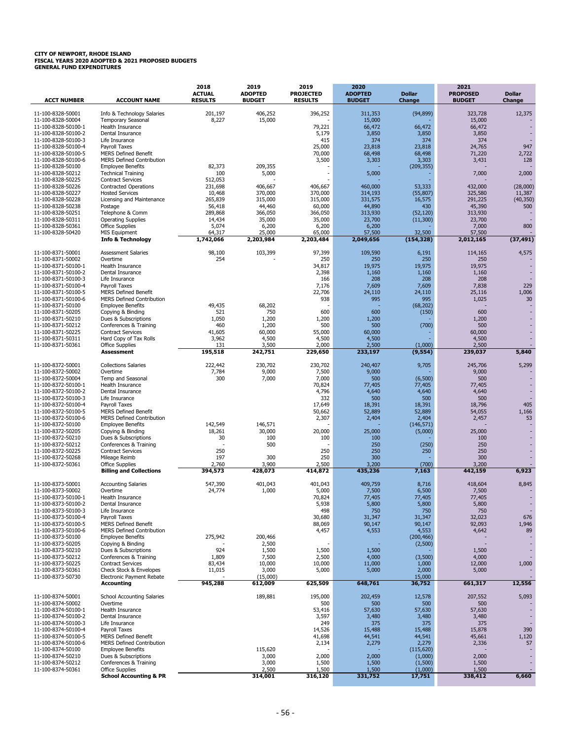| <b>ACCT NUMBER</b>                                                                                                                                                               | <b>ACCOUNT NAME</b>                                                                                                                                                                                          | 2018<br><b>ACTUAL</b><br><b>RESULTS</b>                              | 2019<br><b>ADOPTED</b><br><b>BUDGET</b>                                | 2019<br><b>PROJECTED</b><br><b>RESULTS</b>                            | 2020<br><b>ADOPTED</b><br><b>BUDGET</b>                                  | <b>Dollar</b><br>Change                                          | 2021<br><b>PROPOSED</b><br><b>BUDGET</b>                                 | <b>Dollar</b><br>Change                       |
|----------------------------------------------------------------------------------------------------------------------------------------------------------------------------------|--------------------------------------------------------------------------------------------------------------------------------------------------------------------------------------------------------------|----------------------------------------------------------------------|------------------------------------------------------------------------|-----------------------------------------------------------------------|--------------------------------------------------------------------------|------------------------------------------------------------------|--------------------------------------------------------------------------|-----------------------------------------------|
| 11-100-8328-50001<br>11-100-8328-50004<br>11-100-8328-50100-1<br>11-100-8328-50100-2<br>11-100-8328-50100-3<br>11-100-8328-50100-4<br>11-100-8328-50100-5<br>11-100-8328-50100-6 | Info & Technology Salaries<br><b>Temporary Seasonal</b><br>Health Insurance<br>Dental Insurance<br>Life Insurance<br><b>Pavroll Taxes</b><br><b>MERS Defined Benefit</b><br><b>MERS Defined Contribution</b> | 201,197<br>8,227                                                     | 406,252<br>15,000                                                      | 396,252<br>79,221<br>5,179<br>415<br>25,000<br>70,000<br>3,500        | 311,353<br>15,000<br>66,472<br>3,850<br>374<br>23,818<br>68,498<br>3,303 | (94, 899)<br>66,472<br>3,850<br>374<br>23,818<br>68,498<br>3,303 | 323,728<br>15,000<br>66,472<br>3,850<br>374<br>24,765<br>71,220<br>3,431 | 12,375<br>947<br>2,722<br>128                 |
| 11-100-8328-50100<br>11-100-8328-50212<br>11-100-8328-50225                                                                                                                      | <b>Employee Benefits</b><br><b>Technical Training</b><br><b>Contract Services</b>                                                                                                                            | 82,373<br>100<br>512,053                                             | 209,355<br>5,000                                                       | $\sim$                                                                | 5,000                                                                    | (209, 355)                                                       | 7,000                                                                    | 2,000                                         |
| 11-100-8328-50226<br>11-100-8328-50227<br>11-100-8328-50228<br>11-100-8328-50238<br>11-100-8328-50251<br>11-100-8328-50311<br>11-100-8328-50361                                  | <b>Contracted Operations</b><br><b>Hosted Services</b><br>Licensing and Maintenance<br>Postage<br>Telephone & Comm<br><b>Operating Supplies</b><br><b>Office Supplies</b>                                    | 231,698<br>10,468<br>265,839<br>56,418<br>289,868<br>14,434<br>5,074 | 406,667<br>370,000<br>315,000<br>44,460<br>366,050<br>35,000<br>6,200  | 406,667<br>370,000<br>315,000<br>60,000<br>366,050<br>35,000<br>6,200 | 460,000<br>314,193<br>331,575<br>44,890<br>313,930<br>23,700<br>6,200    | 53,333<br>(55, 807)<br>16,575<br>430<br>(52, 120)<br>(11, 300)   | 432,000<br>325,580<br>291,225<br>45,390<br>313,930<br>23,700<br>7,000    | (28,000)<br>11,387<br>(40, 350)<br>500<br>800 |
| 11-100-8328-50420                                                                                                                                                                | <b>MIS Equipment</b><br><b>Info &amp; Technology</b>                                                                                                                                                         | 64,317<br>1,742,066                                                  | 25,000<br>2,203,984                                                    | 65,000<br>2,203,484                                                   | 57,500<br>2,049,656                                                      | 32,500<br>(154, 328)                                             | 57,500<br>2,012,165                                                      | (37, 491)                                     |
| 11-100-8371-50001<br>11-100-8371-50002<br>11-100-8371-50100-1<br>11-100-8371-50100-2<br>11-100-8371-50100-3<br>11-100-8371-50100-4<br>11-100-8371-50100-5<br>11-100-8371-50100-6 | <b>Assessment Salaries</b><br>Overtime<br>Health Insurance<br>Dental Insurance<br>Life Insurance<br>Payroll Taxes<br><b>MERS Defined Benefit</b><br><b>MERS Defined Contribution</b>                         | 98,100<br>254                                                        | 103,399                                                                | 97,399<br>250<br>34,817<br>2,398<br>166<br>7,176<br>22,706<br>938     | 109,590<br>250<br>19,975<br>1,160<br>208<br>7,609<br>24,110<br>995       | 6,191<br>250<br>19,975<br>1,160<br>208<br>7,609<br>24,110<br>995 | 114,165<br>250<br>19,975<br>1,160<br>208<br>7,838<br>25,116<br>1,025     | 4,575<br>229<br>1,006<br>30                   |
| 11-100-8371-50100<br>11-100-8371-50205<br>11-100-8371-50210<br>11-100-8371-50212<br>11-100-8371-50225<br>11-100-8371-50311<br>11-100-8371-50361                                  | <b>Employee Benefits</b><br>Copying & Binding<br>Dues & Subscriptions<br>Conferences & Training<br><b>Contract Services</b><br>Hard Copy of Tax Rolls<br><b>Office Supplies</b><br><b>Assessment</b>         | 49,435<br>521<br>1,050<br>460<br>41,605<br>3,962<br>131<br>195,518   | 68,202<br>750<br>1,200<br>1,200<br>60,000<br>4,500<br>3,500<br>242,751 | 600<br>1,200<br>500<br>55,000<br>4,500<br>2,000<br>229,650            | 600<br>1,200<br>500<br>60,000<br>4,500<br>2,500<br>233,197               | (68, 202)<br>(150)<br>(700)<br>(1,000)<br>(9, 554)               | 600<br>1,200<br>500<br>60,000<br>4,500<br>2,500<br>239,037               | 5,840                                         |
| 11-100-8372-50001                                                                                                                                                                | <b>Collections Salaries</b>                                                                                                                                                                                  | 222,442                                                              | 230,702                                                                | 230,702                                                               | 240,407                                                                  | 9,705                                                            | 245,706                                                                  | 5,299                                         |
| 11-100-8372-50002<br>11-100-8372-50004<br>11-100-8372-50100-1<br>11-100-8372-50100-2<br>11-100-8372-50100-3<br>11-100-8372-50100-4<br>11-100-8372-50100-5<br>11-100-8372-50100-6 | Overtime<br>Temp and Seasonal<br>Health Insurance<br>Dental Insurance<br>Life Insurance<br>Payroll Taxes<br><b>MERS Defined Benefit</b><br><b>MERS Defined Contribution</b>                                  | 7,784<br>300                                                         | 9,000<br>7,000                                                         | 7,500<br>7,000<br>70,824<br>4,796<br>332<br>17,649<br>50,662<br>2,307 | 9,000<br>500<br>77,405<br>4,640<br>500<br>18,391<br>52,889<br>2,404      | (6,500)<br>77,405<br>4,640<br>500<br>18,391<br>52,889<br>2,404   | 9,000<br>500<br>77,405<br>4,640<br>500<br>18,796<br>54,055<br>2,457      | 405<br>1,166<br>53                            |
| 11-100-8372-50100<br>11-100-8372-50205<br>11-100-8372-50210<br>11-100-8372-50212<br>11-100-8372-50225<br>11-100-8372-50268<br>11-100-8372-50361                                  | <b>Employee Benefits</b><br>Copying & Binding<br>Dues & Subscriptions<br>Conferences & Training<br><b>Contract Services</b><br>Mileage Reimb<br><b>Office Supplies</b><br><b>Billing and Collections</b>     | 142,549<br>18,261<br>30<br>250<br>197<br>2,760<br>394,573            | 146,571<br>30,000<br>100<br>500<br>300<br>3,900<br>428,073             | 20,000<br>100<br>250<br>250<br>2,500<br>414,872                       | 25,000<br>100<br>250<br>250<br>300<br>3,200<br>435,236                   | (146, 571)<br>(5,000)<br>(250)<br>250<br>(700)<br>7,163          | 25,000<br>100<br>250<br>250<br>300<br>3,200<br>442,159                   | 6,923                                         |
| 11-100-8373-50001                                                                                                                                                                | <b>Accounting Salaries</b>                                                                                                                                                                                   | 547,390                                                              | 401,043                                                                | 401,043                                                               | 409,759                                                                  | 8,716                                                            | 418,604                                                                  | 8,845                                         |
| 11-100-8373-50002<br>11-100-8373-50100-1<br>11-100-8373-50100-2<br>11-100-8373-50100-3<br>11-100-8373-50100-4<br>11-100-8373-50100-5<br>11-100-8373-50100-6                      | Overtime<br>Health Insurance<br>Dental Insurance<br>Life Insurance<br>Payroll Taxes<br><b>MERS Defined Benefit</b><br><b>MERS Defined Contribution</b>                                                       | 24,774<br>275,942                                                    | 1,000<br>200,466                                                       | 5,000<br>70,824<br>5,938<br>498<br>30,680<br>88,069<br>4,457          | 7,500<br>77,405<br>5,800<br>750<br>31,347<br>90,147<br>4,553             | 6,500<br>77,405<br>5,800<br>750<br>31,347<br>90,147<br>4,553     | 7,500<br>77,405<br>5,800<br>750<br>32,023<br>92,093<br>4,642             | 676<br>1,946<br>89                            |
| 11-100-8373-50100<br>11-100-8373-50205<br>11-100-8373-50210<br>11-100-8373-50212<br>11-100-8373-50225<br>11-100-8373-50361<br>11-100-8373-50730                                  | <b>Employee Benefits</b><br>Copying & Binding<br>Dues & Subscriptions<br>Conferences & Training<br><b>Contract Services</b><br>Check Stock & Envelopes<br>Electronic Payment Rebate                          | 924<br>1,809<br>83,434<br>11,015                                     | 2,500<br>1,500<br>7,500<br>10,000<br>3,000<br>(15,000)                 | 1,500<br>2,500<br>10,000<br>5,000                                     | 1,500<br>4,000<br>11,000<br>5,000                                        | (200, 466)<br>(2,500)<br>(3,500)<br>1,000<br>2,000<br>15,000     | 1,500<br>4,000<br>12,000<br>5,000                                        | 1,000                                         |
| 11-100-8374-50001                                                                                                                                                                | Accounting<br><b>School Accounting Salaries</b>                                                                                                                                                              | 945,288                                                              | 612,009<br>189,881                                                     | 625,509<br>195,000                                                    | 648,761<br>202,459                                                       | 36,752<br>12,578                                                 | 661,317<br>207,552                                                       | 12,556<br>5,093                               |
| 11-100-8374-50002<br>11-100-8374-50100-1<br>11-100-8374-50100-2<br>11-100-8374-50100-3<br>11-100-8374-50100-4<br>11-100-8374-50100-5<br>11-100-8374-50100-6                      | Overtime<br>Health Insurance<br>Dental Insurance<br>Life Insurance<br>Payroll Taxes<br><b>MERS Defined Benefit</b><br><b>MERS Defined Contribution</b>                                                       |                                                                      |                                                                        | 500<br>53,416<br>3,597<br>249<br>14,526<br>41,698<br>2,134            | 500<br>57,630<br>3,480<br>375<br>15,488<br>44,541<br>2,279               | 500<br>57,630<br>3,480<br>375<br>15,488<br>44,541<br>2,279       | 500<br>57,630<br>3,480<br>375<br>15,878<br>45,661<br>2,336               | 390<br>1,120<br>57                            |
| 11-100-8374-50100<br>11-100-8374-50210<br>11-100-8374-50212<br>11-100-8374-50361                                                                                                 | <b>Employee Benefits</b><br>Dues & Subscriptions<br>Conferences & Training<br><b>Office Supplies</b>                                                                                                         |                                                                      | 115,620<br>3,000<br>3,000<br>2,500                                     | 2,000<br>1,500<br>1,500                                               | 2,000<br>1,500<br>1,500                                                  | (115, 620)<br>(1,000)<br>(1,500)<br>(1,000)                      | 2,000<br>1,500<br>1,500                                                  |                                               |
|                                                                                                                                                                                  | <b>School Accounting &amp; PR</b>                                                                                                                                                                            |                                                                      | 314,001                                                                | 316,120                                                               | 331,752                                                                  | 17,751                                                           | 338,412                                                                  | 6,660                                         |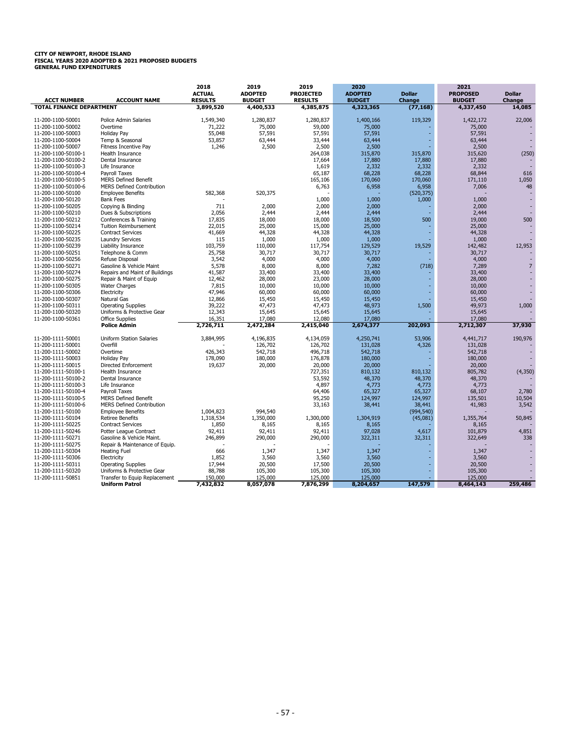| <b>ACCT NUMBER</b>                     | <b>ACCOUNT NAME</b>                                    | 2018<br><b>ACTUAL</b><br><b>RESULTS</b> | 2019<br><b>ADOPTED</b><br><b>BUDGET</b> | 2019<br><b>PROJECTED</b><br><b>RESULTS</b> | 2020<br><b>ADOPTED</b><br><b>BUDGET</b> | <b>Dollar</b><br><b>Change</b> | 2021<br><b>PROPOSED</b><br><b>BUDGET</b> | <b>Dollar</b><br><b>Change</b> |
|----------------------------------------|--------------------------------------------------------|-----------------------------------------|-----------------------------------------|--------------------------------------------|-----------------------------------------|--------------------------------|------------------------------------------|--------------------------------|
| <b>TOTAL FINANCE DEPARTMENT</b>        |                                                        | 3,899,520                               | 4,400,533                               | 4,385,875                                  | 4,323,365                               | (77, 168)                      | 4,337,450                                | 14,085                         |
|                                        |                                                        |                                         |                                         |                                            |                                         |                                |                                          |                                |
| 11-200-1100-50001                      | <b>Police Admin Salaries</b>                           | 1,549,340                               | 1,280,837                               | 1,280,837                                  | 1,400,166                               | 119,329                        | 1,422,172                                | 22,006                         |
| 11-200-1100-50002                      | Overtime                                               | 71,222                                  | 75,000                                  | 59,000                                     | 75,000                                  |                                | 75,000                                   |                                |
| 11-200-1100-50003                      | <b>Holiday Pay</b>                                     | 55,048                                  | 57,591                                  | 57,591                                     | 57,591                                  |                                | 57,591                                   |                                |
| 11-200-1100-50004                      | Temp & Seasonal                                        | 53,857                                  | 63,444                                  | 33,444                                     | 63,444                                  |                                | 63,444                                   |                                |
| 11-200-1100-50007                      | Fitness Incentive Pay                                  | 1,246                                   | 2,500                                   | 2,500                                      | 2,500                                   |                                | 2,500                                    |                                |
| 11-200-1100-50100-1                    | <b>Health Insurance</b>                                |                                         |                                         | 264,038                                    | 315,870                                 | 315,870                        | 315,620                                  | (250)                          |
| 11-200-1100-50100-2                    | Dental Insurance                                       |                                         |                                         | 17,664                                     | 17,880                                  | 17,880                         | 17,880                                   |                                |
| 11-200-1100-50100-3                    | Life Insurance                                         |                                         |                                         | 1,619                                      | 2,332                                   | 2,332                          | 2,332                                    |                                |
| 11-200-1100-50100-4                    | <b>Pavroll Taxes</b>                                   |                                         |                                         | 65,187                                     | 68,228                                  | 68,228                         | 68,844                                   | 616                            |
| 11-200-1100-50100-5                    | <b>MERS Defined Benefit</b>                            |                                         |                                         | 165,106                                    | 170,060                                 | 170,060                        | 171,110                                  | 1,050                          |
| 11-200-1100-50100-6                    | <b>MERS Defined Contribution</b>                       |                                         |                                         | 6,763                                      | 6,958                                   | 6,958                          | 7,006                                    | 48                             |
| 11-200-1100-50100                      | <b>Employee Benefits</b>                               | 582,368                                 | 520,375                                 |                                            |                                         | (520, 375)                     |                                          |                                |
| 11-200-1100-50120                      | <b>Bank Fees</b>                                       |                                         |                                         | 1,000                                      | 1,000                                   | 1,000                          | 1,000                                    |                                |
| 11-200-1100-50205                      | Copying & Binding                                      | 711                                     | 2,000                                   | 2,000                                      | 2,000                                   |                                | 2,000                                    |                                |
| 11-200-1100-50210                      | Dues & Subscriptions                                   | 2,056                                   | 2,444                                   | 2,444                                      | 2,444                                   |                                | 2,444                                    |                                |
| 11-200-1100-50212                      | Conferences & Training                                 | 17,835                                  | 18,000                                  | 18,000                                     | 18,500                                  | 500                            | 19,000                                   | 500                            |
| 11-200-1100-50214                      | <b>Tuition Reimbursement</b>                           | 22,015                                  | 25,000                                  | 15,000                                     | 25,000                                  |                                | 25,000                                   |                                |
| 11-200-1100-50225                      | <b>Contract Services</b>                               | 41,669                                  | 44,328                                  | 44,328<br>1,000                            | 44,328                                  |                                | 44,328                                   |                                |
| 11-200-1100-50235                      | <b>Laundry Services</b>                                | 115<br>103,759                          | 1,000<br>110,000                        | 117,754                                    | 1,000<br>129,529                        | 19,529                         | 1,000<br>142,482                         | 12,953                         |
| 11-200-1100-50239<br>11-200-1100-50251 | Liability Insurance                                    |                                         |                                         |                                            |                                         |                                |                                          |                                |
| 11-200-1100-50256                      | Telephone & Comm<br>Refuse Disposal                    | 25,758<br>3,542                         | 30,717<br>4,000                         | 30,717<br>4,000                            | 30,717<br>4,000                         |                                | 30,717<br>4,000                          |                                |
| 11-200-1100-50271                      | Gasoline & Vehicle Maint                               | 5,578                                   | 8,000                                   | 8,000                                      | 7.282                                   | (718)                          | 7.289                                    | 7                              |
| 11-200-1100-50274                      | Repairs and Maint of Buildings                         | 41,587                                  | 33,400                                  | 33,400                                     | 33,400                                  |                                | 33,400                                   |                                |
| 11-200-1100-50275                      | Repair & Maint of Equip                                | 12,462                                  | 28,000                                  | 23,000                                     | 28,000                                  |                                | 28,000                                   |                                |
| 11-200-1100-50305                      | <b>Water Charges</b>                                   | 7,815                                   | 10,000                                  | 10,000                                     | 10,000                                  |                                | 10,000                                   |                                |
| 11-200-1100-50306                      | Electricity                                            | 47,946                                  | 60,000                                  | 60,000                                     | 60,000                                  |                                | 60,000                                   |                                |
| 11-200-1100-50307                      | Natural Gas                                            | 12,866                                  | 15,450                                  | 15,450                                     | 15,450                                  |                                | 15,450                                   |                                |
| 11-200-1100-50311                      | <b>Operating Supplies</b>                              | 39,222                                  | 47,473                                  | 47,473                                     | 48,973                                  | 1,500                          | 49,973                                   | 1,000                          |
| 11-200-1100-50320                      | Uniforms & Protective Gear                             | 12,343                                  | 15,645                                  | 15,645                                     | 15,645                                  |                                | 15,645                                   |                                |
| 11-200-1100-50361                      | <b>Office Supplies</b>                                 | 16,351                                  | 17,080                                  | 12,080                                     | 17,080                                  |                                | 17,080                                   |                                |
|                                        | <b>Police Admin</b>                                    | 2,726,711                               | 2,472,284                               | 2,415,040                                  | 2,674,377                               | 202,093                        | 2,712,307                                | 37,930                         |
|                                        |                                                        |                                         |                                         |                                            |                                         |                                |                                          |                                |
| 11-200-1111-50001                      | <b>Uniform Station Salaries</b>                        | 3,884,995                               | 4,196,835                               | 4,134,059                                  | 4,250,741                               | 53,906                         | 4,441,717                                | 190,976                        |
| 11-200-1111-50001                      | Overfill                                               |                                         | 126,702                                 | 126,702                                    | 131,028                                 | 4,326                          | 131,028                                  |                                |
| 11-200-1111-50002                      | Overtime                                               | 426,343                                 | 542,718                                 | 496,718                                    | 542,718                                 |                                | 542,718                                  |                                |
| 11-200-1111-50003                      | Holiday Pay                                            | 178,090                                 | 180,000                                 | 176,878                                    | 180,000                                 |                                | 180,000                                  |                                |
| 11-200-1111-50015                      | Directed Enforcement                                   | 19,637                                  | 20,000                                  | 20,000                                     | 20,000                                  |                                | 20,000                                   |                                |
| 11-200-1111-50100-1                    | <b>Health Insurance</b>                                |                                         |                                         | 727,351                                    | 810.132                                 | 810,132                        | 805,782                                  | (4,350)                        |
| 11-200-1111-50100-2                    | Dental Insurance                                       |                                         |                                         | 53,592                                     | 48,370                                  | 48,370                         | 48,370                                   |                                |
| 11-200-1111-50100-3                    | Life Insurance                                         |                                         |                                         | 4,897                                      | 4,773                                   | 4,773                          | 4.773                                    |                                |
| 11-200-1111-50100-4                    | <b>Pavroll Taxes</b>                                   |                                         |                                         | 64,406                                     | 65,327                                  | 65,327                         | 68,107                                   | 2,780                          |
| 11-200-1111-50100-5                    | <b>MERS Defined Benefit</b>                            |                                         |                                         | 95,250                                     | 124,997                                 | 124,997                        | 135,501                                  | 10,504                         |
| 11-200-1111-50100-6                    | <b>MERS Defined Contribution</b>                       |                                         |                                         | 33,163                                     | 38,441                                  | 38,441                         | 41,983                                   | 3,542                          |
| 11-200-1111-50100                      | <b>Employee Benefits</b>                               | 1,004,823                               | 994,540                                 |                                            |                                         | (994, 540)                     |                                          |                                |
| 11-200-1111-50104                      | <b>Retiree Benefits</b>                                | 1,318,534                               | 1,350,000                               | 1,300,000                                  | 1,304,919                               | (45,081)                       | 1,355,764                                | 50,845                         |
| 11-200-1111-50225                      | <b>Contract Services</b>                               | 1,850                                   | 8,165                                   | 8,165                                      | 8,165                                   |                                | 8,165                                    |                                |
| 11-200-1111-50246                      | Potter League Contract                                 | 92,411                                  | 92,411                                  | 92,411                                     | 97,028                                  | 4,617                          | 101,879                                  | 4,851                          |
| 11-200-1111-50271                      | Gasoline & Vehicle Maint.                              | 246,899                                 | 290,000                                 | 290,000                                    | 322,311                                 | 32,311                         | 322,649                                  | 338                            |
| 11-200-1111-50275                      | Repair & Maintenance of Equip.                         |                                         |                                         |                                            |                                         |                                |                                          |                                |
| 11-200-1111-50304                      | <b>Heating Fuel</b>                                    | 666                                     | 1,347                                   | 1,347                                      | 1,347                                   |                                | 1,347                                    |                                |
| 11-200-1111-50306                      | Electricity                                            | 1,852                                   | 3,560                                   | 3,560                                      | 3,560                                   |                                | 3,560                                    |                                |
| 11-200-1111-50311                      | <b>Operating Supplies</b>                              | 17,944                                  | 20,500                                  | 17,500                                     | 20,500                                  |                                | 20,500                                   |                                |
| 11-200-1111-50320                      | Uniforms & Protective Gear                             | 88,788                                  | 105,300                                 | 105,300                                    | 105,300                                 |                                | 105,300                                  |                                |
| 11-200-1111-50851                      | Transfer to Equip Replacement<br><b>Uniform Patrol</b> | 150,000<br>7,432,832                    | 125,000<br>8,057,078                    | 125,000<br>7,876,299                       | 125,000<br>8,204,657                    | 147,579                        | 125,000<br>8,464,143                     | 259,486                        |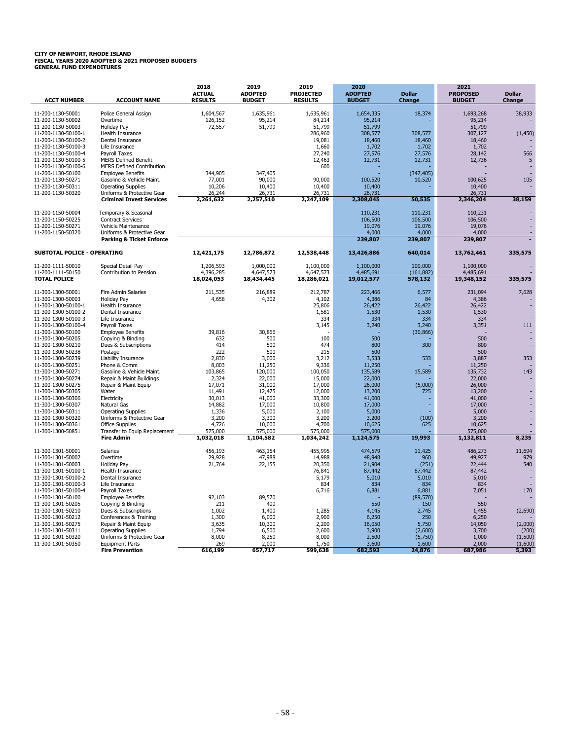| <b>ACCT NUMBER</b>                         | <b>ACCOUNT NAME</b>                                           | 2018<br><b>ACTUAL</b><br><b>RESULTS</b> | 2019<br><b>ADOPTED</b><br><b>BUDGET</b> | 2019<br><b>PROJECTED</b><br><b>RESULTS</b> | 2020<br><b>ADOPTED</b><br><b>BUDGET</b> | <b>Dollar</b><br>Change | 2021<br><b>PROPOSED</b><br><b>BUDGET</b> | <b>Dollar</b><br>Change |
|--------------------------------------------|---------------------------------------------------------------|-----------------------------------------|-----------------------------------------|--------------------------------------------|-----------------------------------------|-------------------------|------------------------------------------|-------------------------|
| 11-200-1130-50001                          | Police General Assign                                         | 1,604,567                               | 1,635,961                               | 1,635,961                                  | 1,654,335                               | 18,374                  | 1,693,268                                | 38,933                  |
| 11-200-1130-50002                          | Overtime                                                      | 126,152                                 | 95,214                                  | 84,214                                     | 95,214                                  |                         | 95,214                                   |                         |
| 11-200-1130-50003                          | Holiday Pay                                                   | 72,557                                  | 51,799                                  | 51,799                                     | 51,799                                  |                         | 51,799                                   |                         |
| 11-200-1130-50100-1                        | Health Insurance                                              |                                         |                                         | 286,960                                    | 308,577                                 | 308,577                 | 307,127                                  | (1, 450)                |
| 11-200-1130-50100-2<br>11-200-1130-50100-3 | Dental Insurance<br>Life Insurance                            |                                         |                                         | 19,081<br>1,660                            | 18,460<br>1,702                         | 18,460<br>1,702         | 18,460<br>1,702                          |                         |
| 11-200-1130-50100-4                        | Payroll Taxes                                                 |                                         |                                         | 27,240                                     | 27,576                                  | 27,576                  | 28,142                                   | 566                     |
| 11-200-1130-50100-5                        | <b>MERS Defined Benefit</b>                                   |                                         |                                         | 12,463                                     | 12,731                                  | 12,731                  | 12,736                                   |                         |
| 11-200-1130-50100-6                        | <b>MERS Defined Contribution</b>                              |                                         |                                         | 600                                        |                                         |                         |                                          |                         |
| 11-200-1130-50100                          | <b>Employee Benefits</b>                                      | 344,905                                 | 347,405                                 |                                            |                                         | (347, 405)              |                                          |                         |
| 11-200-1130-50271                          | Gasoline & Vehicle Maint.                                     | 77,001                                  | 90,000                                  | 90,000                                     | 100,520                                 | 10,520                  | 100,625                                  | 105                     |
| 11-200-1130-50311                          | <b>Operating Supplies</b>                                     | 10,206                                  | 10,400                                  | 10,400                                     | 10,400                                  |                         | 10,400                                   |                         |
| 11-200-1130-50320                          | Uniforms & Protective Gear<br><b>Criminal Invest Services</b> | 26,244<br>2,261,632                     | 26,731<br>2,257,510                     | 26,731<br>2,247,109                        | 26,731<br>2,308,045                     | 50,535                  | 26,731<br>2,346,204                      | 38,159                  |
|                                            |                                                               |                                         |                                         |                                            |                                         |                         |                                          |                         |
| 11-200-1150-50004                          | Temporary & Seasonal                                          |                                         |                                         |                                            | 110,231                                 | 110,231                 | 110,231                                  |                         |
| 11-200-1150-50225                          | <b>Contract Services</b><br>Vehicle Maintenance               |                                         |                                         |                                            | 106,500<br>19,076                       | 106,500<br>19,076       | 106,500                                  |                         |
| 11-200-1150-50271<br>11-200-1150-50320     | Uniforms & Protective Gear                                    |                                         |                                         |                                            | 4,000                                   | 4,000                   | 19,076<br>4,000                          |                         |
|                                            | <b>Parking &amp; Ticket Enforce</b>                           |                                         |                                         |                                            | 239,807                                 | 239,807                 | 239,807                                  |                         |
| SUBTOTAL POLICE - OPERATING                |                                                               | 12,421,175                              | 12,786,872                              | 12,538,448                                 | 13,426,886                              | 640,014                 | 13,762,461                               | 335,575                 |
| 11-200-1111-50010                          | Special Detail Pay                                            | 1,206,593                               | 1,000,000                               | 1,100,000                                  | 1,100,000                               | 100,000                 | 1,100,000                                |                         |
| 11-200-1111-50150                          | Contribution to Pension                                       | 4,396,285                               | 4,647,573                               | 4,647,573                                  | 4,485,691                               | (161, 882)              | 4,485,691                                |                         |
| <b>TOTAL POLICE</b>                        |                                                               | 18,024,053                              | 18,434,445                              | 18,286,021                                 | 19,012,577                              | 578,132                 | 19,348,152                               | 335,575                 |
| 11-300-1300-50001                          | Fire Admin Salaries                                           | 211,535                                 | 216,889                                 | 212,787                                    | 223,466                                 | 6,577                   | 231,094                                  | 7,628                   |
| 11-300-1300-50003                          | Holiday Pay                                                   | 4,658                                   | 4,302                                   | 4,102                                      | 4,386                                   | 84                      | 4,386                                    |                         |
| 11-300-1300-50100-1                        | Health Insurance                                              |                                         |                                         | 25,806                                     | 26,422                                  | 26,422                  | 26,422                                   |                         |
| 11-300-1300-50100-2                        | Dental Insurance                                              |                                         |                                         | 1,581                                      | 1,530                                   | 1,530                   | 1,530                                    |                         |
| 11-300-1300-50100-3                        | Life Insurance                                                |                                         |                                         | 334                                        | 334                                     | 334                     | 334                                      |                         |
| 11-300-1300-50100-4<br>11-300-1300-50100   | Payroll Taxes<br><b>Employee Benefits</b>                     | 39,816                                  | 30,866                                  | 3,145                                      | 3,240                                   | 3,240<br>(30, 866)      | 3,351                                    | 111                     |
| 11-300-1300-50205                          | Copying & Binding                                             | 632                                     | 500                                     | 100                                        | 500                                     |                         | 500                                      |                         |
| 11-300-1300-50210                          | Dues & Subscriptions                                          | 414                                     | 500                                     | 474                                        | 800                                     | 300                     | 800                                      |                         |
| 11-300-1300-50238                          | Postage                                                       | 222                                     | 500                                     | 215                                        | 500                                     |                         | 500                                      |                         |
| 11-300-1300-50239                          | Liability Insurance                                           | 2,830                                   | 3,000                                   | 3,212                                      | 3,533                                   | 533                     | 3,887                                    | 353                     |
| 11-300-1300-50251                          | Phone & Comm                                                  | 8,003                                   | 11,250                                  | 9,336                                      | 11,250                                  |                         | 11,250                                   |                         |
| 11-300-1300-50271                          | Gasoline & Vehicle Maint.                                     | 103,865                                 | 120,000                                 | 100,050                                    | 135,589                                 | 15,589                  | 135,732                                  | 143                     |
| 11-300-1300-50274                          | Repair & Maint Buildings                                      | 2,324                                   | 22,000                                  | 15,000                                     | 22,000                                  |                         | 22,000                                   |                         |
| 11-300-1300-50275<br>11-300-1300-50305     | Repair & Maint Equip<br>Water                                 | 17,071<br>11,491                        | 31,000<br>12,475                        | 17,000<br>12,000                           | 26,000<br>13,200                        | (5,000)<br>725          | 26,000<br>13,200                         |                         |
| 11-300-1300-50306                          | Electricity                                                   | 30,013                                  | 41,000                                  | 33,300                                     | 41,000                                  |                         | 41,000                                   |                         |
| 11-300-1300-50307                          | Natural Gas                                                   | 14,882                                  | 17,000                                  | 10,800                                     | 17,000                                  |                         | 17,000                                   |                         |
| 11-300-1300-50311                          | <b>Operating Supplies</b>                                     | 1,336                                   | 5,000                                   | 2,100                                      | 5,000                                   |                         | 5,000                                    |                         |
| 11-300-1300-50320                          | Uniforms & Protective Gear                                    | 3,200                                   | 3,300                                   | 3,200                                      | 3,200                                   | (100)                   | 3,200                                    |                         |
| 11-300-1300-50361                          | <b>Office Supplies</b>                                        | 4,726                                   | 10,000                                  | 4,700                                      | 10,625                                  | 625                     | 10,625                                   |                         |
| 11-300-1300-50851                          | Transfer to Equip Replacement<br><b>Fire Admin</b>            | 575,000<br>1,032,018                    | 575,000<br>1,104,582                    | 575,000<br>1,034,242                       | 575,000<br>1,124,575                    | 19,993                  | 575,000<br>1,132,811                     | 8,235                   |
|                                            |                                                               |                                         |                                         |                                            |                                         |                         |                                          |                         |
| 11-300-1301-50001                          | Salaries                                                      | 456,193                                 | 463,154                                 | 455,995                                    | 474,579                                 | 11,425                  | 486,273                                  | 11,694                  |
| 11-300-1301-50002                          | Overtime                                                      | 29,928                                  | 47,988                                  | 14,988                                     | 48,948                                  | 960                     | 49,927                                   | 979                     |
| 11-300-1301-50003<br>11-300-1301-50100-1   | <b>Holiday Pay</b><br>Health Insurance                        | 21,764                                  | 22,155                                  | 20,350<br>76,841                           | 21,904<br>87,442                        | (251)<br>87,442         | 22,444<br>87,442                         | 540                     |
| 11-300-1301-50100-2                        | Dental Insurance                                              |                                         |                                         | 5,179                                      | 5,010                                   | 5,010                   | 5,010                                    |                         |
| 11-300-1301-50100-3                        | Life Insurance                                                |                                         |                                         | 834                                        | 834                                     | 834                     | 834                                      |                         |
| 11-300-1301-50100-4                        | Payroll Taxes                                                 |                                         |                                         | 6,716                                      | 6,881                                   | 6,881                   | 7,051                                    | 170                     |
| 11-300-1301-50100                          | <b>Employee Benefits</b>                                      | 92,103                                  | 89,570                                  |                                            |                                         | (89, 570)               |                                          |                         |
| 11-300-1301-50205                          | Copying & Binding                                             | 211                                     | 400                                     |                                            | 550                                     | 150                     | 550                                      |                         |
| 11-300-1301-50210                          | Dues & Subscriptions                                          | 1,002                                   | 1,400                                   | 1,285                                      | 4,145                                   | 2,745                   | 1,455                                    | (2,690)                 |
| 11-300-1301-50212                          | Conferences & Training                                        | 1,300                                   | 6,000                                   | 2,900                                      | 6,250                                   | 250                     | 6,250                                    |                         |
| 11-300-1301-50275                          | Repair & Maint Equip                                          | 3,635                                   | 10,300                                  | 2,200                                      | 16,050                                  | 5,750                   | 14,050                                   | (2,000)                 |
| 11-300-1301-50311<br>11-300-1301-50320     | <b>Operating Supplies</b><br>Uniforms & Protective Gear       | 1,794<br>8,000                          | 6,500<br>8,250                          | 2,600<br>8,000                             | 3,900<br>2,500                          | (2,600)                 | 3,700<br>1,000                           | (200)<br>(1,500)        |
| 11-300-1301-50350                          | <b>Equipment Parts</b>                                        | 269                                     | 2,000                                   | 1,750                                      | 3,600                                   | (5,750)<br>1,600        | 2,000                                    | (1,600)                 |
|                                            | <b>Fire Prevention</b>                                        | 616.199                                 | 657,717                                 | 599,638                                    | 682,593                                 | 24,876                  | 687,986                                  | 5.393                   |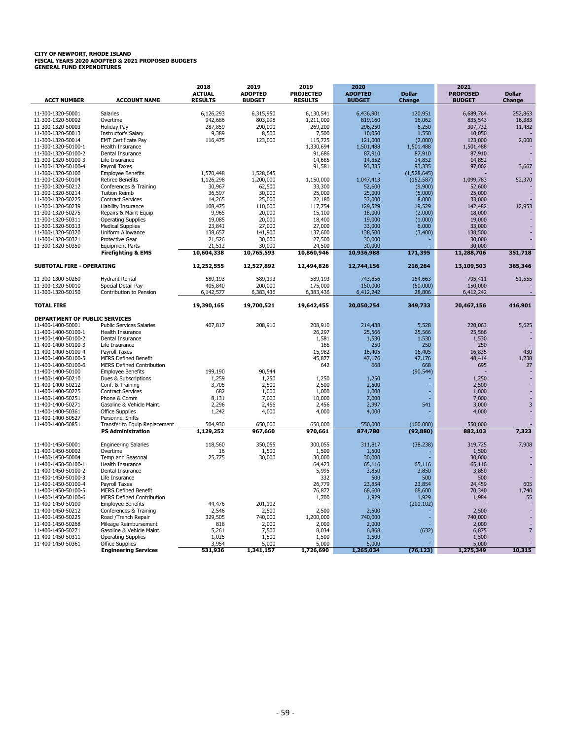| <b>GENERAL FUND EXPENDITURES</b> |  |
|----------------------------------|--|

| <b>ACCT NUMBER</b>                         | <b>ACCOUNT NAME</b>                                          | 2018<br><b>ACTUAL</b><br><b>RESULTS</b> | 2019<br><b>ADOPTED</b><br><b>BUDGET</b> | 2019<br><b>PROJECTED</b><br><b>RESULTS</b> | 2020<br><b>ADOPTED</b><br><b>BUDGET</b> | <b>Dollar</b><br><b>Change</b> | 2021<br><b>PROPOSED</b><br><b>BUDGET</b> | <b>Dollar</b><br>Change |
|--------------------------------------------|--------------------------------------------------------------|-----------------------------------------|-----------------------------------------|--------------------------------------------|-----------------------------------------|--------------------------------|------------------------------------------|-------------------------|
| 11-300-1320-50001                          | Salaries                                                     | 6,126,293                               | 6,315,950                               | 6,130,541                                  | 6,436,901                               | 120,951                        | 6,689,764                                | 252,863                 |
| 11-300-1320-50002                          | Overtime                                                     | 942,686                                 | 803,098                                 | 1,211,000                                  | 819,160                                 | 16,062                         | 835,543                                  | 16,383                  |
| 11-300-1320-50003                          | Holiday Pay                                                  | 287,859                                 | 290,000                                 | 269,200                                    | 296,250                                 | 6,250                          | 307,732                                  | 11,482                  |
| 11-300-1320-50013                          | <b>Instructor's Salary</b>                                   | 9,389                                   | 8,500                                   | 7,500                                      | 10,050                                  | 1,550                          | 10,050                                   |                         |
| 11-300-1320-50014                          | <b>EMT Certificate Pay</b>                                   | 116,475                                 | 123,000                                 | 115,725                                    | 121.000                                 | (2,000)                        | 123,000                                  | 2,000                   |
| 11-300-1320-50100-1                        | Health Insurance                                             |                                         |                                         | 1,330,694                                  | 1,501,488                               | 1,501,488                      | 1,501,488                                |                         |
| 11-300-1320-50100-2                        | Dental Insurance                                             |                                         |                                         | 91,686                                     | 87,910                                  | 87,910                         | 87,910                                   |                         |
| 11-300-1320-50100-3                        | Life Insurance                                               |                                         |                                         | 14,685                                     | 14,852                                  | 14,852                         | 14,852                                   |                         |
| 11-300-1320-50100-4                        | Payroll Taxes                                                |                                         |                                         | 91,581                                     | 93,335                                  | 93,335                         | 97,002                                   | 3,667                   |
| 11-300-1320-50100<br>11-300-1320-50104     | <b>Employee Benefits</b><br><b>Retiree Benefits</b>          | 1,570,448<br>1,126,298                  | 1,528,645<br>1,200,000                  | 1,150,000                                  | 1,047,413                               | (1,528,645)<br>(152, 587)      | 1,099,783                                | 52,370                  |
| 11-300-1320-50212                          | Conferences & Training                                       | 30,967                                  | 62,500                                  | 33,300                                     | 52,600                                  | (9,900)                        | 52,600                                   |                         |
| 11-300-1320-50214                          | <b>Tuition Reimb</b>                                         | 36,597                                  | 30,000                                  | 25,000                                     | 25,000                                  | (5,000)                        | 25,000                                   |                         |
| 11-300-1320-50225                          | <b>Contract Services</b>                                     | 14,265                                  | 25,000                                  | 22,180                                     | 33,000                                  | 8,000                          | 33,000                                   |                         |
| 11-300-1320-50239                          | Liability Insurance                                          | 108,475                                 | 110,000                                 | 117,754                                    | 129,529                                 | 19,529                         | 142,482                                  | 12,953                  |
| 11-300-1320-50275                          | Repairs & Maint Equip                                        | 9,965                                   | 20,000                                  | 15,100                                     | 18,000                                  | (2,000)                        | 18,000                                   |                         |
| 11-300-1320-50311                          | <b>Operating Supplies</b>                                    | 19,085                                  | 20,000                                  | 18,400                                     | 19,000                                  | (1,000)                        | 19,000                                   |                         |
| 11-300-1320-50313                          | <b>Medical Supplies</b>                                      | 23,841                                  | 27,000                                  | 27,000                                     | 33,000                                  | 6,000                          | 33,000                                   |                         |
| 11-300-1320-50320                          | <b>Uniform Allowance</b>                                     | 138,657                                 | 141,900                                 | 137,600                                    | 138,500                                 | (3, 400)                       | 138,500                                  |                         |
| 11-300-1320-50321                          | Protective Gear                                              | 21,526                                  | 30,000                                  | 27,500                                     | 30,000                                  |                                | 30,000                                   |                         |
| 11-300-1320-50350                          | <b>Equipment Parts</b>                                       | 21,512                                  | 30,000                                  | 24,500                                     | 30,000<br>10,936,988                    |                                | 30,000                                   | 351,718                 |
|                                            | <b>Firefighting &amp; EMS</b>                                | 10,604,338                              | 10,765,593                              | 10,860,946                                 |                                         | 171,395                        | 11,288,706                               |                         |
| SUBTOTAL FIRE - OPERATING                  |                                                              | 12,252,555                              | 12,527,892                              | 12,494,826                                 | 12,744,156                              | 216,264                        | 13,109,503                               | 365,346                 |
| 11-300-1300-50260                          | <b>Hydrant Rental</b>                                        | 589,193                                 | 589,193                                 | 589,193                                    | 743,856                                 | 154,663                        | 795,411                                  | 51,555                  |
| 11-300-1320-50010                          | Special Detail Pay                                           | 405,840                                 | 200,000                                 | 175,000                                    | 150,000                                 | (50,000)                       | 150,000                                  |                         |
| 11-300-1320-50150                          | Contribution to Pension                                      | 6,142,577                               | 6,383,436                               | 6,383,436                                  | 6,412,242                               | 28,806                         | 6,412,242                                |                         |
| <b>TOTAL FIRE</b>                          |                                                              | 19,390,165                              | 19,700,521                              | 19,642,455                                 | 20,050,254                              | 349,733                        | 20,467,156                               | 416,901                 |
| DEPARTMENT OF PUBLIC SERVICES              |                                                              |                                         |                                         |                                            |                                         |                                |                                          |                         |
| 11-400-1400-50001                          | <b>Public Services Salaries</b>                              | 407,817                                 | 208,910                                 | 208,910                                    | 214,438                                 | 5,528                          | 220,063                                  | 5,625                   |
| 11-400-1400-50100-1                        | Health Insurance                                             |                                         |                                         | 26,297                                     | 25,566                                  | 25,566                         | 25,566                                   |                         |
| 11-400-1400-50100-2                        | Dental Insurance                                             |                                         |                                         | 1,581                                      | 1,530                                   | 1,530                          | 1,530                                    |                         |
| 11-400-1400-50100-3                        | Life Insurance                                               |                                         |                                         | 166                                        | 250                                     | 250                            | 250                                      |                         |
| 11-400-1400-50100-4<br>11-400-1400-50100-5 | Payroll Taxes<br><b>MERS Defined Benefit</b>                 |                                         |                                         | 15,982<br>45,877                           | 16,405<br>47,176                        | 16,405<br>47,176               | 16,835<br>48,414                         | 430                     |
| 11-400-1400-50100-6                        | <b>MERS Defined Contribution</b>                             |                                         |                                         | 642                                        | 668                                     | 668                            | 695                                      | 1,238<br>27             |
| 11-400-1400-50100                          | <b>Employee Benefits</b>                                     | 199,190                                 | 90,544                                  |                                            |                                         | (90, 544)                      |                                          |                         |
| 11-400-1400-50210                          | Dues & Subscriptions                                         | 1,259                                   | 1,250                                   | 1,250                                      | 1,250                                   |                                | 1,250                                    |                         |
| 11-400-1400-50212                          | Conf. & Training                                             | 3,705                                   | 2,500                                   | 2,500                                      | 2,500                                   |                                | 2,500                                    |                         |
| 11-400-1400-50225                          | <b>Contract Services</b>                                     | 682                                     | 1,000                                   | 1,000                                      | 1,000                                   |                                | 1,000                                    |                         |
| 11-400-1400-50251                          | Phone & Comm                                                 | 8,131                                   | 7,000                                   | 10,000                                     | 7,000                                   |                                | 7,000                                    |                         |
| 11-400-1400-50271                          | Gasoline & Vehicle Maint.                                    | 2,296                                   | 2,456                                   | 2,456                                      | 2,997                                   | 541                            | 3,000                                    | 3                       |
| 11-400-1400-50361                          | <b>Office Supplies</b>                                       | 1,242                                   | 4,000                                   | 4,000                                      | 4,000                                   |                                | 4,000                                    |                         |
| 11-400-1400-50527                          | Personnel Shifts                                             |                                         |                                         |                                            |                                         |                                |                                          |                         |
| 11-400-1400-50851                          | Transfer to Equip Replacement<br><b>PS Administration</b>    | 504,930<br>1,129,252                    | 650,000<br>967,660                      | 650,000<br>970,661                         | 550,000<br>874,780                      | (100,000)<br>(92, 880)         | 550,000<br>882,103                       | 7,323                   |
| 11-400-1450-50001                          | <b>Engineering Salaries</b>                                  | 118,560                                 | 350,055                                 | 300,055                                    | 311,817                                 | (38, 238)                      | 319,725                                  | 7,908                   |
| 11-400-1450-50002                          | Overtime                                                     | 16                                      | 1,500                                   | 1,500                                      | 1,500                                   |                                | 1,500                                    |                         |
| 11-400-1450-50004                          | Temp and Seasonal                                            | 25,775                                  | 30,000                                  | 30,000                                     | 30,000                                  |                                | 30,000                                   |                         |
| 11-400-1450-50100-1                        | Health Insurance                                             |                                         |                                         | 64,423                                     | 65,116                                  | 65,116                         | 65,116                                   |                         |
| 11-400-1450-50100-2                        | Dental Insurance                                             |                                         |                                         | 5,995                                      | 3,850                                   | 3,850                          | 3,850                                    |                         |
| 11-400-1450-50100-3                        | Life Insurance                                               |                                         |                                         | 332                                        | 500                                     | 500                            | 500                                      |                         |
| 11-400-1450-50100-4                        | Payroll Taxes                                                |                                         |                                         | 26,779                                     | 23,854                                  | 23,854                         | 24,459                                   | 605                     |
| 11-400-1450-50100-5                        | <b>MERS Defined Benefit</b>                                  |                                         |                                         | 76,872                                     | 68,600                                  | 68,600                         | 70,340                                   | 1,740                   |
| 11-400-1450-50100-6<br>11-400-1450-50100   | <b>MERS Defined Contribution</b><br><b>Employee Benefits</b> | 44,476                                  | 201,102                                 | 1,700                                      | 1,929                                   | 1,929<br>(201, 102)            | 1,984                                    | 55                      |
| 11-400-1450-50212                          | Conferences & Training                                       | 2,546                                   | 2,500                                   | 2,500                                      | 2,500                                   |                                | 2,500                                    |                         |
| 11-400-1450-50225                          | Road /Trench Repair                                          | 329,505                                 | 740,000                                 | 1,200,000                                  | 740,000                                 |                                | 740,000                                  |                         |
| 11-400-1450-50268                          | Mileage Reimbursement                                        | 818                                     | 2,000                                   | 2,000                                      | 2,000                                   |                                | 2,000                                    |                         |
| 11-400-1450-50271                          | Gasoline & Vehicle Maint.                                    | 5,261                                   | 7,500                                   | 8,034                                      | 6,868                                   | (632)                          | 6,875                                    | $\overline{7}$          |
| 11-400-1450-50311                          | <b>Operating Supplies</b>                                    | 1,025                                   | 1,500                                   | 1,500                                      | 1,500                                   |                                | 1,500                                    |                         |
| 11-400-1450-50361                          | <b>Office Supplies</b>                                       | 3,954                                   | 5,000                                   | 5,000                                      | 5,000                                   |                                | 5,000                                    |                         |
|                                            | <b>Engineering Services</b>                                  | 531,936                                 | 1,341,157                               | 1,726,690                                  | 1,265,034                               | (76, 123)                      | 1,275,349                                | 10,315                  |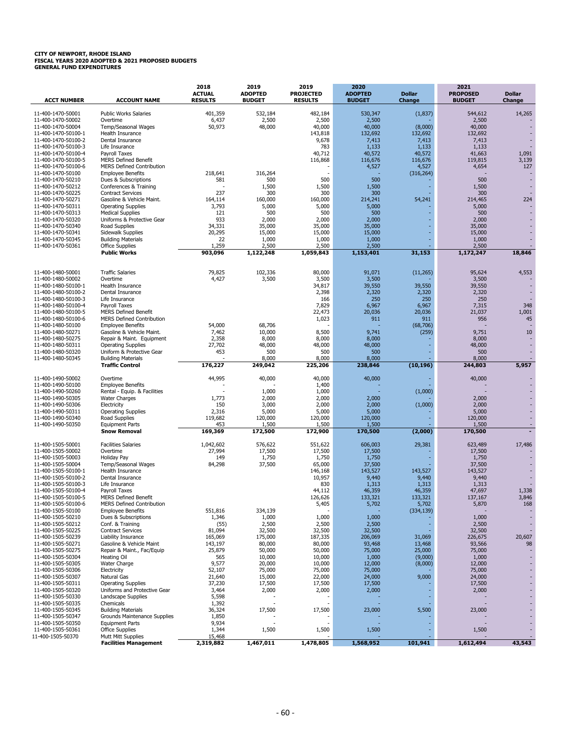| 14,265<br>11-400-1470-50001<br><b>Public Works Salaries</b><br>401,359<br>532,184<br>482,184<br>530,347<br>(1, 837)<br>544,612<br>Overtime<br>6,437<br>2,500<br>2,500<br>2,500<br>2,500<br>11-400-1470-50002<br>50,973<br>48,000<br>40,000<br>40,000<br>Temp/Seasonal Wages<br>40,000<br>(8,000)<br>11-400-1470-50004<br>143,818<br>132,692<br>11-400-1470-50100-1<br>Health Insurance<br>132,692<br>132,692<br>11-400-1470-50100-2<br>Dental Insurance<br>9,678<br>7,413<br>7,413<br>7,413<br>783<br>Life Insurance<br>1,133<br>1,133<br>11-400-1470-50100-3<br>1,133<br>40,712<br>1,091<br>11-400-1470-50100-4<br>Payroll Taxes<br>40,572<br>40,572<br>41,663<br>3,139<br><b>MERS Defined Benefit</b><br>116,868<br>116,676<br>116,676<br>119,815<br>11-400-1470-50100-5<br>127<br><b>MERS Defined Contribution</b><br>4,527<br>4,654<br>11-400-1470-50100-6<br>4,527<br>11-400-1470-50100<br><b>Employee Benefits</b><br>218,641<br>316,264<br>(316, 264)<br>581<br>500<br>500<br>11-400-1470-50210<br>Dues & Subscriptions<br>500<br>500<br>11-400-1470-50212<br>Conferences & Training<br>1,500<br>1,500<br>1,500<br>1,500<br>237<br><b>Contract Services</b><br>300<br>300<br>300<br>300<br>11-400-1470-50225<br>160,000<br>160,000<br>224<br>Gasoline & Vehicle Maint.<br>164,114<br>214,241<br>54,241<br>214,465<br>11-400-1470-50271<br>5,000<br>5,000<br>11-400-1470-50311<br><b>Operating Supplies</b><br>3,793<br>5,000<br>5,000<br>500<br>500<br>121<br>500<br>500<br>11-400-1470-50313<br><b>Medical Supplies</b><br>÷,<br>933<br>2,000<br>2,000<br>Uniforms & Protective Gear<br>2,000<br>2,000<br>11-400-1470-50320<br>11-400-1470-50340<br>Road Supplies<br>34,331<br>35,000<br>35,000<br>35,000<br>35,000<br>11-400-1470-50341<br>Sidewalk Supplies<br>20,295<br>15,000<br>15,000<br>15,000<br>15,000<br><b>Building Materials</b><br>22<br>1,000<br>1,000<br>1,000<br>1,000<br>11-400-1470-50345<br>1,259<br>2,500<br>2,500<br>2,500<br>2,500<br>11-400-1470-50361<br><b>Office Supplies</b><br>31,153<br>18,846<br><b>Public Works</b><br>903,096<br>1,122,248<br>1,059,843<br>1,153,401<br>1,172,247<br>79,825<br>102,336<br>80,000<br>11-400-1480-50001<br><b>Traffic Salaries</b><br>91,071<br>(11, 265)<br>95,624<br>4,553<br>11-400-1480-50002<br>Overtime<br>4,427<br>3,500<br>3,500<br>3,500<br>3,500<br>34,817<br>39,550<br>39,550<br>39,550<br>11-400-1480-50100-1<br>Health Insurance<br>÷,<br>2,398<br>Dental Insurance<br>2,320<br>2,320<br>2,320<br>11-400-1480-50100-2<br>11-400-1480-50100-3<br>Life Insurance<br>166<br>250<br>250<br>250<br>348<br>7,829<br>11-400-1480-50100-4<br>Payroll Taxes<br>6,967<br>6,967<br>7,315<br>1,001<br>22,473<br><b>MERS Defined Benefit</b><br>20,036<br>20,036<br>21,037<br>11-400-1480-50100-5<br>1,023<br>911<br>911<br>956<br>45<br>11-400-1480-50100-6<br><b>MERS Defined Contribution</b><br>54,000<br>11-400-1480-50100<br><b>Employee Benefits</b><br>68,706<br>(68, 706)<br>8,500<br>10<br>10,000<br>(259)<br>9,751<br>11-400-1480-50271<br>Gasoline & Vehicle Maint.<br>7,462<br>9,741<br>2,358<br>8,000<br>8,000<br>8,000<br>8,000<br>11-400-1480-50275<br>Repair & Maint. Equipment<br>48,000<br>48,000<br>48,000<br><b>Operating Supplies</b><br>27,702<br>48,000<br>11-400-1480-50311<br>11-400-1480-50320<br>Uniform & Protective Gear<br>453<br>500<br>500<br>500<br>500<br>8,000<br>8,000<br>8,000<br><b>Building Materials</b><br>8,000<br>11-400-1480-50345<br><b>Traffic Control</b><br>176,227<br>249,042<br>225,206<br>238,846<br>(10, 196)<br>244,803<br>5,957<br>11-400-1490-50002<br>Overtime<br>44,995<br>40,000<br>40,000<br>40,000<br>40,000<br>1,400<br><b>Employee Benefits</b><br>11-400-1490-50100<br>1,000<br>11-400-1490-50260<br>Rental - Equip. & Facilities<br>1,000<br>(1,000)<br>11-400-1490-50305<br><b>Water Charges</b><br>1,773<br>2,000<br>2,000<br>2,000<br>2,000<br>Electricity<br>150<br>3,000<br>2,000<br>(1,000)<br>2,000<br>11-400-1490-50306<br>2,000<br>5,000<br><b>Operating Supplies</b><br>2,316<br>5,000<br>5,000<br>5,000<br>11-400-1490-50311<br>÷,<br>119,682<br>120,000<br>120,000<br>11-400-1490-50340<br>Road Supplies<br>120,000<br>120,000<br>11-400-1490-50350<br><b>Equipment Parts</b><br>453<br>1,500<br>1,500<br>1,500<br>1,500<br>(2,000)<br><b>Snow Removal</b><br>169,369<br>172,500<br>172,900<br>170,500<br>170,500<br>11-400-1505-50001<br><b>Facilities Salaries</b><br>1,042,602<br>576,622<br>551,622<br>606,003<br>29,381<br>623,489<br>17,486<br>17,500<br>Overtime<br>27,994<br>17,500<br>17,500<br>17,500<br>11-400-1505-50002<br>1,750<br>1,750<br><b>Holiday Pay</b><br>149<br>1,750<br>1,750<br>11-400-1505-50003<br>37,500<br>65,000<br>11-400-1505-50004<br>Temp/Seasonal Wages<br>84,298<br>37,500<br>37,500<br>11-400-1505-50100-1<br>Health Insurance<br>146,168<br>143,527<br>143,527<br>143,527<br>10,957<br>Dental Insurance<br>9,440<br>9,440<br>9,440<br>11-400-1505-50100-2<br>11-400-1505-50100-3<br>Life Insurance<br>830<br>1,313<br>1,313<br>1,313<br>46,359<br>1,338<br>11-400-1505-50100-4<br>Payroll Taxes<br>44,112<br>46,359<br>47,697<br>3,846<br>11-400-1505-50100-5<br><b>MERS Defined Benefit</b><br>126.626<br>133,321<br>133,321<br>137,167<br><b>MERS Defined Contribution</b><br>5,405<br>11-400-1505-50100-6<br>5,702<br>5,702<br>5,870<br>168<br>334,139<br>11-400-1505-50100<br><b>Employee Benefits</b><br>551,816<br>(334, 139)<br>1,000<br>1,000<br>11-400-1505-50210<br>Dues & Subscriptions<br>1,346<br>1,000<br>1,000<br>2,500<br>2,500<br>2,500<br>11-400-1505-50212<br>Conf. & Training<br>(55)<br>2,500<br>÷,<br>81,094<br>32,500<br>32,500<br>32,500<br>11-400-1505-50225<br><b>Contract Services</b><br>32,500<br>165,069<br>175,000<br>187,335<br>206,069<br>226,675<br>20,607<br>11-400-1505-50239<br>Liability Insurance<br>31,069<br>143,197<br>80,000<br>98<br>11-400-1505-50271<br>Gasoline & Vehicle Maint<br>80,000<br>93,468<br>13,468<br>93,566<br>25,879<br>50,000<br>50,000<br>11-400-1505-50275<br>Repair & Maint., Fac/Equip<br>75,000<br>25,000<br>75,000<br>10,000<br>10,000<br>11-400-1505-50304<br>Heating Oil<br>565<br>1,000<br>(9,000)<br>1,000<br>Water Charge<br>9,577<br>20,000<br>10,000<br>12,000<br>12,000<br>11-400-1505-50305<br>(8,000)<br>75,000<br>75,000<br>75,000<br>11-400-1505-50306<br>Electricity<br>52,107<br>75,000<br>Natural Gas<br>21,640<br>15,000<br>22,000<br>24,000<br>9,000<br>24,000<br>11-400-1505-50307<br>÷<br><b>Operating Supplies</b><br>37,230<br>17,500<br>17,500<br>17,500<br>17,500<br>÷,<br>11-400-1505-50311<br>Uniforms and Protective Gear<br>2,000<br>÷<br>11-400-1505-50320<br>3,464<br>2,000<br>2,000<br>2,000<br>5,598<br>÷,<br>11-400-1505-50330<br>Landscape Supplies<br>Chemicals<br>1,392<br>11-400-1505-50335<br>36,324<br>17,500<br>17,500<br>23,000<br>11-400-1505-50345<br><b>Building Materials</b><br>5,500<br>23,000<br>1,850<br>Grounds Maintenance Supplies<br>÷<br>11-400-1505-50347<br><b>Equipment Parts</b><br>9,934<br>11-400-1505-50350<br>11-400-1505-50361<br><b>Office Supplies</b><br>1,344<br>1,500<br>1,500<br>1,500<br>1,500<br>Mutt Mitt Supplies<br>11-400-1505-50370<br>15,468<br>1,568,952<br>43,543<br><b>Facilities Management</b><br>2,319,882<br>1,467,011<br>1,478,805<br>101,941<br>1,612,494 | <b>ACCT NUMBER</b> | <b>ACCOUNT NAME</b> | 2018<br><b>ACTUAL</b><br><b>RESULTS</b> | 2019<br><b>ADOPTED</b><br><b>BUDGET</b> | 2019<br>PROJECTED<br><b>RESULTS</b> | 2020<br><b>ADOPTED</b><br><b>BUDGET</b> | <b>Dollar</b><br>Change | 2021<br><b>PROPOSED</b><br><b>BUDGET</b> | <b>Dollar</b><br><b>Change</b> |
|------------------------------------------------------------------------------------------------------------------------------------------------------------------------------------------------------------------------------------------------------------------------------------------------------------------------------------------------------------------------------------------------------------------------------------------------------------------------------------------------------------------------------------------------------------------------------------------------------------------------------------------------------------------------------------------------------------------------------------------------------------------------------------------------------------------------------------------------------------------------------------------------------------------------------------------------------------------------------------------------------------------------------------------------------------------------------------------------------------------------------------------------------------------------------------------------------------------------------------------------------------------------------------------------------------------------------------------------------------------------------------------------------------------------------------------------------------------------------------------------------------------------------------------------------------------------------------------------------------------------------------------------------------------------------------------------------------------------------------------------------------------------------------------------------------------------------------------------------------------------------------------------------------------------------------------------------------------------------------------------------------------------------------------------------------------------------------------------------------------------------------------------------------------------------------------------------------------------------------------------------------------------------------------------------------------------------------------------------------------------------------------------------------------------------------------------------------------------------------------------------------------------------------------------------------------------------------------------------------------------------------------------------------------------------------------------------------------------------------------------------------------------------------------------------------------------------------------------------------------------------------------------------------------------------------------------------------------------------------------------------------------------------------------------------------------------------------------------------------------------------------------------------------------------------------------------------------------------------------------------------------------------------------------------------------------------------------------------------------------------------------------------------------------------------------------------------------------------------------------------------------------------------------------------------------------------------------------------------------------------------------------------------------------------------------------------------------------------------------------------------------------------------------------------------------------------------------------------------------------------------------------------------------------------------------------------------------------------------------------------------------------------------------------------------------------------------------------------------------------------------------------------------------------------------------------------------------------------------------------------------------------------------------------------------------------------------------------------------------------------------------------------------------------------------------------------------------------------------------------------------------------------------------------------------------------------------------------------------------------------------------------------------------------------------------------------------------------------------------------------------------------------------------------------------------------------------------------------------------------------------------------------------------------------------------------------------------------------------------------------------------------------------------------------------------------------------------------------------------------------------------------------------------------------------------------------------------------------------------------------------------------------------------------------------------------------------------------------------------------------------------------------------------------------------------------------------------------------------------------------------------------------------------------------------------------------------------------------------------------------------------------------------------------------------------------------------------------------------------------------------------------------------------------------------------------------------------------------------------------------------------------------------------------------------------------------------------------------------------------------------------------------------------------------------------------------------------------------------------------------------------------------------------------------------------------------------------------------------------------------------------------------------------------------------------------------------------------------------------------------------------------------------------------------------------------------------------------------------------------------------------------------------------------------------------------------------------------------------------------------------------------------------------------------------------------------------------------------------------------------------------------------------------------------------------------------------------------------------------------------------------------------------------------------------------------------------------------------------------------------------------------------------------------------------------------------------------------------------------------------------------------------------------------------------------------------------------------------------------------------------------------------------------------------------------|--------------------|---------------------|-----------------------------------------|-----------------------------------------|-------------------------------------|-----------------------------------------|-------------------------|------------------------------------------|--------------------------------|
|                                                                                                                                                                                                                                                                                                                                                                                                                                                                                                                                                                                                                                                                                                                                                                                                                                                                                                                                                                                                                                                                                                                                                                                                                                                                                                                                                                                                                                                                                                                                                                                                                                                                                                                                                                                                                                                                                                                                                                                                                                                                                                                                                                                                                                                                                                                                                                                                                                                                                                                                                                                                                                                                                                                                                                                                                                                                                                                                                                                                                                                                                                                                                                                                                                                                                                                                                                                                                                                                                                                                                                                                                                                                                                                                                                                                                                                                                                                                                                                                                                                                                                                                                                                                                                                                                                                                                                                                                                                                                                                                                                                                                                                                                                                                                                                                                                                                                                                                                                                                                                                                                                                                                                                                                                                                                                                                                                                                                                                                                                                                                                                                                                                                                                                                                                                                                                                                                                                                                                                                                                                                                                                                                                                                                                                                                                                                                                                                                                                                                                                                                                                                                                                                                                                                                                                                                                                                                                                                                                                                                                                                                                                                                                                                                                                                                                            |                    |                     |                                         |                                         |                                     |                                         |                         |                                          |                                |
|                                                                                                                                                                                                                                                                                                                                                                                                                                                                                                                                                                                                                                                                                                                                                                                                                                                                                                                                                                                                                                                                                                                                                                                                                                                                                                                                                                                                                                                                                                                                                                                                                                                                                                                                                                                                                                                                                                                                                                                                                                                                                                                                                                                                                                                                                                                                                                                                                                                                                                                                                                                                                                                                                                                                                                                                                                                                                                                                                                                                                                                                                                                                                                                                                                                                                                                                                                                                                                                                                                                                                                                                                                                                                                                                                                                                                                                                                                                                                                                                                                                                                                                                                                                                                                                                                                                                                                                                                                                                                                                                                                                                                                                                                                                                                                                                                                                                                                                                                                                                                                                                                                                                                                                                                                                                                                                                                                                                                                                                                                                                                                                                                                                                                                                                                                                                                                                                                                                                                                                                                                                                                                                                                                                                                                                                                                                                                                                                                                                                                                                                                                                                                                                                                                                                                                                                                                                                                                                                                                                                                                                                                                                                                                                                                                                                                                            |                    |                     |                                         |                                         |                                     |                                         |                         |                                          |                                |
|                                                                                                                                                                                                                                                                                                                                                                                                                                                                                                                                                                                                                                                                                                                                                                                                                                                                                                                                                                                                                                                                                                                                                                                                                                                                                                                                                                                                                                                                                                                                                                                                                                                                                                                                                                                                                                                                                                                                                                                                                                                                                                                                                                                                                                                                                                                                                                                                                                                                                                                                                                                                                                                                                                                                                                                                                                                                                                                                                                                                                                                                                                                                                                                                                                                                                                                                                                                                                                                                                                                                                                                                                                                                                                                                                                                                                                                                                                                                                                                                                                                                                                                                                                                                                                                                                                                                                                                                                                                                                                                                                                                                                                                                                                                                                                                                                                                                                                                                                                                                                                                                                                                                                                                                                                                                                                                                                                                                                                                                                                                                                                                                                                                                                                                                                                                                                                                                                                                                                                                                                                                                                                                                                                                                                                                                                                                                                                                                                                                                                                                                                                                                                                                                                                                                                                                                                                                                                                                                                                                                                                                                                                                                                                                                                                                                                                            |                    |                     |                                         |                                         |                                     |                                         |                         |                                          |                                |
|                                                                                                                                                                                                                                                                                                                                                                                                                                                                                                                                                                                                                                                                                                                                                                                                                                                                                                                                                                                                                                                                                                                                                                                                                                                                                                                                                                                                                                                                                                                                                                                                                                                                                                                                                                                                                                                                                                                                                                                                                                                                                                                                                                                                                                                                                                                                                                                                                                                                                                                                                                                                                                                                                                                                                                                                                                                                                                                                                                                                                                                                                                                                                                                                                                                                                                                                                                                                                                                                                                                                                                                                                                                                                                                                                                                                                                                                                                                                                                                                                                                                                                                                                                                                                                                                                                                                                                                                                                                                                                                                                                                                                                                                                                                                                                                                                                                                                                                                                                                                                                                                                                                                                                                                                                                                                                                                                                                                                                                                                                                                                                                                                                                                                                                                                                                                                                                                                                                                                                                                                                                                                                                                                                                                                                                                                                                                                                                                                                                                                                                                                                                                                                                                                                                                                                                                                                                                                                                                                                                                                                                                                                                                                                                                                                                                                                            |                    |                     |                                         |                                         |                                     |                                         |                         |                                          |                                |
|                                                                                                                                                                                                                                                                                                                                                                                                                                                                                                                                                                                                                                                                                                                                                                                                                                                                                                                                                                                                                                                                                                                                                                                                                                                                                                                                                                                                                                                                                                                                                                                                                                                                                                                                                                                                                                                                                                                                                                                                                                                                                                                                                                                                                                                                                                                                                                                                                                                                                                                                                                                                                                                                                                                                                                                                                                                                                                                                                                                                                                                                                                                                                                                                                                                                                                                                                                                                                                                                                                                                                                                                                                                                                                                                                                                                                                                                                                                                                                                                                                                                                                                                                                                                                                                                                                                                                                                                                                                                                                                                                                                                                                                                                                                                                                                                                                                                                                                                                                                                                                                                                                                                                                                                                                                                                                                                                                                                                                                                                                                                                                                                                                                                                                                                                                                                                                                                                                                                                                                                                                                                                                                                                                                                                                                                                                                                                                                                                                                                                                                                                                                                                                                                                                                                                                                                                                                                                                                                                                                                                                                                                                                                                                                                                                                                                                            |                    |                     |                                         |                                         |                                     |                                         |                         |                                          |                                |
|                                                                                                                                                                                                                                                                                                                                                                                                                                                                                                                                                                                                                                                                                                                                                                                                                                                                                                                                                                                                                                                                                                                                                                                                                                                                                                                                                                                                                                                                                                                                                                                                                                                                                                                                                                                                                                                                                                                                                                                                                                                                                                                                                                                                                                                                                                                                                                                                                                                                                                                                                                                                                                                                                                                                                                                                                                                                                                                                                                                                                                                                                                                                                                                                                                                                                                                                                                                                                                                                                                                                                                                                                                                                                                                                                                                                                                                                                                                                                                                                                                                                                                                                                                                                                                                                                                                                                                                                                                                                                                                                                                                                                                                                                                                                                                                                                                                                                                                                                                                                                                                                                                                                                                                                                                                                                                                                                                                                                                                                                                                                                                                                                                                                                                                                                                                                                                                                                                                                                                                                                                                                                                                                                                                                                                                                                                                                                                                                                                                                                                                                                                                                                                                                                                                                                                                                                                                                                                                                                                                                                                                                                                                                                                                                                                                                                                            |                    |                     |                                         |                                         |                                     |                                         |                         |                                          |                                |
|                                                                                                                                                                                                                                                                                                                                                                                                                                                                                                                                                                                                                                                                                                                                                                                                                                                                                                                                                                                                                                                                                                                                                                                                                                                                                                                                                                                                                                                                                                                                                                                                                                                                                                                                                                                                                                                                                                                                                                                                                                                                                                                                                                                                                                                                                                                                                                                                                                                                                                                                                                                                                                                                                                                                                                                                                                                                                                                                                                                                                                                                                                                                                                                                                                                                                                                                                                                                                                                                                                                                                                                                                                                                                                                                                                                                                                                                                                                                                                                                                                                                                                                                                                                                                                                                                                                                                                                                                                                                                                                                                                                                                                                                                                                                                                                                                                                                                                                                                                                                                                                                                                                                                                                                                                                                                                                                                                                                                                                                                                                                                                                                                                                                                                                                                                                                                                                                                                                                                                                                                                                                                                                                                                                                                                                                                                                                                                                                                                                                                                                                                                                                                                                                                                                                                                                                                                                                                                                                                                                                                                                                                                                                                                                                                                                                                                            |                    |                     |                                         |                                         |                                     |                                         |                         |                                          |                                |
|                                                                                                                                                                                                                                                                                                                                                                                                                                                                                                                                                                                                                                                                                                                                                                                                                                                                                                                                                                                                                                                                                                                                                                                                                                                                                                                                                                                                                                                                                                                                                                                                                                                                                                                                                                                                                                                                                                                                                                                                                                                                                                                                                                                                                                                                                                                                                                                                                                                                                                                                                                                                                                                                                                                                                                                                                                                                                                                                                                                                                                                                                                                                                                                                                                                                                                                                                                                                                                                                                                                                                                                                                                                                                                                                                                                                                                                                                                                                                                                                                                                                                                                                                                                                                                                                                                                                                                                                                                                                                                                                                                                                                                                                                                                                                                                                                                                                                                                                                                                                                                                                                                                                                                                                                                                                                                                                                                                                                                                                                                                                                                                                                                                                                                                                                                                                                                                                                                                                                                                                                                                                                                                                                                                                                                                                                                                                                                                                                                                                                                                                                                                                                                                                                                                                                                                                                                                                                                                                                                                                                                                                                                                                                                                                                                                                                                            |                    |                     |                                         |                                         |                                     |                                         |                         |                                          |                                |
|                                                                                                                                                                                                                                                                                                                                                                                                                                                                                                                                                                                                                                                                                                                                                                                                                                                                                                                                                                                                                                                                                                                                                                                                                                                                                                                                                                                                                                                                                                                                                                                                                                                                                                                                                                                                                                                                                                                                                                                                                                                                                                                                                                                                                                                                                                                                                                                                                                                                                                                                                                                                                                                                                                                                                                                                                                                                                                                                                                                                                                                                                                                                                                                                                                                                                                                                                                                                                                                                                                                                                                                                                                                                                                                                                                                                                                                                                                                                                                                                                                                                                                                                                                                                                                                                                                                                                                                                                                                                                                                                                                                                                                                                                                                                                                                                                                                                                                                                                                                                                                                                                                                                                                                                                                                                                                                                                                                                                                                                                                                                                                                                                                                                                                                                                                                                                                                                                                                                                                                                                                                                                                                                                                                                                                                                                                                                                                                                                                                                                                                                                                                                                                                                                                                                                                                                                                                                                                                                                                                                                                                                                                                                                                                                                                                                                                            |                    |                     |                                         |                                         |                                     |                                         |                         |                                          |                                |
|                                                                                                                                                                                                                                                                                                                                                                                                                                                                                                                                                                                                                                                                                                                                                                                                                                                                                                                                                                                                                                                                                                                                                                                                                                                                                                                                                                                                                                                                                                                                                                                                                                                                                                                                                                                                                                                                                                                                                                                                                                                                                                                                                                                                                                                                                                                                                                                                                                                                                                                                                                                                                                                                                                                                                                                                                                                                                                                                                                                                                                                                                                                                                                                                                                                                                                                                                                                                                                                                                                                                                                                                                                                                                                                                                                                                                                                                                                                                                                                                                                                                                                                                                                                                                                                                                                                                                                                                                                                                                                                                                                                                                                                                                                                                                                                                                                                                                                                                                                                                                                                                                                                                                                                                                                                                                                                                                                                                                                                                                                                                                                                                                                                                                                                                                                                                                                                                                                                                                                                                                                                                                                                                                                                                                                                                                                                                                                                                                                                                                                                                                                                                                                                                                                                                                                                                                                                                                                                                                                                                                                                                                                                                                                                                                                                                                                            |                    |                     |                                         |                                         |                                     |                                         |                         |                                          |                                |
|                                                                                                                                                                                                                                                                                                                                                                                                                                                                                                                                                                                                                                                                                                                                                                                                                                                                                                                                                                                                                                                                                                                                                                                                                                                                                                                                                                                                                                                                                                                                                                                                                                                                                                                                                                                                                                                                                                                                                                                                                                                                                                                                                                                                                                                                                                                                                                                                                                                                                                                                                                                                                                                                                                                                                                                                                                                                                                                                                                                                                                                                                                                                                                                                                                                                                                                                                                                                                                                                                                                                                                                                                                                                                                                                                                                                                                                                                                                                                                                                                                                                                                                                                                                                                                                                                                                                                                                                                                                                                                                                                                                                                                                                                                                                                                                                                                                                                                                                                                                                                                                                                                                                                                                                                                                                                                                                                                                                                                                                                                                                                                                                                                                                                                                                                                                                                                                                                                                                                                                                                                                                                                                                                                                                                                                                                                                                                                                                                                                                                                                                                                                                                                                                                                                                                                                                                                                                                                                                                                                                                                                                                                                                                                                                                                                                                                            |                    |                     |                                         |                                         |                                     |                                         |                         |                                          |                                |
|                                                                                                                                                                                                                                                                                                                                                                                                                                                                                                                                                                                                                                                                                                                                                                                                                                                                                                                                                                                                                                                                                                                                                                                                                                                                                                                                                                                                                                                                                                                                                                                                                                                                                                                                                                                                                                                                                                                                                                                                                                                                                                                                                                                                                                                                                                                                                                                                                                                                                                                                                                                                                                                                                                                                                                                                                                                                                                                                                                                                                                                                                                                                                                                                                                                                                                                                                                                                                                                                                                                                                                                                                                                                                                                                                                                                                                                                                                                                                                                                                                                                                                                                                                                                                                                                                                                                                                                                                                                                                                                                                                                                                                                                                                                                                                                                                                                                                                                                                                                                                                                                                                                                                                                                                                                                                                                                                                                                                                                                                                                                                                                                                                                                                                                                                                                                                                                                                                                                                                                                                                                                                                                                                                                                                                                                                                                                                                                                                                                                                                                                                                                                                                                                                                                                                                                                                                                                                                                                                                                                                                                                                                                                                                                                                                                                                                            |                    |                     |                                         |                                         |                                     |                                         |                         |                                          |                                |
|                                                                                                                                                                                                                                                                                                                                                                                                                                                                                                                                                                                                                                                                                                                                                                                                                                                                                                                                                                                                                                                                                                                                                                                                                                                                                                                                                                                                                                                                                                                                                                                                                                                                                                                                                                                                                                                                                                                                                                                                                                                                                                                                                                                                                                                                                                                                                                                                                                                                                                                                                                                                                                                                                                                                                                                                                                                                                                                                                                                                                                                                                                                                                                                                                                                                                                                                                                                                                                                                                                                                                                                                                                                                                                                                                                                                                                                                                                                                                                                                                                                                                                                                                                                                                                                                                                                                                                                                                                                                                                                                                                                                                                                                                                                                                                                                                                                                                                                                                                                                                                                                                                                                                                                                                                                                                                                                                                                                                                                                                                                                                                                                                                                                                                                                                                                                                                                                                                                                                                                                                                                                                                                                                                                                                                                                                                                                                                                                                                                                                                                                                                                                                                                                                                                                                                                                                                                                                                                                                                                                                                                                                                                                                                                                                                                                                                            |                    |                     |                                         |                                         |                                     |                                         |                         |                                          |                                |
|                                                                                                                                                                                                                                                                                                                                                                                                                                                                                                                                                                                                                                                                                                                                                                                                                                                                                                                                                                                                                                                                                                                                                                                                                                                                                                                                                                                                                                                                                                                                                                                                                                                                                                                                                                                                                                                                                                                                                                                                                                                                                                                                                                                                                                                                                                                                                                                                                                                                                                                                                                                                                                                                                                                                                                                                                                                                                                                                                                                                                                                                                                                                                                                                                                                                                                                                                                                                                                                                                                                                                                                                                                                                                                                                                                                                                                                                                                                                                                                                                                                                                                                                                                                                                                                                                                                                                                                                                                                                                                                                                                                                                                                                                                                                                                                                                                                                                                                                                                                                                                                                                                                                                                                                                                                                                                                                                                                                                                                                                                                                                                                                                                                                                                                                                                                                                                                                                                                                                                                                                                                                                                                                                                                                                                                                                                                                                                                                                                                                                                                                                                                                                                                                                                                                                                                                                                                                                                                                                                                                                                                                                                                                                                                                                                                                                                            |                    |                     |                                         |                                         |                                     |                                         |                         |                                          |                                |
|                                                                                                                                                                                                                                                                                                                                                                                                                                                                                                                                                                                                                                                                                                                                                                                                                                                                                                                                                                                                                                                                                                                                                                                                                                                                                                                                                                                                                                                                                                                                                                                                                                                                                                                                                                                                                                                                                                                                                                                                                                                                                                                                                                                                                                                                                                                                                                                                                                                                                                                                                                                                                                                                                                                                                                                                                                                                                                                                                                                                                                                                                                                                                                                                                                                                                                                                                                                                                                                                                                                                                                                                                                                                                                                                                                                                                                                                                                                                                                                                                                                                                                                                                                                                                                                                                                                                                                                                                                                                                                                                                                                                                                                                                                                                                                                                                                                                                                                                                                                                                                                                                                                                                                                                                                                                                                                                                                                                                                                                                                                                                                                                                                                                                                                                                                                                                                                                                                                                                                                                                                                                                                                                                                                                                                                                                                                                                                                                                                                                                                                                                                                                                                                                                                                                                                                                                                                                                                                                                                                                                                                                                                                                                                                                                                                                                                            |                    |                     |                                         |                                         |                                     |                                         |                         |                                          |                                |
|                                                                                                                                                                                                                                                                                                                                                                                                                                                                                                                                                                                                                                                                                                                                                                                                                                                                                                                                                                                                                                                                                                                                                                                                                                                                                                                                                                                                                                                                                                                                                                                                                                                                                                                                                                                                                                                                                                                                                                                                                                                                                                                                                                                                                                                                                                                                                                                                                                                                                                                                                                                                                                                                                                                                                                                                                                                                                                                                                                                                                                                                                                                                                                                                                                                                                                                                                                                                                                                                                                                                                                                                                                                                                                                                                                                                                                                                                                                                                                                                                                                                                                                                                                                                                                                                                                                                                                                                                                                                                                                                                                                                                                                                                                                                                                                                                                                                                                                                                                                                                                                                                                                                                                                                                                                                                                                                                                                                                                                                                                                                                                                                                                                                                                                                                                                                                                                                                                                                                                                                                                                                                                                                                                                                                                                                                                                                                                                                                                                                                                                                                                                                                                                                                                                                                                                                                                                                                                                                                                                                                                                                                                                                                                                                                                                                                                            |                    |                     |                                         |                                         |                                     |                                         |                         |                                          |                                |
|                                                                                                                                                                                                                                                                                                                                                                                                                                                                                                                                                                                                                                                                                                                                                                                                                                                                                                                                                                                                                                                                                                                                                                                                                                                                                                                                                                                                                                                                                                                                                                                                                                                                                                                                                                                                                                                                                                                                                                                                                                                                                                                                                                                                                                                                                                                                                                                                                                                                                                                                                                                                                                                                                                                                                                                                                                                                                                                                                                                                                                                                                                                                                                                                                                                                                                                                                                                                                                                                                                                                                                                                                                                                                                                                                                                                                                                                                                                                                                                                                                                                                                                                                                                                                                                                                                                                                                                                                                                                                                                                                                                                                                                                                                                                                                                                                                                                                                                                                                                                                                                                                                                                                                                                                                                                                                                                                                                                                                                                                                                                                                                                                                                                                                                                                                                                                                                                                                                                                                                                                                                                                                                                                                                                                                                                                                                                                                                                                                                                                                                                                                                                                                                                                                                                                                                                                                                                                                                                                                                                                                                                                                                                                                                                                                                                                                            |                    |                     |                                         |                                         |                                     |                                         |                         |                                          |                                |
|                                                                                                                                                                                                                                                                                                                                                                                                                                                                                                                                                                                                                                                                                                                                                                                                                                                                                                                                                                                                                                                                                                                                                                                                                                                                                                                                                                                                                                                                                                                                                                                                                                                                                                                                                                                                                                                                                                                                                                                                                                                                                                                                                                                                                                                                                                                                                                                                                                                                                                                                                                                                                                                                                                                                                                                                                                                                                                                                                                                                                                                                                                                                                                                                                                                                                                                                                                                                                                                                                                                                                                                                                                                                                                                                                                                                                                                                                                                                                                                                                                                                                                                                                                                                                                                                                                                                                                                                                                                                                                                                                                                                                                                                                                                                                                                                                                                                                                                                                                                                                                                                                                                                                                                                                                                                                                                                                                                                                                                                                                                                                                                                                                                                                                                                                                                                                                                                                                                                                                                                                                                                                                                                                                                                                                                                                                                                                                                                                                                                                                                                                                                                                                                                                                                                                                                                                                                                                                                                                                                                                                                                                                                                                                                                                                                                                                            |                    |                     |                                         |                                         |                                     |                                         |                         |                                          |                                |
|                                                                                                                                                                                                                                                                                                                                                                                                                                                                                                                                                                                                                                                                                                                                                                                                                                                                                                                                                                                                                                                                                                                                                                                                                                                                                                                                                                                                                                                                                                                                                                                                                                                                                                                                                                                                                                                                                                                                                                                                                                                                                                                                                                                                                                                                                                                                                                                                                                                                                                                                                                                                                                                                                                                                                                                                                                                                                                                                                                                                                                                                                                                                                                                                                                                                                                                                                                                                                                                                                                                                                                                                                                                                                                                                                                                                                                                                                                                                                                                                                                                                                                                                                                                                                                                                                                                                                                                                                                                                                                                                                                                                                                                                                                                                                                                                                                                                                                                                                                                                                                                                                                                                                                                                                                                                                                                                                                                                                                                                                                                                                                                                                                                                                                                                                                                                                                                                                                                                                                                                                                                                                                                                                                                                                                                                                                                                                                                                                                                                                                                                                                                                                                                                                                                                                                                                                                                                                                                                                                                                                                                                                                                                                                                                                                                                                                            |                    |                     |                                         |                                         |                                     |                                         |                         |                                          |                                |
|                                                                                                                                                                                                                                                                                                                                                                                                                                                                                                                                                                                                                                                                                                                                                                                                                                                                                                                                                                                                                                                                                                                                                                                                                                                                                                                                                                                                                                                                                                                                                                                                                                                                                                                                                                                                                                                                                                                                                                                                                                                                                                                                                                                                                                                                                                                                                                                                                                                                                                                                                                                                                                                                                                                                                                                                                                                                                                                                                                                                                                                                                                                                                                                                                                                                                                                                                                                                                                                                                                                                                                                                                                                                                                                                                                                                                                                                                                                                                                                                                                                                                                                                                                                                                                                                                                                                                                                                                                                                                                                                                                                                                                                                                                                                                                                                                                                                                                                                                                                                                                                                                                                                                                                                                                                                                                                                                                                                                                                                                                                                                                                                                                                                                                                                                                                                                                                                                                                                                                                                                                                                                                                                                                                                                                                                                                                                                                                                                                                                                                                                                                                                                                                                                                                                                                                                                                                                                                                                                                                                                                                                                                                                                                                                                                                                                                            |                    |                     |                                         |                                         |                                     |                                         |                         |                                          |                                |
|                                                                                                                                                                                                                                                                                                                                                                                                                                                                                                                                                                                                                                                                                                                                                                                                                                                                                                                                                                                                                                                                                                                                                                                                                                                                                                                                                                                                                                                                                                                                                                                                                                                                                                                                                                                                                                                                                                                                                                                                                                                                                                                                                                                                                                                                                                                                                                                                                                                                                                                                                                                                                                                                                                                                                                                                                                                                                                                                                                                                                                                                                                                                                                                                                                                                                                                                                                                                                                                                                                                                                                                                                                                                                                                                                                                                                                                                                                                                                                                                                                                                                                                                                                                                                                                                                                                                                                                                                                                                                                                                                                                                                                                                                                                                                                                                                                                                                                                                                                                                                                                                                                                                                                                                                                                                                                                                                                                                                                                                                                                                                                                                                                                                                                                                                                                                                                                                                                                                                                                                                                                                                                                                                                                                                                                                                                                                                                                                                                                                                                                                                                                                                                                                                                                                                                                                                                                                                                                                                                                                                                                                                                                                                                                                                                                                                                            |                    |                     |                                         |                                         |                                     |                                         |                         |                                          |                                |
|                                                                                                                                                                                                                                                                                                                                                                                                                                                                                                                                                                                                                                                                                                                                                                                                                                                                                                                                                                                                                                                                                                                                                                                                                                                                                                                                                                                                                                                                                                                                                                                                                                                                                                                                                                                                                                                                                                                                                                                                                                                                                                                                                                                                                                                                                                                                                                                                                                                                                                                                                                                                                                                                                                                                                                                                                                                                                                                                                                                                                                                                                                                                                                                                                                                                                                                                                                                                                                                                                                                                                                                                                                                                                                                                                                                                                                                                                                                                                                                                                                                                                                                                                                                                                                                                                                                                                                                                                                                                                                                                                                                                                                                                                                                                                                                                                                                                                                                                                                                                                                                                                                                                                                                                                                                                                                                                                                                                                                                                                                                                                                                                                                                                                                                                                                                                                                                                                                                                                                                                                                                                                                                                                                                                                                                                                                                                                                                                                                                                                                                                                                                                                                                                                                                                                                                                                                                                                                                                                                                                                                                                                                                                                                                                                                                                                                            |                    |                     |                                         |                                         |                                     |                                         |                         |                                          |                                |
|                                                                                                                                                                                                                                                                                                                                                                                                                                                                                                                                                                                                                                                                                                                                                                                                                                                                                                                                                                                                                                                                                                                                                                                                                                                                                                                                                                                                                                                                                                                                                                                                                                                                                                                                                                                                                                                                                                                                                                                                                                                                                                                                                                                                                                                                                                                                                                                                                                                                                                                                                                                                                                                                                                                                                                                                                                                                                                                                                                                                                                                                                                                                                                                                                                                                                                                                                                                                                                                                                                                                                                                                                                                                                                                                                                                                                                                                                                                                                                                                                                                                                                                                                                                                                                                                                                                                                                                                                                                                                                                                                                                                                                                                                                                                                                                                                                                                                                                                                                                                                                                                                                                                                                                                                                                                                                                                                                                                                                                                                                                                                                                                                                                                                                                                                                                                                                                                                                                                                                                                                                                                                                                                                                                                                                                                                                                                                                                                                                                                                                                                                                                                                                                                                                                                                                                                                                                                                                                                                                                                                                                                                                                                                                                                                                                                                                            |                    |                     |                                         |                                         |                                     |                                         |                         |                                          |                                |
|                                                                                                                                                                                                                                                                                                                                                                                                                                                                                                                                                                                                                                                                                                                                                                                                                                                                                                                                                                                                                                                                                                                                                                                                                                                                                                                                                                                                                                                                                                                                                                                                                                                                                                                                                                                                                                                                                                                                                                                                                                                                                                                                                                                                                                                                                                                                                                                                                                                                                                                                                                                                                                                                                                                                                                                                                                                                                                                                                                                                                                                                                                                                                                                                                                                                                                                                                                                                                                                                                                                                                                                                                                                                                                                                                                                                                                                                                                                                                                                                                                                                                                                                                                                                                                                                                                                                                                                                                                                                                                                                                                                                                                                                                                                                                                                                                                                                                                                                                                                                                                                                                                                                                                                                                                                                                                                                                                                                                                                                                                                                                                                                                                                                                                                                                                                                                                                                                                                                                                                                                                                                                                                                                                                                                                                                                                                                                                                                                                                                                                                                                                                                                                                                                                                                                                                                                                                                                                                                                                                                                                                                                                                                                                                                                                                                                                            |                    |                     |                                         |                                         |                                     |                                         |                         |                                          |                                |
|                                                                                                                                                                                                                                                                                                                                                                                                                                                                                                                                                                                                                                                                                                                                                                                                                                                                                                                                                                                                                                                                                                                                                                                                                                                                                                                                                                                                                                                                                                                                                                                                                                                                                                                                                                                                                                                                                                                                                                                                                                                                                                                                                                                                                                                                                                                                                                                                                                                                                                                                                                                                                                                                                                                                                                                                                                                                                                                                                                                                                                                                                                                                                                                                                                                                                                                                                                                                                                                                                                                                                                                                                                                                                                                                                                                                                                                                                                                                                                                                                                                                                                                                                                                                                                                                                                                                                                                                                                                                                                                                                                                                                                                                                                                                                                                                                                                                                                                                                                                                                                                                                                                                                                                                                                                                                                                                                                                                                                                                                                                                                                                                                                                                                                                                                                                                                                                                                                                                                                                                                                                                                                                                                                                                                                                                                                                                                                                                                                                                                                                                                                                                                                                                                                                                                                                                                                                                                                                                                                                                                                                                                                                                                                                                                                                                                                            |                    |                     |                                         |                                         |                                     |                                         |                         |                                          |                                |
|                                                                                                                                                                                                                                                                                                                                                                                                                                                                                                                                                                                                                                                                                                                                                                                                                                                                                                                                                                                                                                                                                                                                                                                                                                                                                                                                                                                                                                                                                                                                                                                                                                                                                                                                                                                                                                                                                                                                                                                                                                                                                                                                                                                                                                                                                                                                                                                                                                                                                                                                                                                                                                                                                                                                                                                                                                                                                                                                                                                                                                                                                                                                                                                                                                                                                                                                                                                                                                                                                                                                                                                                                                                                                                                                                                                                                                                                                                                                                                                                                                                                                                                                                                                                                                                                                                                                                                                                                                                                                                                                                                                                                                                                                                                                                                                                                                                                                                                                                                                                                                                                                                                                                                                                                                                                                                                                                                                                                                                                                                                                                                                                                                                                                                                                                                                                                                                                                                                                                                                                                                                                                                                                                                                                                                                                                                                                                                                                                                                                                                                                                                                                                                                                                                                                                                                                                                                                                                                                                                                                                                                                                                                                                                                                                                                                                                            |                    |                     |                                         |                                         |                                     |                                         |                         |                                          |                                |
|                                                                                                                                                                                                                                                                                                                                                                                                                                                                                                                                                                                                                                                                                                                                                                                                                                                                                                                                                                                                                                                                                                                                                                                                                                                                                                                                                                                                                                                                                                                                                                                                                                                                                                                                                                                                                                                                                                                                                                                                                                                                                                                                                                                                                                                                                                                                                                                                                                                                                                                                                                                                                                                                                                                                                                                                                                                                                                                                                                                                                                                                                                                                                                                                                                                                                                                                                                                                                                                                                                                                                                                                                                                                                                                                                                                                                                                                                                                                                                                                                                                                                                                                                                                                                                                                                                                                                                                                                                                                                                                                                                                                                                                                                                                                                                                                                                                                                                                                                                                                                                                                                                                                                                                                                                                                                                                                                                                                                                                                                                                                                                                                                                                                                                                                                                                                                                                                                                                                                                                                                                                                                                                                                                                                                                                                                                                                                                                                                                                                                                                                                                                                                                                                                                                                                                                                                                                                                                                                                                                                                                                                                                                                                                                                                                                                                                            |                    |                     |                                         |                                         |                                     |                                         |                         |                                          |                                |
|                                                                                                                                                                                                                                                                                                                                                                                                                                                                                                                                                                                                                                                                                                                                                                                                                                                                                                                                                                                                                                                                                                                                                                                                                                                                                                                                                                                                                                                                                                                                                                                                                                                                                                                                                                                                                                                                                                                                                                                                                                                                                                                                                                                                                                                                                                                                                                                                                                                                                                                                                                                                                                                                                                                                                                                                                                                                                                                                                                                                                                                                                                                                                                                                                                                                                                                                                                                                                                                                                                                                                                                                                                                                                                                                                                                                                                                                                                                                                                                                                                                                                                                                                                                                                                                                                                                                                                                                                                                                                                                                                                                                                                                                                                                                                                                                                                                                                                                                                                                                                                                                                                                                                                                                                                                                                                                                                                                                                                                                                                                                                                                                                                                                                                                                                                                                                                                                                                                                                                                                                                                                                                                                                                                                                                                                                                                                                                                                                                                                                                                                                                                                                                                                                                                                                                                                                                                                                                                                                                                                                                                                                                                                                                                                                                                                                                            |                    |                     |                                         |                                         |                                     |                                         |                         |                                          |                                |
|                                                                                                                                                                                                                                                                                                                                                                                                                                                                                                                                                                                                                                                                                                                                                                                                                                                                                                                                                                                                                                                                                                                                                                                                                                                                                                                                                                                                                                                                                                                                                                                                                                                                                                                                                                                                                                                                                                                                                                                                                                                                                                                                                                                                                                                                                                                                                                                                                                                                                                                                                                                                                                                                                                                                                                                                                                                                                                                                                                                                                                                                                                                                                                                                                                                                                                                                                                                                                                                                                                                                                                                                                                                                                                                                                                                                                                                                                                                                                                                                                                                                                                                                                                                                                                                                                                                                                                                                                                                                                                                                                                                                                                                                                                                                                                                                                                                                                                                                                                                                                                                                                                                                                                                                                                                                                                                                                                                                                                                                                                                                                                                                                                                                                                                                                                                                                                                                                                                                                                                                                                                                                                                                                                                                                                                                                                                                                                                                                                                                                                                                                                                                                                                                                                                                                                                                                                                                                                                                                                                                                                                                                                                                                                                                                                                                                                            |                    |                     |                                         |                                         |                                     |                                         |                         |                                          |                                |
|                                                                                                                                                                                                                                                                                                                                                                                                                                                                                                                                                                                                                                                                                                                                                                                                                                                                                                                                                                                                                                                                                                                                                                                                                                                                                                                                                                                                                                                                                                                                                                                                                                                                                                                                                                                                                                                                                                                                                                                                                                                                                                                                                                                                                                                                                                                                                                                                                                                                                                                                                                                                                                                                                                                                                                                                                                                                                                                                                                                                                                                                                                                                                                                                                                                                                                                                                                                                                                                                                                                                                                                                                                                                                                                                                                                                                                                                                                                                                                                                                                                                                                                                                                                                                                                                                                                                                                                                                                                                                                                                                                                                                                                                                                                                                                                                                                                                                                                                                                                                                                                                                                                                                                                                                                                                                                                                                                                                                                                                                                                                                                                                                                                                                                                                                                                                                                                                                                                                                                                                                                                                                                                                                                                                                                                                                                                                                                                                                                                                                                                                                                                                                                                                                                                                                                                                                                                                                                                                                                                                                                                                                                                                                                                                                                                                                                            |                    |                     |                                         |                                         |                                     |                                         |                         |                                          |                                |
|                                                                                                                                                                                                                                                                                                                                                                                                                                                                                                                                                                                                                                                                                                                                                                                                                                                                                                                                                                                                                                                                                                                                                                                                                                                                                                                                                                                                                                                                                                                                                                                                                                                                                                                                                                                                                                                                                                                                                                                                                                                                                                                                                                                                                                                                                                                                                                                                                                                                                                                                                                                                                                                                                                                                                                                                                                                                                                                                                                                                                                                                                                                                                                                                                                                                                                                                                                                                                                                                                                                                                                                                                                                                                                                                                                                                                                                                                                                                                                                                                                                                                                                                                                                                                                                                                                                                                                                                                                                                                                                                                                                                                                                                                                                                                                                                                                                                                                                                                                                                                                                                                                                                                                                                                                                                                                                                                                                                                                                                                                                                                                                                                                                                                                                                                                                                                                                                                                                                                                                                                                                                                                                                                                                                                                                                                                                                                                                                                                                                                                                                                                                                                                                                                                                                                                                                                                                                                                                                                                                                                                                                                                                                                                                                                                                                                                            |                    |                     |                                         |                                         |                                     |                                         |                         |                                          |                                |
|                                                                                                                                                                                                                                                                                                                                                                                                                                                                                                                                                                                                                                                                                                                                                                                                                                                                                                                                                                                                                                                                                                                                                                                                                                                                                                                                                                                                                                                                                                                                                                                                                                                                                                                                                                                                                                                                                                                                                                                                                                                                                                                                                                                                                                                                                                                                                                                                                                                                                                                                                                                                                                                                                                                                                                                                                                                                                                                                                                                                                                                                                                                                                                                                                                                                                                                                                                                                                                                                                                                                                                                                                                                                                                                                                                                                                                                                                                                                                                                                                                                                                                                                                                                                                                                                                                                                                                                                                                                                                                                                                                                                                                                                                                                                                                                                                                                                                                                                                                                                                                                                                                                                                                                                                                                                                                                                                                                                                                                                                                                                                                                                                                                                                                                                                                                                                                                                                                                                                                                                                                                                                                                                                                                                                                                                                                                                                                                                                                                                                                                                                                                                                                                                                                                                                                                                                                                                                                                                                                                                                                                                                                                                                                                                                                                                                                            |                    |                     |                                         |                                         |                                     |                                         |                         |                                          |                                |
|                                                                                                                                                                                                                                                                                                                                                                                                                                                                                                                                                                                                                                                                                                                                                                                                                                                                                                                                                                                                                                                                                                                                                                                                                                                                                                                                                                                                                                                                                                                                                                                                                                                                                                                                                                                                                                                                                                                                                                                                                                                                                                                                                                                                                                                                                                                                                                                                                                                                                                                                                                                                                                                                                                                                                                                                                                                                                                                                                                                                                                                                                                                                                                                                                                                                                                                                                                                                                                                                                                                                                                                                                                                                                                                                                                                                                                                                                                                                                                                                                                                                                                                                                                                                                                                                                                                                                                                                                                                                                                                                                                                                                                                                                                                                                                                                                                                                                                                                                                                                                                                                                                                                                                                                                                                                                                                                                                                                                                                                                                                                                                                                                                                                                                                                                                                                                                                                                                                                                                                                                                                                                                                                                                                                                                                                                                                                                                                                                                                                                                                                                                                                                                                                                                                                                                                                                                                                                                                                                                                                                                                                                                                                                                                                                                                                                                            |                    |                     |                                         |                                         |                                     |                                         |                         |                                          |                                |
|                                                                                                                                                                                                                                                                                                                                                                                                                                                                                                                                                                                                                                                                                                                                                                                                                                                                                                                                                                                                                                                                                                                                                                                                                                                                                                                                                                                                                                                                                                                                                                                                                                                                                                                                                                                                                                                                                                                                                                                                                                                                                                                                                                                                                                                                                                                                                                                                                                                                                                                                                                                                                                                                                                                                                                                                                                                                                                                                                                                                                                                                                                                                                                                                                                                                                                                                                                                                                                                                                                                                                                                                                                                                                                                                                                                                                                                                                                                                                                                                                                                                                                                                                                                                                                                                                                                                                                                                                                                                                                                                                                                                                                                                                                                                                                                                                                                                                                                                                                                                                                                                                                                                                                                                                                                                                                                                                                                                                                                                                                                                                                                                                                                                                                                                                                                                                                                                                                                                                                                                                                                                                                                                                                                                                                                                                                                                                                                                                                                                                                                                                                                                                                                                                                                                                                                                                                                                                                                                                                                                                                                                                                                                                                                                                                                                                                            |                    |                     |                                         |                                         |                                     |                                         |                         |                                          |                                |
|                                                                                                                                                                                                                                                                                                                                                                                                                                                                                                                                                                                                                                                                                                                                                                                                                                                                                                                                                                                                                                                                                                                                                                                                                                                                                                                                                                                                                                                                                                                                                                                                                                                                                                                                                                                                                                                                                                                                                                                                                                                                                                                                                                                                                                                                                                                                                                                                                                                                                                                                                                                                                                                                                                                                                                                                                                                                                                                                                                                                                                                                                                                                                                                                                                                                                                                                                                                                                                                                                                                                                                                                                                                                                                                                                                                                                                                                                                                                                                                                                                                                                                                                                                                                                                                                                                                                                                                                                                                                                                                                                                                                                                                                                                                                                                                                                                                                                                                                                                                                                                                                                                                                                                                                                                                                                                                                                                                                                                                                                                                                                                                                                                                                                                                                                                                                                                                                                                                                                                                                                                                                                                                                                                                                                                                                                                                                                                                                                                                                                                                                                                                                                                                                                                                                                                                                                                                                                                                                                                                                                                                                                                                                                                                                                                                                                                            |                    |                     |                                         |                                         |                                     |                                         |                         |                                          |                                |
|                                                                                                                                                                                                                                                                                                                                                                                                                                                                                                                                                                                                                                                                                                                                                                                                                                                                                                                                                                                                                                                                                                                                                                                                                                                                                                                                                                                                                                                                                                                                                                                                                                                                                                                                                                                                                                                                                                                                                                                                                                                                                                                                                                                                                                                                                                                                                                                                                                                                                                                                                                                                                                                                                                                                                                                                                                                                                                                                                                                                                                                                                                                                                                                                                                                                                                                                                                                                                                                                                                                                                                                                                                                                                                                                                                                                                                                                                                                                                                                                                                                                                                                                                                                                                                                                                                                                                                                                                                                                                                                                                                                                                                                                                                                                                                                                                                                                                                                                                                                                                                                                                                                                                                                                                                                                                                                                                                                                                                                                                                                                                                                                                                                                                                                                                                                                                                                                                                                                                                                                                                                                                                                                                                                                                                                                                                                                                                                                                                                                                                                                                                                                                                                                                                                                                                                                                                                                                                                                                                                                                                                                                                                                                                                                                                                                                                            |                    |                     |                                         |                                         |                                     |                                         |                         |                                          |                                |
|                                                                                                                                                                                                                                                                                                                                                                                                                                                                                                                                                                                                                                                                                                                                                                                                                                                                                                                                                                                                                                                                                                                                                                                                                                                                                                                                                                                                                                                                                                                                                                                                                                                                                                                                                                                                                                                                                                                                                                                                                                                                                                                                                                                                                                                                                                                                                                                                                                                                                                                                                                                                                                                                                                                                                                                                                                                                                                                                                                                                                                                                                                                                                                                                                                                                                                                                                                                                                                                                                                                                                                                                                                                                                                                                                                                                                                                                                                                                                                                                                                                                                                                                                                                                                                                                                                                                                                                                                                                                                                                                                                                                                                                                                                                                                                                                                                                                                                                                                                                                                                                                                                                                                                                                                                                                                                                                                                                                                                                                                                                                                                                                                                                                                                                                                                                                                                                                                                                                                                                                                                                                                                                                                                                                                                                                                                                                                                                                                                                                                                                                                                                                                                                                                                                                                                                                                                                                                                                                                                                                                                                                                                                                                                                                                                                                                                            |                    |                     |                                         |                                         |                                     |                                         |                         |                                          |                                |
|                                                                                                                                                                                                                                                                                                                                                                                                                                                                                                                                                                                                                                                                                                                                                                                                                                                                                                                                                                                                                                                                                                                                                                                                                                                                                                                                                                                                                                                                                                                                                                                                                                                                                                                                                                                                                                                                                                                                                                                                                                                                                                                                                                                                                                                                                                                                                                                                                                                                                                                                                                                                                                                                                                                                                                                                                                                                                                                                                                                                                                                                                                                                                                                                                                                                                                                                                                                                                                                                                                                                                                                                                                                                                                                                                                                                                                                                                                                                                                                                                                                                                                                                                                                                                                                                                                                                                                                                                                                                                                                                                                                                                                                                                                                                                                                                                                                                                                                                                                                                                                                                                                                                                                                                                                                                                                                                                                                                                                                                                                                                                                                                                                                                                                                                                                                                                                                                                                                                                                                                                                                                                                                                                                                                                                                                                                                                                                                                                                                                                                                                                                                                                                                                                                                                                                                                                                                                                                                                                                                                                                                                                                                                                                                                                                                                                                            |                    |                     |                                         |                                         |                                     |                                         |                         |                                          |                                |
|                                                                                                                                                                                                                                                                                                                                                                                                                                                                                                                                                                                                                                                                                                                                                                                                                                                                                                                                                                                                                                                                                                                                                                                                                                                                                                                                                                                                                                                                                                                                                                                                                                                                                                                                                                                                                                                                                                                                                                                                                                                                                                                                                                                                                                                                                                                                                                                                                                                                                                                                                                                                                                                                                                                                                                                                                                                                                                                                                                                                                                                                                                                                                                                                                                                                                                                                                                                                                                                                                                                                                                                                                                                                                                                                                                                                                                                                                                                                                                                                                                                                                                                                                                                                                                                                                                                                                                                                                                                                                                                                                                                                                                                                                                                                                                                                                                                                                                                                                                                                                                                                                                                                                                                                                                                                                                                                                                                                                                                                                                                                                                                                                                                                                                                                                                                                                                                                                                                                                                                                                                                                                                                                                                                                                                                                                                                                                                                                                                                                                                                                                                                                                                                                                                                                                                                                                                                                                                                                                                                                                                                                                                                                                                                                                                                                                                            |                    |                     |                                         |                                         |                                     |                                         |                         |                                          |                                |
|                                                                                                                                                                                                                                                                                                                                                                                                                                                                                                                                                                                                                                                                                                                                                                                                                                                                                                                                                                                                                                                                                                                                                                                                                                                                                                                                                                                                                                                                                                                                                                                                                                                                                                                                                                                                                                                                                                                                                                                                                                                                                                                                                                                                                                                                                                                                                                                                                                                                                                                                                                                                                                                                                                                                                                                                                                                                                                                                                                                                                                                                                                                                                                                                                                                                                                                                                                                                                                                                                                                                                                                                                                                                                                                                                                                                                                                                                                                                                                                                                                                                                                                                                                                                                                                                                                                                                                                                                                                                                                                                                                                                                                                                                                                                                                                                                                                                                                                                                                                                                                                                                                                                                                                                                                                                                                                                                                                                                                                                                                                                                                                                                                                                                                                                                                                                                                                                                                                                                                                                                                                                                                                                                                                                                                                                                                                                                                                                                                                                                                                                                                                                                                                                                                                                                                                                                                                                                                                                                                                                                                                                                                                                                                                                                                                                                                            |                    |                     |                                         |                                         |                                     |                                         |                         |                                          |                                |
|                                                                                                                                                                                                                                                                                                                                                                                                                                                                                                                                                                                                                                                                                                                                                                                                                                                                                                                                                                                                                                                                                                                                                                                                                                                                                                                                                                                                                                                                                                                                                                                                                                                                                                                                                                                                                                                                                                                                                                                                                                                                                                                                                                                                                                                                                                                                                                                                                                                                                                                                                                                                                                                                                                                                                                                                                                                                                                                                                                                                                                                                                                                                                                                                                                                                                                                                                                                                                                                                                                                                                                                                                                                                                                                                                                                                                                                                                                                                                                                                                                                                                                                                                                                                                                                                                                                                                                                                                                                                                                                                                                                                                                                                                                                                                                                                                                                                                                                                                                                                                                                                                                                                                                                                                                                                                                                                                                                                                                                                                                                                                                                                                                                                                                                                                                                                                                                                                                                                                                                                                                                                                                                                                                                                                                                                                                                                                                                                                                                                                                                                                                                                                                                                                                                                                                                                                                                                                                                                                                                                                                                                                                                                                                                                                                                                                                            |                    |                     |                                         |                                         |                                     |                                         |                         |                                          |                                |
|                                                                                                                                                                                                                                                                                                                                                                                                                                                                                                                                                                                                                                                                                                                                                                                                                                                                                                                                                                                                                                                                                                                                                                                                                                                                                                                                                                                                                                                                                                                                                                                                                                                                                                                                                                                                                                                                                                                                                                                                                                                                                                                                                                                                                                                                                                                                                                                                                                                                                                                                                                                                                                                                                                                                                                                                                                                                                                                                                                                                                                                                                                                                                                                                                                                                                                                                                                                                                                                                                                                                                                                                                                                                                                                                                                                                                                                                                                                                                                                                                                                                                                                                                                                                                                                                                                                                                                                                                                                                                                                                                                                                                                                                                                                                                                                                                                                                                                                                                                                                                                                                                                                                                                                                                                                                                                                                                                                                                                                                                                                                                                                                                                                                                                                                                                                                                                                                                                                                                                                                                                                                                                                                                                                                                                                                                                                                                                                                                                                                                                                                                                                                                                                                                                                                                                                                                                                                                                                                                                                                                                                                                                                                                                                                                                                                                                            |                    |                     |                                         |                                         |                                     |                                         |                         |                                          |                                |
|                                                                                                                                                                                                                                                                                                                                                                                                                                                                                                                                                                                                                                                                                                                                                                                                                                                                                                                                                                                                                                                                                                                                                                                                                                                                                                                                                                                                                                                                                                                                                                                                                                                                                                                                                                                                                                                                                                                                                                                                                                                                                                                                                                                                                                                                                                                                                                                                                                                                                                                                                                                                                                                                                                                                                                                                                                                                                                                                                                                                                                                                                                                                                                                                                                                                                                                                                                                                                                                                                                                                                                                                                                                                                                                                                                                                                                                                                                                                                                                                                                                                                                                                                                                                                                                                                                                                                                                                                                                                                                                                                                                                                                                                                                                                                                                                                                                                                                                                                                                                                                                                                                                                                                                                                                                                                                                                                                                                                                                                                                                                                                                                                                                                                                                                                                                                                                                                                                                                                                                                                                                                                                                                                                                                                                                                                                                                                                                                                                                                                                                                                                                                                                                                                                                                                                                                                                                                                                                                                                                                                                                                                                                                                                                                                                                                                                            |                    |                     |                                         |                                         |                                     |                                         |                         |                                          |                                |
|                                                                                                                                                                                                                                                                                                                                                                                                                                                                                                                                                                                                                                                                                                                                                                                                                                                                                                                                                                                                                                                                                                                                                                                                                                                                                                                                                                                                                                                                                                                                                                                                                                                                                                                                                                                                                                                                                                                                                                                                                                                                                                                                                                                                                                                                                                                                                                                                                                                                                                                                                                                                                                                                                                                                                                                                                                                                                                                                                                                                                                                                                                                                                                                                                                                                                                                                                                                                                                                                                                                                                                                                                                                                                                                                                                                                                                                                                                                                                                                                                                                                                                                                                                                                                                                                                                                                                                                                                                                                                                                                                                                                                                                                                                                                                                                                                                                                                                                                                                                                                                                                                                                                                                                                                                                                                                                                                                                                                                                                                                                                                                                                                                                                                                                                                                                                                                                                                                                                                                                                                                                                                                                                                                                                                                                                                                                                                                                                                                                                                                                                                                                                                                                                                                                                                                                                                                                                                                                                                                                                                                                                                                                                                                                                                                                                                                            |                    |                     |                                         |                                         |                                     |                                         |                         |                                          |                                |
|                                                                                                                                                                                                                                                                                                                                                                                                                                                                                                                                                                                                                                                                                                                                                                                                                                                                                                                                                                                                                                                                                                                                                                                                                                                                                                                                                                                                                                                                                                                                                                                                                                                                                                                                                                                                                                                                                                                                                                                                                                                                                                                                                                                                                                                                                                                                                                                                                                                                                                                                                                                                                                                                                                                                                                                                                                                                                                                                                                                                                                                                                                                                                                                                                                                                                                                                                                                                                                                                                                                                                                                                                                                                                                                                                                                                                                                                                                                                                                                                                                                                                                                                                                                                                                                                                                                                                                                                                                                                                                                                                                                                                                                                                                                                                                                                                                                                                                                                                                                                                                                                                                                                                                                                                                                                                                                                                                                                                                                                                                                                                                                                                                                                                                                                                                                                                                                                                                                                                                                                                                                                                                                                                                                                                                                                                                                                                                                                                                                                                                                                                                                                                                                                                                                                                                                                                                                                                                                                                                                                                                                                                                                                                                                                                                                                                                            |                    |                     |                                         |                                         |                                     |                                         |                         |                                          |                                |
|                                                                                                                                                                                                                                                                                                                                                                                                                                                                                                                                                                                                                                                                                                                                                                                                                                                                                                                                                                                                                                                                                                                                                                                                                                                                                                                                                                                                                                                                                                                                                                                                                                                                                                                                                                                                                                                                                                                                                                                                                                                                                                                                                                                                                                                                                                                                                                                                                                                                                                                                                                                                                                                                                                                                                                                                                                                                                                                                                                                                                                                                                                                                                                                                                                                                                                                                                                                                                                                                                                                                                                                                                                                                                                                                                                                                                                                                                                                                                                                                                                                                                                                                                                                                                                                                                                                                                                                                                                                                                                                                                                                                                                                                                                                                                                                                                                                                                                                                                                                                                                                                                                                                                                                                                                                                                                                                                                                                                                                                                                                                                                                                                                                                                                                                                                                                                                                                                                                                                                                                                                                                                                                                                                                                                                                                                                                                                                                                                                                                                                                                                                                                                                                                                                                                                                                                                                                                                                                                                                                                                                                                                                                                                                                                                                                                                                            |                    |                     |                                         |                                         |                                     |                                         |                         |                                          |                                |
|                                                                                                                                                                                                                                                                                                                                                                                                                                                                                                                                                                                                                                                                                                                                                                                                                                                                                                                                                                                                                                                                                                                                                                                                                                                                                                                                                                                                                                                                                                                                                                                                                                                                                                                                                                                                                                                                                                                                                                                                                                                                                                                                                                                                                                                                                                                                                                                                                                                                                                                                                                                                                                                                                                                                                                                                                                                                                                                                                                                                                                                                                                                                                                                                                                                                                                                                                                                                                                                                                                                                                                                                                                                                                                                                                                                                                                                                                                                                                                                                                                                                                                                                                                                                                                                                                                                                                                                                                                                                                                                                                                                                                                                                                                                                                                                                                                                                                                                                                                                                                                                                                                                                                                                                                                                                                                                                                                                                                                                                                                                                                                                                                                                                                                                                                                                                                                                                                                                                                                                                                                                                                                                                                                                                                                                                                                                                                                                                                                                                                                                                                                                                                                                                                                                                                                                                                                                                                                                                                                                                                                                                                                                                                                                                                                                                                                            |                    |                     |                                         |                                         |                                     |                                         |                         |                                          |                                |
|                                                                                                                                                                                                                                                                                                                                                                                                                                                                                                                                                                                                                                                                                                                                                                                                                                                                                                                                                                                                                                                                                                                                                                                                                                                                                                                                                                                                                                                                                                                                                                                                                                                                                                                                                                                                                                                                                                                                                                                                                                                                                                                                                                                                                                                                                                                                                                                                                                                                                                                                                                                                                                                                                                                                                                                                                                                                                                                                                                                                                                                                                                                                                                                                                                                                                                                                                                                                                                                                                                                                                                                                                                                                                                                                                                                                                                                                                                                                                                                                                                                                                                                                                                                                                                                                                                                                                                                                                                                                                                                                                                                                                                                                                                                                                                                                                                                                                                                                                                                                                                                                                                                                                                                                                                                                                                                                                                                                                                                                                                                                                                                                                                                                                                                                                                                                                                                                                                                                                                                                                                                                                                                                                                                                                                                                                                                                                                                                                                                                                                                                                                                                                                                                                                                                                                                                                                                                                                                                                                                                                                                                                                                                                                                                                                                                                                            |                    |                     |                                         |                                         |                                     |                                         |                         |                                          |                                |
|                                                                                                                                                                                                                                                                                                                                                                                                                                                                                                                                                                                                                                                                                                                                                                                                                                                                                                                                                                                                                                                                                                                                                                                                                                                                                                                                                                                                                                                                                                                                                                                                                                                                                                                                                                                                                                                                                                                                                                                                                                                                                                                                                                                                                                                                                                                                                                                                                                                                                                                                                                                                                                                                                                                                                                                                                                                                                                                                                                                                                                                                                                                                                                                                                                                                                                                                                                                                                                                                                                                                                                                                                                                                                                                                                                                                                                                                                                                                                                                                                                                                                                                                                                                                                                                                                                                                                                                                                                                                                                                                                                                                                                                                                                                                                                                                                                                                                                                                                                                                                                                                                                                                                                                                                                                                                                                                                                                                                                                                                                                                                                                                                                                                                                                                                                                                                                                                                                                                                                                                                                                                                                                                                                                                                                                                                                                                                                                                                                                                                                                                                                                                                                                                                                                                                                                                                                                                                                                                                                                                                                                                                                                                                                                                                                                                                                            |                    |                     |                                         |                                         |                                     |                                         |                         |                                          |                                |
|                                                                                                                                                                                                                                                                                                                                                                                                                                                                                                                                                                                                                                                                                                                                                                                                                                                                                                                                                                                                                                                                                                                                                                                                                                                                                                                                                                                                                                                                                                                                                                                                                                                                                                                                                                                                                                                                                                                                                                                                                                                                                                                                                                                                                                                                                                                                                                                                                                                                                                                                                                                                                                                                                                                                                                                                                                                                                                                                                                                                                                                                                                                                                                                                                                                                                                                                                                                                                                                                                                                                                                                                                                                                                                                                                                                                                                                                                                                                                                                                                                                                                                                                                                                                                                                                                                                                                                                                                                                                                                                                                                                                                                                                                                                                                                                                                                                                                                                                                                                                                                                                                                                                                                                                                                                                                                                                                                                                                                                                                                                                                                                                                                                                                                                                                                                                                                                                                                                                                                                                                                                                                                                                                                                                                                                                                                                                                                                                                                                                                                                                                                                                                                                                                                                                                                                                                                                                                                                                                                                                                                                                                                                                                                                                                                                                                                            |                    |                     |                                         |                                         |                                     |                                         |                         |                                          |                                |
|                                                                                                                                                                                                                                                                                                                                                                                                                                                                                                                                                                                                                                                                                                                                                                                                                                                                                                                                                                                                                                                                                                                                                                                                                                                                                                                                                                                                                                                                                                                                                                                                                                                                                                                                                                                                                                                                                                                                                                                                                                                                                                                                                                                                                                                                                                                                                                                                                                                                                                                                                                                                                                                                                                                                                                                                                                                                                                                                                                                                                                                                                                                                                                                                                                                                                                                                                                                                                                                                                                                                                                                                                                                                                                                                                                                                                                                                                                                                                                                                                                                                                                                                                                                                                                                                                                                                                                                                                                                                                                                                                                                                                                                                                                                                                                                                                                                                                                                                                                                                                                                                                                                                                                                                                                                                                                                                                                                                                                                                                                                                                                                                                                                                                                                                                                                                                                                                                                                                                                                                                                                                                                                                                                                                                                                                                                                                                                                                                                                                                                                                                                                                                                                                                                                                                                                                                                                                                                                                                                                                                                                                                                                                                                                                                                                                                                            |                    |                     |                                         |                                         |                                     |                                         |                         |                                          |                                |
|                                                                                                                                                                                                                                                                                                                                                                                                                                                                                                                                                                                                                                                                                                                                                                                                                                                                                                                                                                                                                                                                                                                                                                                                                                                                                                                                                                                                                                                                                                                                                                                                                                                                                                                                                                                                                                                                                                                                                                                                                                                                                                                                                                                                                                                                                                                                                                                                                                                                                                                                                                                                                                                                                                                                                                                                                                                                                                                                                                                                                                                                                                                                                                                                                                                                                                                                                                                                                                                                                                                                                                                                                                                                                                                                                                                                                                                                                                                                                                                                                                                                                                                                                                                                                                                                                                                                                                                                                                                                                                                                                                                                                                                                                                                                                                                                                                                                                                                                                                                                                                                                                                                                                                                                                                                                                                                                                                                                                                                                                                                                                                                                                                                                                                                                                                                                                                                                                                                                                                                                                                                                                                                                                                                                                                                                                                                                                                                                                                                                                                                                                                                                                                                                                                                                                                                                                                                                                                                                                                                                                                                                                                                                                                                                                                                                                                            |                    |                     |                                         |                                         |                                     |                                         |                         |                                          |                                |
|                                                                                                                                                                                                                                                                                                                                                                                                                                                                                                                                                                                                                                                                                                                                                                                                                                                                                                                                                                                                                                                                                                                                                                                                                                                                                                                                                                                                                                                                                                                                                                                                                                                                                                                                                                                                                                                                                                                                                                                                                                                                                                                                                                                                                                                                                                                                                                                                                                                                                                                                                                                                                                                                                                                                                                                                                                                                                                                                                                                                                                                                                                                                                                                                                                                                                                                                                                                                                                                                                                                                                                                                                                                                                                                                                                                                                                                                                                                                                                                                                                                                                                                                                                                                                                                                                                                                                                                                                                                                                                                                                                                                                                                                                                                                                                                                                                                                                                                                                                                                                                                                                                                                                                                                                                                                                                                                                                                                                                                                                                                                                                                                                                                                                                                                                                                                                                                                                                                                                                                                                                                                                                                                                                                                                                                                                                                                                                                                                                                                                                                                                                                                                                                                                                                                                                                                                                                                                                                                                                                                                                                                                                                                                                                                                                                                                                            |                    |                     |                                         |                                         |                                     |                                         |                         |                                          |                                |
|                                                                                                                                                                                                                                                                                                                                                                                                                                                                                                                                                                                                                                                                                                                                                                                                                                                                                                                                                                                                                                                                                                                                                                                                                                                                                                                                                                                                                                                                                                                                                                                                                                                                                                                                                                                                                                                                                                                                                                                                                                                                                                                                                                                                                                                                                                                                                                                                                                                                                                                                                                                                                                                                                                                                                                                                                                                                                                                                                                                                                                                                                                                                                                                                                                                                                                                                                                                                                                                                                                                                                                                                                                                                                                                                                                                                                                                                                                                                                                                                                                                                                                                                                                                                                                                                                                                                                                                                                                                                                                                                                                                                                                                                                                                                                                                                                                                                                                                                                                                                                                                                                                                                                                                                                                                                                                                                                                                                                                                                                                                                                                                                                                                                                                                                                                                                                                                                                                                                                                                                                                                                                                                                                                                                                                                                                                                                                                                                                                                                                                                                                                                                                                                                                                                                                                                                                                                                                                                                                                                                                                                                                                                                                                                                                                                                                                            |                    |                     |                                         |                                         |                                     |                                         |                         |                                          |                                |
|                                                                                                                                                                                                                                                                                                                                                                                                                                                                                                                                                                                                                                                                                                                                                                                                                                                                                                                                                                                                                                                                                                                                                                                                                                                                                                                                                                                                                                                                                                                                                                                                                                                                                                                                                                                                                                                                                                                                                                                                                                                                                                                                                                                                                                                                                                                                                                                                                                                                                                                                                                                                                                                                                                                                                                                                                                                                                                                                                                                                                                                                                                                                                                                                                                                                                                                                                                                                                                                                                                                                                                                                                                                                                                                                                                                                                                                                                                                                                                                                                                                                                                                                                                                                                                                                                                                                                                                                                                                                                                                                                                                                                                                                                                                                                                                                                                                                                                                                                                                                                                                                                                                                                                                                                                                                                                                                                                                                                                                                                                                                                                                                                                                                                                                                                                                                                                                                                                                                                                                                                                                                                                                                                                                                                                                                                                                                                                                                                                                                                                                                                                                                                                                                                                                                                                                                                                                                                                                                                                                                                                                                                                                                                                                                                                                                                                            |                    |                     |                                         |                                         |                                     |                                         |                         |                                          |                                |
|                                                                                                                                                                                                                                                                                                                                                                                                                                                                                                                                                                                                                                                                                                                                                                                                                                                                                                                                                                                                                                                                                                                                                                                                                                                                                                                                                                                                                                                                                                                                                                                                                                                                                                                                                                                                                                                                                                                                                                                                                                                                                                                                                                                                                                                                                                                                                                                                                                                                                                                                                                                                                                                                                                                                                                                                                                                                                                                                                                                                                                                                                                                                                                                                                                                                                                                                                                                                                                                                                                                                                                                                                                                                                                                                                                                                                                                                                                                                                                                                                                                                                                                                                                                                                                                                                                                                                                                                                                                                                                                                                                                                                                                                                                                                                                                                                                                                                                                                                                                                                                                                                                                                                                                                                                                                                                                                                                                                                                                                                                                                                                                                                                                                                                                                                                                                                                                                                                                                                                                                                                                                                                                                                                                                                                                                                                                                                                                                                                                                                                                                                                                                                                                                                                                                                                                                                                                                                                                                                                                                                                                                                                                                                                                                                                                                                                            |                    |                     |                                         |                                         |                                     |                                         |                         |                                          |                                |
|                                                                                                                                                                                                                                                                                                                                                                                                                                                                                                                                                                                                                                                                                                                                                                                                                                                                                                                                                                                                                                                                                                                                                                                                                                                                                                                                                                                                                                                                                                                                                                                                                                                                                                                                                                                                                                                                                                                                                                                                                                                                                                                                                                                                                                                                                                                                                                                                                                                                                                                                                                                                                                                                                                                                                                                                                                                                                                                                                                                                                                                                                                                                                                                                                                                                                                                                                                                                                                                                                                                                                                                                                                                                                                                                                                                                                                                                                                                                                                                                                                                                                                                                                                                                                                                                                                                                                                                                                                                                                                                                                                                                                                                                                                                                                                                                                                                                                                                                                                                                                                                                                                                                                                                                                                                                                                                                                                                                                                                                                                                                                                                                                                                                                                                                                                                                                                                                                                                                                                                                                                                                                                                                                                                                                                                                                                                                                                                                                                                                                                                                                                                                                                                                                                                                                                                                                                                                                                                                                                                                                                                                                                                                                                                                                                                                                                            |                    |                     |                                         |                                         |                                     |                                         |                         |                                          |                                |
|                                                                                                                                                                                                                                                                                                                                                                                                                                                                                                                                                                                                                                                                                                                                                                                                                                                                                                                                                                                                                                                                                                                                                                                                                                                                                                                                                                                                                                                                                                                                                                                                                                                                                                                                                                                                                                                                                                                                                                                                                                                                                                                                                                                                                                                                                                                                                                                                                                                                                                                                                                                                                                                                                                                                                                                                                                                                                                                                                                                                                                                                                                                                                                                                                                                                                                                                                                                                                                                                                                                                                                                                                                                                                                                                                                                                                                                                                                                                                                                                                                                                                                                                                                                                                                                                                                                                                                                                                                                                                                                                                                                                                                                                                                                                                                                                                                                                                                                                                                                                                                                                                                                                                                                                                                                                                                                                                                                                                                                                                                                                                                                                                                                                                                                                                                                                                                                                                                                                                                                                                                                                                                                                                                                                                                                                                                                                                                                                                                                                                                                                                                                                                                                                                                                                                                                                                                                                                                                                                                                                                                                                                                                                                                                                                                                                                                            |                    |                     |                                         |                                         |                                     |                                         |                         |                                          |                                |
|                                                                                                                                                                                                                                                                                                                                                                                                                                                                                                                                                                                                                                                                                                                                                                                                                                                                                                                                                                                                                                                                                                                                                                                                                                                                                                                                                                                                                                                                                                                                                                                                                                                                                                                                                                                                                                                                                                                                                                                                                                                                                                                                                                                                                                                                                                                                                                                                                                                                                                                                                                                                                                                                                                                                                                                                                                                                                                                                                                                                                                                                                                                                                                                                                                                                                                                                                                                                                                                                                                                                                                                                                                                                                                                                                                                                                                                                                                                                                                                                                                                                                                                                                                                                                                                                                                                                                                                                                                                                                                                                                                                                                                                                                                                                                                                                                                                                                                                                                                                                                                                                                                                                                                                                                                                                                                                                                                                                                                                                                                                                                                                                                                                                                                                                                                                                                                                                                                                                                                                                                                                                                                                                                                                                                                                                                                                                                                                                                                                                                                                                                                                                                                                                                                                                                                                                                                                                                                                                                                                                                                                                                                                                                                                                                                                                                                            |                    |                     |                                         |                                         |                                     |                                         |                         |                                          |                                |
|                                                                                                                                                                                                                                                                                                                                                                                                                                                                                                                                                                                                                                                                                                                                                                                                                                                                                                                                                                                                                                                                                                                                                                                                                                                                                                                                                                                                                                                                                                                                                                                                                                                                                                                                                                                                                                                                                                                                                                                                                                                                                                                                                                                                                                                                                                                                                                                                                                                                                                                                                                                                                                                                                                                                                                                                                                                                                                                                                                                                                                                                                                                                                                                                                                                                                                                                                                                                                                                                                                                                                                                                                                                                                                                                                                                                                                                                                                                                                                                                                                                                                                                                                                                                                                                                                                                                                                                                                                                                                                                                                                                                                                                                                                                                                                                                                                                                                                                                                                                                                                                                                                                                                                                                                                                                                                                                                                                                                                                                                                                                                                                                                                                                                                                                                                                                                                                                                                                                                                                                                                                                                                                                                                                                                                                                                                                                                                                                                                                                                                                                                                                                                                                                                                                                                                                                                                                                                                                                                                                                                                                                                                                                                                                                                                                                                                            |                    |                     |                                         |                                         |                                     |                                         |                         |                                          |                                |
|                                                                                                                                                                                                                                                                                                                                                                                                                                                                                                                                                                                                                                                                                                                                                                                                                                                                                                                                                                                                                                                                                                                                                                                                                                                                                                                                                                                                                                                                                                                                                                                                                                                                                                                                                                                                                                                                                                                                                                                                                                                                                                                                                                                                                                                                                                                                                                                                                                                                                                                                                                                                                                                                                                                                                                                                                                                                                                                                                                                                                                                                                                                                                                                                                                                                                                                                                                                                                                                                                                                                                                                                                                                                                                                                                                                                                                                                                                                                                                                                                                                                                                                                                                                                                                                                                                                                                                                                                                                                                                                                                                                                                                                                                                                                                                                                                                                                                                                                                                                                                                                                                                                                                                                                                                                                                                                                                                                                                                                                                                                                                                                                                                                                                                                                                                                                                                                                                                                                                                                                                                                                                                                                                                                                                                                                                                                                                                                                                                                                                                                                                                                                                                                                                                                                                                                                                                                                                                                                                                                                                                                                                                                                                                                                                                                                                                            |                    |                     |                                         |                                         |                                     |                                         |                         |                                          |                                |
|                                                                                                                                                                                                                                                                                                                                                                                                                                                                                                                                                                                                                                                                                                                                                                                                                                                                                                                                                                                                                                                                                                                                                                                                                                                                                                                                                                                                                                                                                                                                                                                                                                                                                                                                                                                                                                                                                                                                                                                                                                                                                                                                                                                                                                                                                                                                                                                                                                                                                                                                                                                                                                                                                                                                                                                                                                                                                                                                                                                                                                                                                                                                                                                                                                                                                                                                                                                                                                                                                                                                                                                                                                                                                                                                                                                                                                                                                                                                                                                                                                                                                                                                                                                                                                                                                                                                                                                                                                                                                                                                                                                                                                                                                                                                                                                                                                                                                                                                                                                                                                                                                                                                                                                                                                                                                                                                                                                                                                                                                                                                                                                                                                                                                                                                                                                                                                                                                                                                                                                                                                                                                                                                                                                                                                                                                                                                                                                                                                                                                                                                                                                                                                                                                                                                                                                                                                                                                                                                                                                                                                                                                                                                                                                                                                                                                                            |                    |                     |                                         |                                         |                                     |                                         |                         |                                          |                                |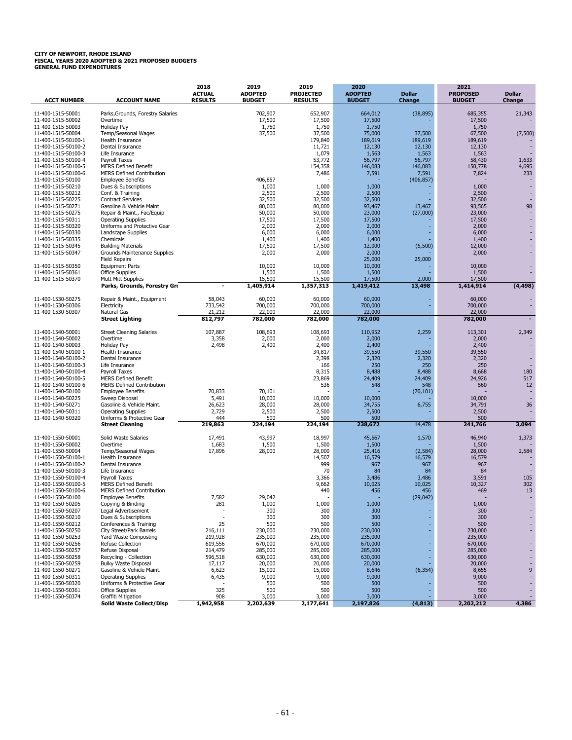| <b>GENERAL FUND EXPENDITURES</b> |  |
|----------------------------------|--|

| <b>ACCT NUMBER</b>                         | <b>ACCOUNT NAME</b>                                          | 2018<br><b>ACTUAL</b><br><b>RESULTS</b> | 2019<br><b>ADOPTED</b><br><b>BUDGET</b> | 2019<br><b>PROJECTED</b><br><b>RESULTS</b> | 2020<br><b>ADOPTED</b><br><b>BUDGET</b> | <b>Dollar</b><br>Change | 2021<br><b>PROPOSED</b><br><b>BUDGET</b> | <b>Dollar</b><br>Change |
|--------------------------------------------|--------------------------------------------------------------|-----------------------------------------|-----------------------------------------|--------------------------------------------|-----------------------------------------|-------------------------|------------------------------------------|-------------------------|
| 11-400-1515-50001                          | Parks, Grounds, Forestry Salaries                            |                                         | 702,907                                 | 652,907                                    | 664,012                                 | (38, 895)               | 685,355                                  | 21,343                  |
| 11-400-1515-50002                          | Overtime                                                     |                                         | 17,500                                  | 17,500                                     | 17,500                                  |                         | 17,500                                   |                         |
| 11-400-1515-50003                          | <b>Holiday Pay</b>                                           |                                         | 1,750                                   | 1,750                                      | 1,750                                   |                         | 1,750                                    |                         |
| 11-400-1515-50004<br>11-400-1515-50100-1   | Temp/Seasonal Wages                                          |                                         | 37,500                                  | 37,500                                     | 75,000                                  | 37,500                  | 67,500                                   | (7,500)                 |
| 11-400-1515-50100-2                        | Health Insurance<br>Dental Insurance                         |                                         |                                         | 179,840<br>11,721                          | 189,619<br>12,130                       | 189,619<br>12,130       | 189,619<br>12,130                        |                         |
| 11-400-1515-50100-3                        | Life Insurance                                               |                                         |                                         | 1,079                                      | 1,563                                   | 1,563                   | 1,563                                    |                         |
| 11-400-1515-50100-4                        | Payroll Taxes                                                |                                         |                                         | 53,772                                     | 56,797                                  | 56,797                  | 58,430                                   | 1,633                   |
| 11-400-1515-50100-5                        | <b>MERS Defined Benefit</b>                                  |                                         |                                         | 154,358                                    | 146,083                                 | 146,083                 | 150,778                                  | 4,695                   |
| 11-400-1515-50100-6<br>11-400-1515-50100   | <b>MERS Defined Contribution</b><br><b>Employee Benefits</b> |                                         | 406,857                                 | 7,486                                      | 7,591                                   | 7,591<br>(406, 857)     | 7,824                                    | 233                     |
| 11-400-1515-50210                          | Dues & Subscriptions                                         |                                         | 1,000                                   | 1,000                                      | 1,000                                   |                         | 1,000                                    |                         |
| 11-400-1515-50212                          | Conf. & Training                                             |                                         | 2,500                                   | 2,500                                      | 2,500                                   |                         | 2,500                                    |                         |
| 11-400-1515-50225                          | <b>Contract Services</b>                                     |                                         | 32,500                                  | 32,500                                     | 32,500                                  |                         | 32,500                                   |                         |
| 11-400-1515-50271                          | Gasoline & Vehicle Maint                                     |                                         | 80,000                                  | 80,000                                     | 93,467                                  | 13,467                  | 93,565                                   | 98                      |
| 11-400-1515-50275<br>11-400-1515-50311     | Repair & Maint., Fac/Equip<br><b>Operating Supplies</b>      |                                         | 50,000<br>17,500                        | 50,000<br>17,500                           | 23,000<br>17,500                        | (27,000)                | 23,000<br>17,500                         |                         |
| 11-400-1515-50320                          | Uniforms and Protective Gear                                 |                                         | 2,000                                   | 2,000                                      | 2,000                                   |                         | 2,000                                    |                         |
| 11-400-1515-50330                          | Landscape Supplies                                           |                                         | 6,000                                   | 6,000                                      | 6,000                                   |                         | 6,000                                    |                         |
| 11-400-1515-50335                          | Chemicals                                                    |                                         | 1,400                                   | 1,400                                      | 1,400                                   |                         | 1,400                                    |                         |
| 11-400-1515-50345                          | <b>Building Materials</b>                                    |                                         | 17,500                                  | 17,500                                     | 12,000                                  | (5,500)                 | 12,000                                   |                         |
| 11-400-1515-50347                          | Grounds Maintenance Supplies<br><b>Field Repairs</b>         |                                         | 2,000                                   | 2,000                                      | 2,000<br>25,000                         | 25,000                  | 2,000                                    |                         |
| 11-400-1515-50350                          | <b>Equipment Parts</b>                                       |                                         | 10,000                                  | 10,000                                     | 10,000                                  |                         | 10,000                                   |                         |
| 11-400-1515-50361                          | <b>Office Supplies</b>                                       |                                         | 1,500                                   | 1,500                                      | 1,500                                   |                         | 1,500                                    |                         |
| 11-400-1515-50370                          | Mutt Mitt Supplies                                           |                                         | 15,500                                  | 15,500                                     | 17,500                                  | 2,000                   | 17,500                                   |                         |
|                                            | Parks, Grounds, Forestry Gro                                 |                                         | 1,405,914                               | 1,357,313                                  | 1,419,412                               | 13,498                  | 1,414,914                                | (4, 498)                |
| 11-400-1530-50275                          | Repair & Maint., Equipment                                   | 58,043                                  | 60,000                                  | 60,000                                     | 60,000                                  |                         | 60,000                                   |                         |
| 11-400-1530-50306<br>11-400-1530-50307     | Electricity<br>Natural Gas                                   | 733,542<br>21,212                       | 700,000<br>22,000                       | 700,000<br>22,000                          | 700,000<br>22,000                       |                         | 700,000<br>22,000                        |                         |
|                                            | <b>Street Lighting</b>                                       | 812,797                                 | 782,000                                 | 782,000                                    | 782,000                                 |                         | 782,000                                  |                         |
| 11-400-1540-50001                          | <b>Street Cleaning Salaries</b>                              | 107,887                                 | 108,693                                 | 108,693                                    | 110,952                                 | 2,259                   | 113,301                                  | 2,349                   |
| 11-400-1540-50002                          | Overtime                                                     | 3,358                                   | 2,000                                   | 2,000                                      | 2,000                                   |                         | 2,000                                    |                         |
| 11-400-1540-50003                          | <b>Holiday Pay</b>                                           | 2,498                                   | 2,400                                   | 2,400                                      | 2,400                                   |                         | 2,400                                    |                         |
| 11-400-1540-50100-1                        | Health Insurance                                             |                                         |                                         | 34,817                                     | 39,550                                  | 39,550                  | 39,550                                   |                         |
| 11-400-1540-50100-2                        | Dental Insurance                                             |                                         |                                         | 2,398                                      | 2,320                                   | 2,320                   | 2,320                                    |                         |
| 11-400-1540-50100-3<br>11-400-1540-50100-4 | Life Insurance<br>Payroll Taxes                              |                                         |                                         | 166<br>8,315                               | 250<br>8,488                            | 250<br>8,488            | 250<br>8,668                             | 180                     |
| 11-400-1540-50100-5                        | <b>MERS Defined Benefit</b>                                  |                                         |                                         | 23,869                                     | 24,409                                  | 24,409                  | 24,926                                   | 517                     |
| 11-400-1540-50100-6                        | <b>MERS Defined Contribution</b>                             |                                         |                                         | 536                                        | 548                                     | 548                     | 560                                      | 12                      |
| 11-400-1540-50100                          | <b>Employee Benefits</b>                                     | 70,833                                  | 70,101                                  |                                            |                                         | (70, 101)               |                                          |                         |
| 11-400-1540-50225                          | Sweep Disposal                                               | 5,491                                   | 10,000<br>28,000                        | 10,000<br>28,000                           | 10,000                                  |                         | 10,000                                   | 36                      |
| 11-400-1540-50271<br>11-400-1540-50311     | Gasoline & Vehicle Maint.<br><b>Operating Supplies</b>       | 26,623<br>2,729                         | 2,500                                   | 2,500                                      | 34,755<br>2,500                         | 6,755                   | 34,791<br>2,500                          |                         |
| 11-400-1540-50320                          | Uniforms & Protective Gear                                   | 444                                     | 500                                     | 500                                        | 500                                     |                         | 500                                      |                         |
|                                            | <b>Street Cleaning</b>                                       | 219,863                                 | 224,194                                 | 224,194                                    | 238,672                                 | 14,478                  | 241,766                                  | 3,094                   |
| 11-400-1550-50001                          | Solid Waste Salaries                                         | 17,491                                  | 43,997                                  | 18,997                                     | 45,567                                  | 1,570                   | 46,940                                   | 1,373                   |
| 11-400-1550-50002                          | Overtime                                                     | 1,683                                   | 1,500                                   | 1,500                                      | 1,500                                   |                         | 1,500                                    |                         |
| 11-400-1550-50004<br>11-400-1550-50100-1   | Temp/Seasonal Wages<br>Health Insurance                      | 17,896                                  | 28,000                                  | 28,000<br>14,507                           | 25,416<br>16,579                        | (2, 584)<br>16,579      | 28,000<br>16,579                         | 2,584                   |
| 11-400-1550-50100-2                        | Dental Insurance                                             |                                         |                                         | 999                                        | 967                                     | 967                     | 967                                      |                         |
| 11-400-1550-50100-3                        | Life Insurance                                               |                                         |                                         | 70                                         | 84                                      | 84                      | 84                                       |                         |
| 11-400-1550-50100-4                        | Payroll Taxes                                                |                                         |                                         | 3,366                                      | 3,486                                   | 3,486                   | 3,591                                    | 105                     |
| 11-400-1550-50100-5                        | <b>MERS Defined Benefit</b>                                  |                                         |                                         | 9,662                                      | 10,025                                  | 10,025                  | 10,327                                   | 302                     |
| 11-400-1550-50100-6<br>11-400-1550-50100   | <b>MERS Defined Contribution</b><br><b>Employee Benefits</b> | 7,582                                   | 29.042                                  | 440                                        | 456                                     | 456<br>(29, 042)        | 469                                      | 13                      |
| 11-400-1550-50205                          | Copying & Binding                                            | 281                                     | 1,000                                   | 1,000                                      | 1,000                                   |                         | 1,000                                    |                         |
| 11-400-1550-50207                          | Legal Advertisement                                          |                                         | 300                                     | 300                                        | 300                                     |                         | 300                                      |                         |
| 11-400-1550-50210                          | Dues & Subscriptions                                         |                                         | 300                                     | 300                                        | 300                                     |                         | 300                                      |                         |
| 11-400-1550-50212                          | Conferences & Training                                       | 25                                      | 500                                     | 500                                        | 500                                     |                         | 500                                      |                         |
| 11-400-1550-50250<br>11-400-1550-50253     | City Street/Park Barrels<br>Yard Waste Composting            | 216,111<br>219,928                      | 230,000<br>235,000                      | 230,000<br>235,000                         | 230,000<br>235,000                      |                         | 230,000<br>235,000                       |                         |
| 11-400-1550-50256                          | Refuse Collection                                            | 619,556                                 | 670,000                                 | 670,000                                    | 670,000                                 |                         | 670,000                                  |                         |
| 11-400-1550-50257                          | Refuse Disposal                                              | 214,479                                 | 285,000                                 | 285,000                                    | 285,000                                 |                         | 285,000                                  |                         |
| 11-400-1550-50258                          | Recycling - Collection                                       | 596,518                                 | 630,000                                 | 630,000                                    | 630,000                                 |                         | 630,000                                  |                         |
| 11-400-1550-50259                          | <b>Bulky Waste Disposal</b>                                  | 17,117                                  | 20,000                                  | 20,000                                     | 20,000                                  |                         | 20,000                                   | 9                       |
| 11-400-1550-50271<br>11-400-1550-50311     | Gasoline & Vehicle Maint.<br><b>Operating Supplies</b>       | 6,623<br>6,435                          | 15,000<br>9,000                         | 15,000<br>9,000                            | 8,646<br>9,000                          | (6, 354)                | 8,655<br>9,000                           |                         |
| 11-400-1550-50320                          | Uniforms & Protective Gear                                   |                                         | 500                                     | 500                                        | 500                                     |                         | 500                                      |                         |
| 11-400-1550-50361                          | Office Supplies                                              | 325                                     | 500                                     | 500                                        | 500                                     |                         | 500                                      |                         |
| 11-400-1550-50374                          | Graffiti Mitigation<br><b>Solid Waste Collect/Disp</b>       | 908<br>1,942,958                        | 3,000<br>2,202,639                      | 3,000<br>2,177,641                         | 3,000<br>2,197,826                      | (4, 813)                | 3,000<br>2,202,212                       | 4,386                   |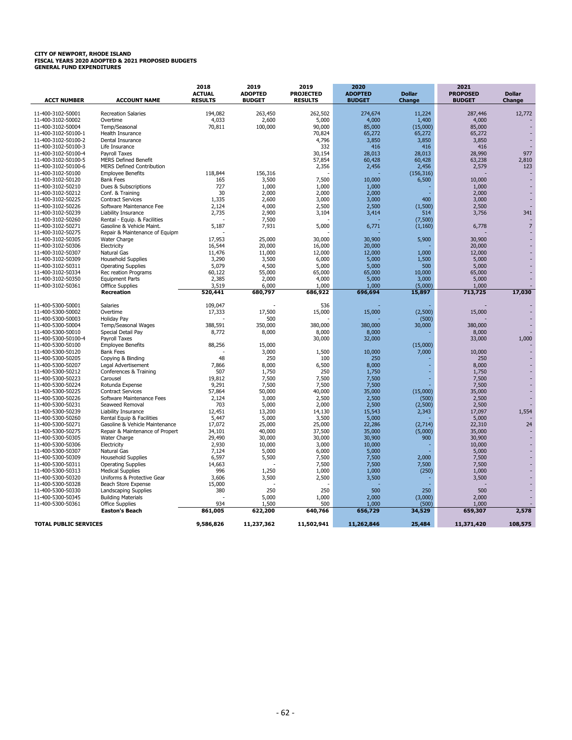| <b>ACCT NUMBER</b>                     | <b>ACCOUNT NAME</b>                                  | 2018<br><b>ACTUAL</b><br><b>RESULTS</b> | 2019<br><b>ADOPTED</b><br><b>BUDGET</b> | 2019<br><b>PROJECTED</b><br><b>RESULTS</b> | 2020<br><b>ADOPTED</b><br><b>BUDGET</b> | <b>Dollar</b><br>Change | 2021<br><b>PROPOSED</b><br><b>BUDGET</b> | <b>Dollar</b><br>Change |
|----------------------------------------|------------------------------------------------------|-----------------------------------------|-----------------------------------------|--------------------------------------------|-----------------------------------------|-------------------------|------------------------------------------|-------------------------|
| 11-400-3102-50001                      | <b>Recreation Salaries</b>                           | 194,082                                 | 263,450                                 | 262,502                                    | 274,674                                 | 11,224                  | 287,446                                  | 12,772                  |
| 11-400-3102-50002                      | Overtime                                             | 4,033                                   | 2,600                                   | 5,000                                      | 4,000                                   | 1,400                   | 4,000                                    |                         |
| 11-400-3102-50004                      | Temp/Seasonal                                        | 70,811                                  | 100,000                                 | 90,000                                     | 85,000                                  | (15,000)                | 85,000                                   |                         |
| 11-400-3102-50100-1                    | Health Insurance                                     |                                         |                                         | 70,824                                     | 65,272                                  | 65,272                  | 65,272                                   |                         |
| 11-400-3102-50100-2                    | Dental Insurance                                     |                                         |                                         | 4,796                                      | 3,850                                   | 3,850                   | 3,850                                    |                         |
| 11-400-3102-50100-3                    | Life Insurance                                       |                                         |                                         | 332                                        | 416                                     | 416                     | 416                                      |                         |
| 11-400-3102-50100-4                    | Payroll Taxes                                        |                                         |                                         | 30,154                                     | 28,013                                  | 28,013                  | 28,990                                   | 977                     |
| 11-400-3102-50100-5                    | <b>MERS Defined Benefit</b>                          |                                         |                                         | 57,854                                     | 60,428                                  | 60,428                  | 63,238                                   | 2,810                   |
| 11-400-3102-50100-6                    | <b>MERS Defined Contribution</b>                     |                                         |                                         | 2,356                                      | 2,456                                   | 2,456                   | 2,579                                    | 123                     |
| 11-400-3102-50100                      | <b>Employee Benefits</b>                             | 118,844                                 | 156,316                                 |                                            |                                         | (156, 316)              |                                          |                         |
| 11-400-3102-50120                      | <b>Bank Fees</b>                                     | 165                                     | 3,500                                   | 7,500                                      | 10,000                                  | 6,500                   | 10,000                                   |                         |
| 11-400-3102-50210                      | Dues & Subscriptions                                 | 727                                     | 1,000                                   | 1,000                                      | 1,000                                   |                         | 1,000                                    |                         |
| 11-400-3102-50212                      | Conf. & Training                                     | 30                                      | 2,000                                   | 2,000                                      | 2,000                                   |                         | 2,000                                    |                         |
| 11-400-3102-50225                      | <b>Contract Services</b>                             | 1,335                                   | 2,600                                   | 3,000                                      | 3,000                                   | 400                     | 3,000                                    |                         |
| 11-400-3102-50226                      | Software Maintenance Fee                             | 2,124                                   | 4.000<br>2,900                          | 2,500                                      | 2,500                                   | (1,500)                 | 2,500                                    | 341                     |
| 11-400-3102-50239<br>11-400-3102-50260 | Liability Insurance<br>Rental - Equip. & Facilities  | 2,735                                   | 7,500                                   | 3,104                                      | 3,414                                   | 514<br>(7,500)          | 3,756                                    |                         |
| 11-400-3102-50271                      | Gasoline & Vehicle Maint.                            | 5,187                                   | 7,931                                   | 5,000                                      | 6,771                                   | (1, 160)                | 6,778                                    | $\overline{7}$          |
| 11-400-3102-50275                      | Repair & Maintenance of Equipm                       |                                         |                                         |                                            |                                         |                         |                                          |                         |
| 11-400-3102-50305                      | Water Charge                                         | 17,953                                  | 25,000                                  | 30,000                                     | 30,900                                  | 5,900                   | 30,900                                   |                         |
| 11-400-3102-50306                      | Electricity                                          | 16,544                                  | 20,000                                  | 16,000                                     | 20,000                                  |                         | 20,000                                   |                         |
| 11-400-3102-50307                      | Natural Gas                                          | 11,476                                  | 11,000                                  | 12,000                                     | 12,000                                  | 1,000                   | 12,000                                   |                         |
| 11-400-3102-50309                      | <b>Household Supplies</b>                            | 3,290                                   | 3,500                                   | 6.000                                      | 5,000                                   | 1,500                   | 5,000                                    |                         |
| 11-400-3102-50311                      | <b>Operating Supplies</b>                            | 5,079                                   | 4,500                                   | 5,000                                      | 5,000                                   | 500                     | 5,000                                    |                         |
| 11-400-3102-50334                      | Rec reation Programs                                 | 60,122                                  | 55,000                                  | 65,000                                     | 65,000                                  | 10,000                  | 65,000                                   |                         |
| 11-400-3102-50350                      | <b>Equipment Parts</b>                               | 2,385                                   | 2,000                                   | 4,000                                      | 5,000                                   | 3,000                   | 5,000                                    |                         |
| 11-400-3102-50361                      | Offfice Supplies                                     | 3,519                                   | 6,000                                   | 1,000                                      | 1,000                                   | (5,000)                 | 1,000                                    |                         |
|                                        | <b>Recreation</b>                                    | 520,441                                 | 680,797                                 | 686,922                                    | 696,694                                 | 15,897                  | 713,725                                  | 17,030                  |
|                                        |                                                      | 109,047                                 |                                         |                                            |                                         |                         |                                          |                         |
| 11-400-5300-50001<br>11-400-5300-50002 | Salaries<br>Overtime                                 | 17,333                                  | 17,500                                  | 536<br>15,000                              | 15,000                                  | (2,500)                 | 15,000                                   |                         |
| 11-400-5300-50003                      | Holiday Pay                                          |                                         | 500                                     |                                            |                                         | (500)                   |                                          |                         |
| 11-400-5300-50004                      | Temp/Seasonal Wages                                  | 388.591                                 | 350,000                                 | 380,000                                    | 380,000                                 | 30,000                  | 380,000                                  |                         |
| 11-400-5300-50010                      | Special Detail Pay                                   | 8,772                                   | 8,000                                   | 8,000                                      | 8,000                                   |                         | 8,000                                    |                         |
| 11-400-5300-50100-4                    | Payroll Taxes                                        |                                         |                                         | 30,000                                     | 32,000                                  |                         | 33,000                                   | 1,000                   |
| 11-400-5300-50100                      | <b>Employee Benefits</b>                             | 88,256                                  | 15,000                                  |                                            |                                         | (15,000)                |                                          |                         |
| 11-400-5300-50120                      | <b>Bank Fees</b>                                     |                                         | 3,000                                   | 1,500                                      | 10,000                                  | 7,000                   | 10,000                                   |                         |
| 11-400-5300-50205                      | Copying & Binding                                    | 48                                      | 250                                     | 100                                        | 250                                     |                         | 250                                      |                         |
| 11-400-5300-50207                      | Legal Advertisement                                  | 7,866                                   | 8,000                                   | 6,500                                      | 8,000                                   |                         | 8,000                                    |                         |
| 11-400-5300-50212                      | Conferences & Training                               | 507                                     | 1,750                                   | 250                                        | 1,750                                   |                         | 1,750                                    |                         |
| 11-400-5300-50223                      | Carousel                                             | 19,812                                  | 7,500                                   | 7,500                                      | 7,500                                   |                         | 7,500                                    |                         |
| 11-400-5300-50224                      | Rotunda Expense                                      | 9,291                                   | 7,500                                   | 7,500                                      | 7,500                                   |                         | 7,500                                    |                         |
| 11-400-5300-50225                      | <b>Contract Services</b>                             | 57,864                                  | 50,000                                  | 40,000                                     | 35,000                                  | (15,000)                | 35,000                                   |                         |
| 11-400-5300-50226                      | Software Maintenance Fees                            | 2,124                                   | 3,000                                   | 2,500                                      | 2,500                                   | (500)                   | 2,500                                    |                         |
| 11-400-5300-50231                      | Seaweed Removal                                      | 703                                     | 5,000                                   | 2,000                                      | 2,500                                   | (2,500)                 | 2,500                                    |                         |
| 11-400-5300-50239                      | Liability Insurance                                  | 12,451                                  | 13,200                                  | 14,130                                     | 15,543                                  | 2,343                   | 17,097                                   | 1,554                   |
| 11-400-5300-50260                      | Rental Equip & Facilities                            | 5.447                                   | 5,000                                   | 3,500                                      | 5,000                                   |                         | 5,000                                    |                         |
| 11-400-5300-50271                      | Gasoline & Vehicle Maintenance                       | 17,072                                  | 25,000                                  | 25,000                                     | 22,286                                  | (2,714)                 | 22,310                                   | 24                      |
| 11-400-5300-50275                      | Repair & Maintenance of Propert                      | 34,101                                  | 40,000                                  | 37,500                                     | 35,000                                  | (5,000)                 | 35,000                                   |                         |
| 11-400-5300-50305                      | Water Charge                                         | 29,490                                  | 30,000                                  | 30,000                                     | 30,900                                  | 900                     | 30,900                                   |                         |
| 11-400-5300-50306                      | Electricity                                          | 2,930                                   | 10,000                                  | 3,000                                      | 10,000                                  |                         | 10,000                                   |                         |
| 11-400-5300-50307                      | Natural Gas                                          | 7,124                                   | 5,000                                   | 6,000                                      | 5,000                                   |                         | 5,000                                    |                         |
| 11-400-5300-50309                      | <b>Household Supplies</b>                            | 6,597                                   | 5,500                                   | 7,500                                      | 7,500                                   | 2,000                   | 7,500                                    |                         |
| 11-400-5300-50311<br>11-400-5300-50313 | <b>Operating Supplies</b><br><b>Medical Supplies</b> | 14,663<br>996                           | 1,250                                   | 7,500<br>1,000                             | 7,500<br>1.000                          | 7,500<br>(250)          | 7,500<br>1,000                           |                         |
| 11-400-5300-50320                      | Uniforms & Protective Gear                           | 3,606                                   | 3,500                                   | 2,500                                      | 3,500                                   |                         | 3,500                                    |                         |
| 11-400-5300-50328                      | Beach Store Expense                                  | 15,000                                  |                                         |                                            |                                         |                         |                                          |                         |
| 11-400-5300-50330                      | <b>Landscaping Supplies</b>                          | 380                                     | 250                                     | 250                                        | 500                                     | 250                     | 500                                      |                         |
| 11-400-5300-50345                      | <b>Building Materials</b>                            |                                         | 5,000                                   | 1,000                                      | 2,000                                   | (3,000)                 | 2,000                                    |                         |
| 11-400-5300-50361                      | <b>Office Supplies</b>                               | 934                                     | 1,500                                   | 500                                        | 1,000                                   | (500)                   | 1,000                                    |                         |
|                                        | <b>Easton's Beach</b>                                | 861,005                                 | 622,200                                 | 640,766                                    | 656,729                                 | 34,529                  | 659,307                                  | 2,578                   |
| <b>TOTAL PUBLIC SERVICES</b>           |                                                      | 9,586,826                               | 11,237,362                              | 11,502,941                                 | 11,262,846                              | 25,484                  | 11,371,420                               | 108,575                 |
|                                        |                                                      |                                         |                                         |                                            |                                         |                         |                                          |                         |